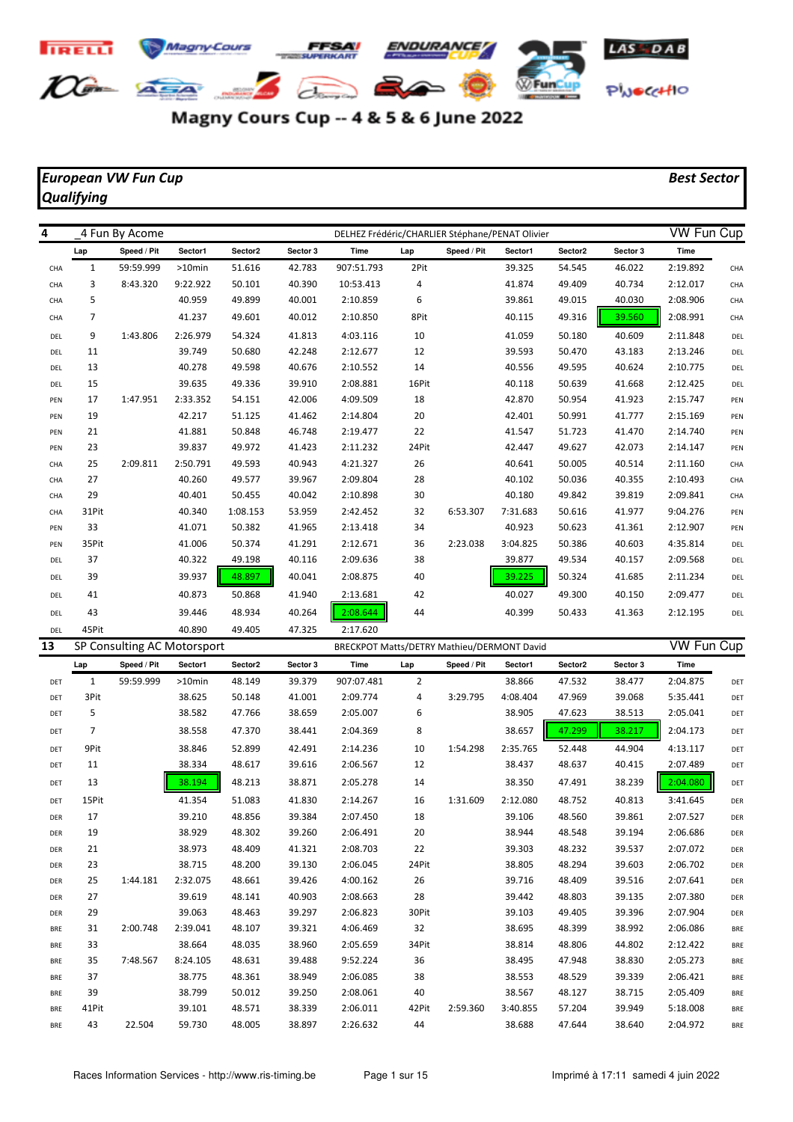

## Magny Cours Cup -- 4 & 5 & 6 June 2022

## *European VW Fun Cup Best Sector Qualifying*

| 4   |                | 4 Fun By Acome |           |          |          | DELHEZ Frédéric/CHARLIER Stéphane/PENAT Olivier |       |             |          |         |          | <b>VW Fun Cup</b> |     |
|-----|----------------|----------------|-----------|----------|----------|-------------------------------------------------|-------|-------------|----------|---------|----------|-------------------|-----|
|     | Lap            | Speed / Pit    | Sector1   | Sector2  | Sector 3 | Time                                            | Lap   | Speed / Pit | Sector1  | Sector2 | Sector 3 | Time              |     |
| CHA | 1              | 59:59.999      | $>10$ min | 51.616   | 42.783   | 907:51.793                                      | 2Pit  |             | 39.325   | 54.545  | 46.022   | 2:19.892          | CHA |
| CHA | 3              | 8:43.320       | 9:22.922  | 50.101   | 40.390   | 10:53.413                                       | 4     |             | 41.874   | 49.409  | 40.734   | 2:12.017          | CHA |
| CHA | 5              |                | 40.959    | 49.899   | 40.001   | 2:10.859                                        | 6     |             | 39.861   | 49.015  | 40.030   | 2:08.906          | CHA |
| CHA | $\overline{7}$ |                | 41.237    | 49.601   | 40.012   | 2:10.850                                        | 8Pit  |             | 40.115   | 49.316  | 39.560   | 2:08.991          | CHA |
| DEL | 9              | 1:43.806       | 2:26.979  | 54.324   | 41.813   | 4:03.116                                        | 10    |             | 41.059   | 50.180  | 40.609   | 2:11.848          | DEL |
| DEL | 11             |                | 39.749    | 50.680   | 42.248   | 2:12.677                                        | 12    |             | 39.593   | 50.470  | 43.183   | 2:13.246          | DEL |
| DEL | 13             |                | 40.278    | 49.598   | 40.676   | 2:10.552                                        | 14    |             | 40.556   | 49.595  | 40.624   | 2:10.775          | DEL |
| DEL | 15             |                | 39.635    | 49.336   | 39.910   | 2:08.881                                        | 16Pit |             | 40.118   | 50.639  | 41.668   | 2:12.425          | DEL |
| PEN | 17             | 1:47.951       | 2:33.352  | 54.151   | 42.006   | 4:09.509                                        | 18    |             | 42.870   | 50.954  | 41.923   | 2:15.747          | PEN |
| PEN | 19             |                | 42.217    | 51.125   | 41.462   | 2:14.804                                        | 20    |             | 42.401   | 50.991  | 41.777   | 2:15.169          | PEN |
| PEN | 21             |                | 41.881    | 50.848   | 46.748   | 2:19.477                                        | 22    |             | 41.547   | 51.723  | 41.470   | 2:14.740          | PEN |
| PEN | 23             |                | 39.837    | 49.972   | 41.423   | 2:11.232                                        | 24Pit |             | 42.447   | 49.627  | 42.073   | 2:14.147          | PEN |
| CHA | 25             | 2:09.811       | 2:50.791  | 49.593   | 40.943   | 4:21.327                                        | 26    |             | 40.641   | 50.005  | 40.514   | 2:11.160          | CHA |
| CHA | 27             |                | 40.260    | 49.577   | 39.967   | 2:09.804                                        | 28    |             | 40.102   | 50.036  | 40.355   | 2:10.493          | CHA |
| CHA | 29             |                | 40.401    | 50.455   | 40.042   | 2:10.898                                        | 30    |             | 40.180   | 49.842  | 39.819   | 2:09.841          | CHA |
| CHA | 31Pit          |                | 40.340    | 1:08.153 | 53.959   | 2:42.452                                        | 32    | 6:53.307    | 7:31.683 | 50.616  | 41.977   | 9:04.276          | PEN |
| PEN | 33             |                | 41.071    | 50.382   | 41.965   | 2:13.418                                        | 34    |             | 40.923   | 50.623  | 41.361   | 2:12.907          | PEN |
| PEN | 35Pit          |                | 41.006    | 50.374   | 41.291   | 2:12.671                                        | 36    | 2:23.038    | 3:04.825 | 50.386  | 40.603   | 4:35.814          | DEL |
| DEL | 37             |                | 40.322    | 49.198   | 40.116   | 2:09.636                                        | 38    |             | 39.877   | 49.534  | 40.157   | 2:09.568          | DEL |
| DEL | 39             |                | 39.937    | 48.897   | 40.041   | 2:08.875                                        | 40    |             | 39.225   | 50.324  | 41.685   | 2:11.234          | DEL |
| DEL | 41             |                | 40.873    | 50.868   | 41.940   | 2:13.681                                        | 42    |             | 40.027   | 49.300  | 40.150   | 2:09.477          | DEL |
| DEL | 43             |                | 39.446    | 48.934   | 40.264   | 2:08.644                                        | 44    |             | 40.399   | 50.433  | 41.363   | 2:12.195          | DEL |
| DEL | 45Pit          |                | 40.890    | 49.405   | 47.325   | 2:17.620                                        |       |             |          |         |          |                   |     |

| 13         |                | SP Consulting AC Motorsport |           |         |          | BRECKPOT Matts/DETRY Mathieu/DERMONT David |       |             |          |         |          | VW Fun Cup |            |
|------------|----------------|-----------------------------|-----------|---------|----------|--------------------------------------------|-------|-------------|----------|---------|----------|------------|------------|
|            | Lap            | Speed / Pit                 | Sector1   | Sector2 | Sector 3 | Time                                       | Lap   | Speed / Pit | Sector1  | Sector2 | Sector 3 | Time       |            |
| DET        | $\mathbf{1}$   | 59:59.999                   | $>10$ min | 48.149  | 39.379   | 907:07.481                                 | 2     |             | 38.866   | 47.532  | 38.477   | 2:04.875   | DET        |
| DET        | 3Pit           |                             | 38.625    | 50.148  | 41.001   | 2:09.774                                   | 4     | 3:29.795    | 4:08.404 | 47.969  | 39.068   | 5:35.441   | DET        |
| DET        | 5              |                             | 38.582    | 47.766  | 38.659   | 2:05.007                                   | 6     |             | 38.905   | 47.623  | 38.513   | 2:05.041   | DET        |
| DET        | $\overline{7}$ |                             | 38.558    | 47.370  | 38.441   | 2:04.369                                   | 8     |             | 38.657   | 47.299  | 38.217   | 2:04.173   | DET        |
| DET        | 9Pit           |                             | 38.846    | 52.899  | 42.491   | 2:14.236                                   | 10    | 1:54.298    | 2:35.765 | 52.448  | 44.904   | 4:13.117   | DET        |
| DET        | 11             |                             | 38.334    | 48.617  | 39.616   | 2:06.567                                   | 12    |             | 38.437   | 48.637  | 40.415   | 2:07.489   | DET        |
| DET        | 13             |                             | 38.194    | 48.213  | 38.871   | 2:05.278                                   | 14    |             | 38.350   | 47.491  | 38.239   | 2:04.080   | DET        |
| DET        | 15Pit          |                             | 41.354    | 51.083  | 41.830   | 2:14.267                                   | 16    | 1:31.609    | 2:12.080 | 48.752  | 40.813   | 3:41.645   | DER        |
| DER        | 17             |                             | 39.210    | 48.856  | 39.384   | 2:07.450                                   | 18    |             | 39.106   | 48.560  | 39.861   | 2:07.527   | DER        |
| DER        | 19             |                             | 38.929    | 48.302  | 39.260   | 2:06.491                                   | 20    |             | 38.944   | 48.548  | 39.194   | 2:06.686   | DER        |
| DER        | 21             |                             | 38.973    | 48.409  | 41.321   | 2:08.703                                   | 22    |             | 39.303   | 48.232  | 39.537   | 2:07.072   | DER        |
| DER        | 23             |                             | 38.715    | 48.200  | 39.130   | 2:06.045                                   | 24Pit |             | 38.805   | 48.294  | 39.603   | 2:06.702   | DER        |
| DER        | 25             | 1:44.181                    | 2:32.075  | 48.661  | 39.426   | 4:00.162                                   | 26    |             | 39.716   | 48.409  | 39.516   | 2:07.641   | DER        |
| DER        | 27             |                             | 39.619    | 48.141  | 40.903   | 2:08.663                                   | 28    |             | 39.442   | 48.803  | 39.135   | 2:07.380   | DER        |
| DER        | 29             |                             | 39.063    | 48.463  | 39.297   | 2:06.823                                   | 30Pit |             | 39.103   | 49.405  | 39.396   | 2:07.904   | <b>DER</b> |
| <b>BRE</b> | 31             | 2:00.748                    | 2:39.041  | 48.107  | 39.321   | 4:06.469                                   | 32    |             | 38.695   | 48.399  | 38.992   | 2:06.086   | <b>BRE</b> |
| <b>BRE</b> | 33             |                             | 38.664    | 48.035  | 38.960   | 2:05.659                                   | 34Pit |             | 38.814   | 48.806  | 44.802   | 2:12.422   | <b>BRE</b> |
| <b>BRE</b> | 35             | 7:48.567                    | 8:24.105  | 48.631  | 39.488   | 9:52.224                                   | 36    |             | 38.495   | 47.948  | 38.830   | 2:05.273   | <b>BRE</b> |
| <b>BRE</b> | 37             |                             | 38.775    | 48.361  | 38.949   | 2:06.085                                   | 38    |             | 38.553   | 48.529  | 39.339   | 2:06.421   | <b>BRE</b> |
| <b>BRE</b> | 39             |                             | 38.799    | 50.012  | 39.250   | 2:08.061                                   | 40    |             | 38.567   | 48.127  | 38.715   | 2:05.409   | <b>BRE</b> |
| <b>BRE</b> | 41Pit          |                             | 39.101    | 48.571  | 38.339   | 2:06.011                                   | 42Pit | 2:59.360    | 3:40.855 | 57.204  | 39.949   | 5:18.008   | <b>BRE</b> |
| <b>BRE</b> | 43             | 22.504                      | 59.730    | 48.005  | 38.897   | 2:26.632                                   | 44    |             | 38.688   | 47.644  | 38.640   | 2:04.972   | <b>BRE</b> |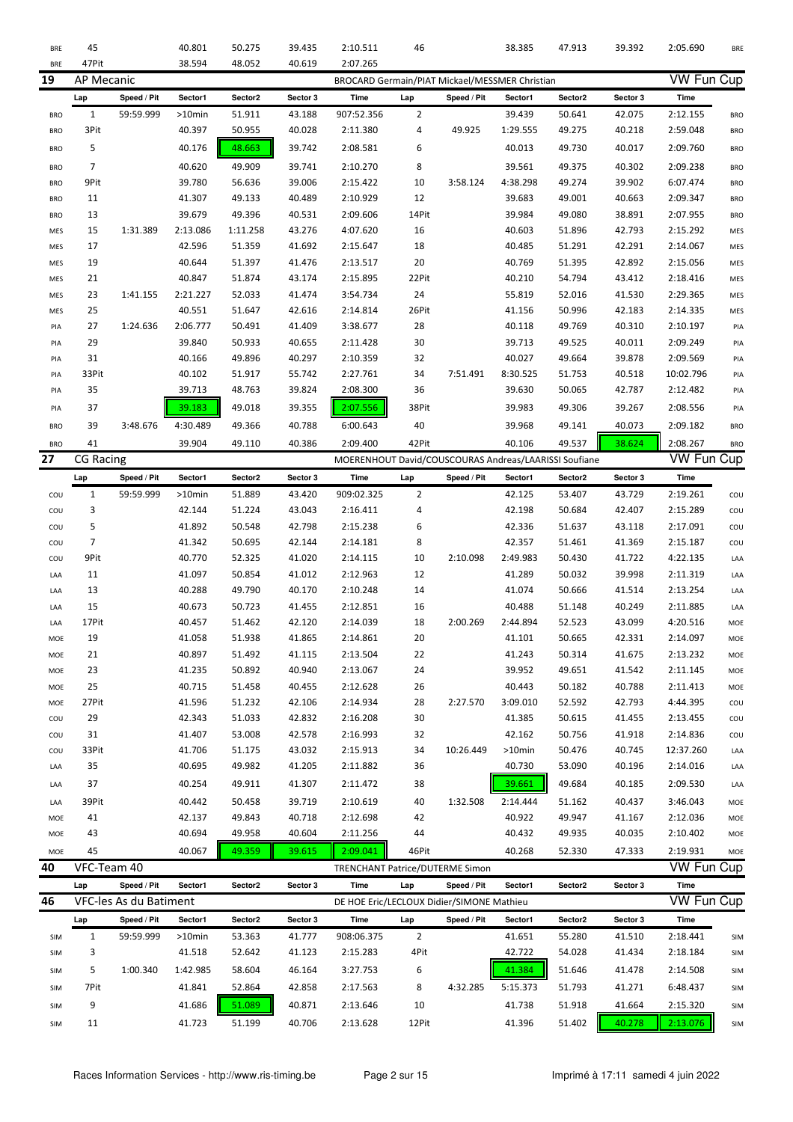| <b>BRE</b> | 45               |                        | 40.801    | 50.275   | 39.435   | 2:10.511                                              | 46             |             | 38.385    | 47.913  | 39.392   | 2:05.690          | <b>BRE</b> |
|------------|------------------|------------------------|-----------|----------|----------|-------------------------------------------------------|----------------|-------------|-----------|---------|----------|-------------------|------------|
| <b>BRE</b> | 47Pit            |                        | 38.594    | 48.052   | 40.619   | 2:07.265                                              |                |             |           |         |          |                   |            |
| 19         | AP Mecanic       |                        |           |          |          | BROCARD Germain/PIAT Mickael/MESSMER Christian        |                |             |           |         |          | <b>VW Fun Cup</b> |            |
|            | Lap              | Speed / Pit            | Sector1   | Sector2  | Sector 3 | Time                                                  | Lap            | Speed / Pit | Sector1   | Sector2 | Sector 3 | Time              |            |
| <b>BRO</b> | $\mathbf{1}$     | 59:59.999              | $>10$ min | 51.911   | 43.188   | 907:52.356                                            | $\overline{2}$ |             | 39.439    | 50.641  | 42.075   | 2:12.155          | <b>BRO</b> |
| <b>BRO</b> | 3Pit             |                        | 40.397    | 50.955   | 40.028   | 2:11.380                                              | 4              | 49.925      | 1:29.555  | 49.275  | 40.218   | 2:59.048          | <b>BRO</b> |
| <b>BRO</b> | 5                |                        | 40.176    | 48.663   | 39.742   | 2:08.581                                              | 6              |             | 40.013    | 49.730  | 40.017   | 2:09.760          | <b>BRO</b> |
| <b>BRO</b> | $\overline{7}$   |                        | 40.620    | 49.909   | 39.741   | 2:10.270                                              | 8              |             | 39.561    | 49.375  | 40.302   | 2:09.238          | <b>BRO</b> |
| <b>BRO</b> | 9Pit             |                        | 39.780    | 56.636   | 39.006   | 2:15.422                                              | 10             | 3:58.124    | 4:38.298  | 49.274  | 39.902   | 6:07.474          | <b>BRO</b> |
| <b>BRO</b> | 11               |                        | 41.307    | 49.133   | 40.489   | 2:10.929                                              | 12             |             | 39.683    | 49.001  | 40.663   | 2:09.347          | <b>BRO</b> |
| <b>BRO</b> | 13               |                        | 39.679    | 49.396   | 40.531   | 2:09.606                                              | 14Pit          |             | 39.984    | 49.080  | 38.891   | 2:07.955          | <b>BRO</b> |
| MES        | 15               | 1:31.389               | 2:13.086  | 1:11.258 | 43.276   | 4:07.620                                              | 16             |             | 40.603    | 51.896  | 42.793   | 2:15.292          | MES        |
| MES        | 17               |                        | 42.596    | 51.359   | 41.692   | 2:15.647                                              | 18             |             | 40.485    | 51.291  | 42.291   | 2:14.067          | MES        |
| MES        | 19               |                        | 40.644    | 51.397   | 41.476   | 2:13.517                                              | 20             |             | 40.769    | 51.395  | 42.892   | 2:15.056          | MES        |
| MES        | 21               |                        | 40.847    | 51.874   | 43.174   | 2:15.895                                              | 22Pit          |             | 40.210    | 54.794  | 43.412   | 2:18.416          | MES        |
| MES        | 23               | 1:41.155               | 2:21.227  | 52.033   | 41.474   | 3:54.734                                              | 24             |             | 55.819    | 52.016  | 41.530   | 2:29.365          | <b>MES</b> |
| MES        | 25               |                        | 40.551    | 51.647   | 42.616   | 2:14.814                                              | 26Pit          |             | 41.156    | 50.996  | 42.183   | 2:14.335          | MES        |
| PIA        | 27               | 1:24.636               | 2:06.777  | 50.491   | 41.409   | 3:38.677                                              | 28             |             | 40.118    | 49.769  | 40.310   | 2:10.197          | PIA        |
| PIA        | 29               |                        | 39.840    | 50.933   | 40.655   | 2:11.428                                              | 30             |             | 39.713    | 49.525  | 40.011   | 2:09.249          | PIA        |
| PIA        | 31               |                        | 40.166    | 49.896   | 40.297   | 2:10.359                                              | 32             |             | 40.027    | 49.664  | 39.878   | 2:09.569          | PIA        |
| PIA        | 33Pit            |                        | 40.102    | 51.917   | 55.742   | 2:27.761                                              | 34             | 7:51.491    | 8:30.525  | 51.753  | 40.518   | 10:02.796         | PIA        |
| PIA        | 35               |                        | 39.713    | 48.763   | 39.824   | 2:08.300                                              | 36             |             | 39.630    | 50.065  | 42.787   | 2:12.482          | PIA        |
|            |                  |                        |           |          |          |                                                       |                |             |           |         |          |                   |            |
| PIA        | 37               |                        | 39.183    | 49.018   | 39.355   | 2:07.556                                              | 38Pit          |             | 39.983    | 49.306  | 39.267   | 2:08.556          | PIA        |
| <b>BRO</b> | 39               | 3:48.676               | 4:30.489  | 49.366   | 40.788   | 6:00.643                                              | 40             |             | 39.968    | 49.141  | 40.073   | 2:09.182          | <b>BRO</b> |
| <b>BRO</b> | 41               |                        | 39.904    | 49.110   | 40.386   | 2:09.400                                              | 42Pit          |             | 40.106    | 49.537  | 38.624   | 2:08.267          | <b>BRO</b> |
| 27         | <b>CG Racing</b> |                        |           |          |          | MOERENHOUT David/COUSCOURAS Andreas/LAARISSI Soufiane |                |             |           |         |          | <b>VW Fun Cup</b> |            |
|            | Lap              | Speed / Pit            | Sector1   | Sector2  | Sector 3 | Time                                                  | Lap            | Speed / Pit | Sector1   | Sector2 | Sector 3 | Time              |            |
| COU        | $\mathbf{1}$     | 59:59.999              | $>10$ min | 51.889   | 43.420   | 909:02.325                                            | $\overline{2}$ |             | 42.125    | 53.407  | 43.729   | 2:19.261          | cou        |
| COU        | 3                |                        | 42.144    | 51.224   | 43.043   | 2:16.411                                              | 4              |             | 42.198    | 50.684  | 42.407   | 2:15.289          | cou        |
| COU        | 5                |                        | 41.892    | 50.548   | 42.798   | 2:15.238                                              | 6              |             | 42.336    | 51.637  | 43.118   | 2:17.091          | cou        |
| COU        | $\overline{7}$   |                        | 41.342    | 50.695   | 42.144   | 2:14.181                                              | 8              |             | 42.357    | 51.461  | 41.369   | 2:15.187          | cou        |
| COU        | 9Pit             |                        | 40.770    | 52.325   | 41.020   | 2:14.115                                              | 10             | 2:10.098    | 2:49.983  | 50.430  | 41.722   | 4:22.135          | LAA        |
| LAA        | 11               |                        | 41.097    | 50.854   | 41.012   | 2:12.963                                              | 12             |             | 41.289    | 50.032  | 39.998   | 2:11.319          | LAA        |
| LAA        | 13               |                        | 40.288    | 49.790   | 40.170   | 2:10.248                                              | 14             |             | 41.074    | 50.666  | 41.514   | 2:13.254          | LAA        |
| LAA        | 15               |                        | 40.673    | 50.723   | 41.455   | 2:12.851                                              | 16             |             | 40.488    | 51.148  | 40.249   | 2:11.885          | LAA        |
| LAA        | 17Pit            |                        | 40.457    | 51.462   | 42.120   | 2:14.039                                              | 18             | 2:00.269    | 2:44.894  | 52.523  | 43.099   | 4:20.516          | MOE        |
| MOE        | 19               |                        | 41.058    | 51.938   | 41.865   | 2:14.861                                              | 20             |             | 41.101    | 50.665  | 42.331   | 2:14.097          | MOE        |
| MOE        | 21               |                        | 40.897    | 51.492   | 41.115   | 2:13.504                                              | 22             |             | 41.243    | 50.314  | 41.675   | 2:13.232          | MOE        |
| MOE        | 23               |                        | 41.235    | 50.892   | 40.940   | 2:13.067                                              | 24             |             | 39.952    | 49.651  | 41.542   | 2:11.145          | MOE        |
| MOE        | 25               |                        | 40.715    | 51.458   | 40.455   | 2:12.628                                              | 26             |             | 40.443    | 50.182  | 40.788   | 2:11.413          | MOE        |
| MOE        | 27Pit            |                        | 41.596    | 51.232   | 42.106   | 2:14.934                                              | 28             | 2:27.570    | 3:09.010  | 52.592  | 42.793   | 4:44.395          | COU        |
| COU        | 29               |                        | 42.343    | 51.033   | 42.832   | 2:16.208                                              | 30             |             | 41.385    | 50.615  | 41.455   | 2:13.455          | COU        |
| COU        | 31               |                        | 41.407    | 53.008   | 42.578   | 2:16.993                                              | 32             |             | 42.162    | 50.756  | 41.918   | 2:14.836          | COU        |
| COU        |                  |                        |           |          |          |                                                       |                |             |           |         |          |                   | LAA        |
| LAA        | 33Pit            |                        | 41.706    | 51.175   | 43.032   | 2:15.913                                              | 34             | 10:26.449   | $>10$ min | 50.476  | 40.745   | 12:37.260         |            |
|            | 35               |                        | 40.695    | 49.982   | 41.205   | 2:11.882                                              | 36             |             | 40.730    | 53.090  | 40.196   | 2:14.016          | LAA        |
| LAA        | 37               |                        |           |          |          |                                                       |                |             | 39.661    |         |          |                   |            |
|            |                  |                        | 40.254    | 49.911   | 41.307   | 2:11.472                                              | 38             |             |           | 49.684  | 40.185   | 2:09.530          | LAA        |
| LAA        | 39Pit            |                        | 40.442    | 50.458   | 39.719   | 2:10.619                                              | 40             | 1:32.508    | 2:14.444  | 51.162  | 40.437   | 3:46.043          | MOE        |
| MOE        | 41               |                        | 42.137    | 49.843   | 40.718   | 2:12.698                                              | 42             |             | 40.922    | 49.947  | 41.167   | 2:12.036          | MOE        |
| MOE        | 43               |                        | 40.694    | 49.958   | 40.604   | 2:11.256                                              | 44             |             | 40.432    | 49.935  | 40.035   | 2:10.402          | MOE        |
| MOE        | 45               |                        | 40.067    | 49.359   | 39.615   | 2:09.041                                              | 46Pit          |             | 40.268    | 52.330  | 47.333   | 2:19.931          | MOE        |
| 40         | VFC-Team 40      |                        |           |          |          | TRENCHANT Patrice/DUTERME Simon                       |                |             |           |         |          | <b>VW Fun Cup</b> |            |
|            | Lap              | Speed / Pit            | Sector1   | Sector2  | Sector 3 | Time                                                  | Lap            | Speed / Pit | Sector1   | Sector2 | Sector 3 | <b>Time</b>       |            |
| 46         |                  | VFC-les As du Batiment |           |          |          | DE HOE Eric/LECLOUX Didier/SIMONE Mathieu             |                |             |           |         |          | <b>VW Fun Cup</b> |            |
|            | Lap              | Speed / Pit            | Sector1   | Sector2  | Sector 3 | Time                                                  | Lap            | Speed / Pit | Sector1   | Sector2 | Sector 3 | Time              |            |
| SIM        | $\mathbf{1}$     | 59:59.999              | $>10$ min | 53.363   | 41.777   | 908:06.375                                            | $\overline{2}$ |             | 41.651    | 55.280  | 41.510   | 2:18.441          | <b>SIM</b> |
| SIM        | 3                |                        | 41.518    | 52.642   | 41.123   | 2:15.283                                              | 4Pit           |             | 42.722    | 54.028  | 41.434   | 2:18.184          | SIM        |
| SIM        | 5                | 1:00.340               | 1:42.985  | 58.604   | 46.164   | 3:27.753                                              | 6              |             | 41.384    | 51.646  | 41.478   | 2:14.508          | SIM        |
| SIM        | 7Pit             |                        | 41.841    | 52.864   | 42.858   | 2:17.563                                              | 8              | 4:32.285    | 5:15.373  | 51.793  | 41.271   | 6:48.437          | SIM        |
| SIM        | 9                |                        | 41.686    | 51.089   | 40.871   | 2:13.646                                              | 10             |             | 41.738    | 51.918  | 41.664   | 2:15.320          | SIM        |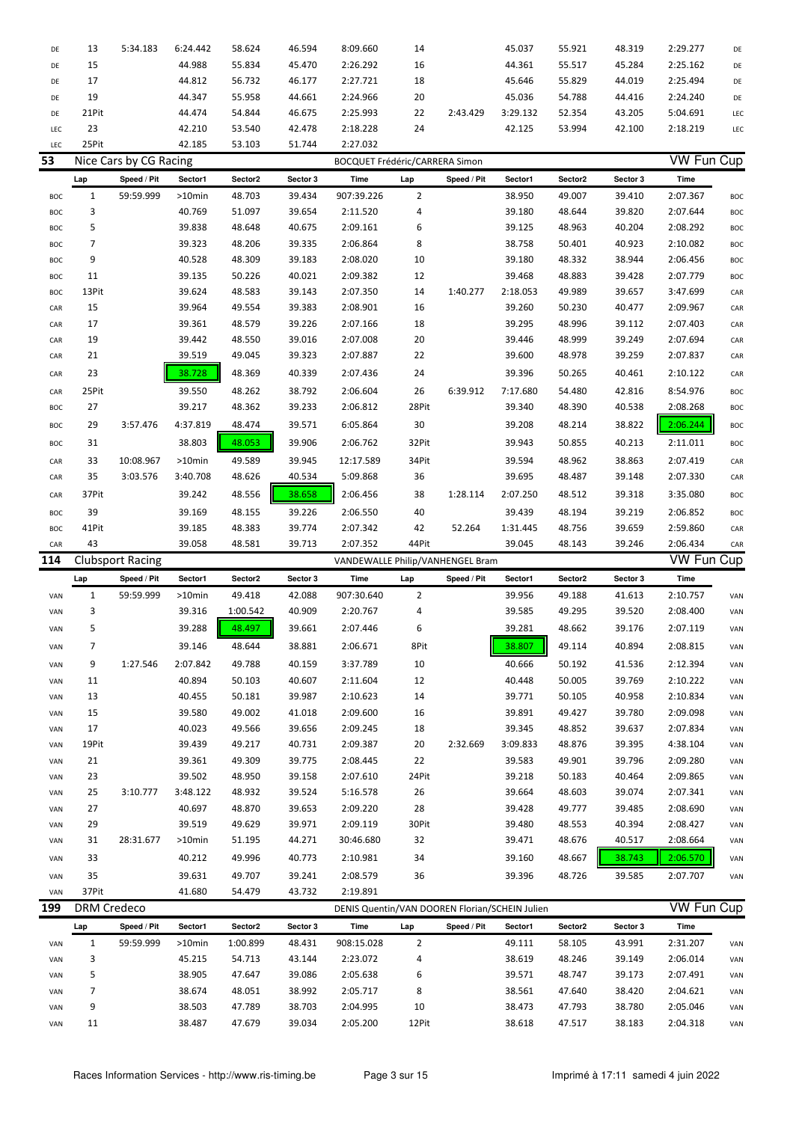| DE  | 13                 | 5:34.183                | 6:24.442  | 58.624   | 46.594   | 8:09.660                                       | 14             |             | 45.037   | 55.921  | 48.319   | 2:29.277          | DE  |
|-----|--------------------|-------------------------|-----------|----------|----------|------------------------------------------------|----------------|-------------|----------|---------|----------|-------------------|-----|
| DE  | 15                 |                         | 44.988    | 55.834   | 45.470   | 2:26.292                                       | 16             |             | 44.361   | 55.517  | 45.284   | 2:25.162          | DE  |
| DE  | 17                 |                         | 44.812    | 56.732   | 46.177   | 2:27.721                                       | 18             |             | 45.646   | 55.829  | 44.019   | 2:25.494          | DE  |
| DE  | 19                 |                         | 44.347    | 55.958   | 44.661   | 2:24.966                                       | 20             |             | 45.036   | 54.788  | 44.416   | 2:24.240          | DE  |
| DE  | 21Pit              |                         | 44.474    | 54.844   | 46.675   | 2:25.993                                       | 22             | 2:43.429    | 3:29.132 | 52.354  | 43.205   | 5:04.691          | LEC |
| LEC | 23                 |                         | 42.210    | 53.540   | 42.478   | 2:18.228                                       | 24             |             | 42.125   | 53.994  | 42.100   | 2:18.219          | LEC |
| LEC | 25Pit              |                         | 42.185    | 53.103   | 51.744   | 2:27.032                                       |                |             |          |         |          |                   |     |
| 53  |                    | Nice Cars by CG Racing  |           |          |          | <b>BOCQUET Frédéric/CARRERA Simon</b>          |                |             |          |         |          | <b>VW Fun Cup</b> |     |
|     | Lap                | Speed / Pit             | Sector1   | Sector2  | Sector 3 | Time                                           | Lap            | Speed / Pit | Sector1  | Sector2 | Sector 3 | Time              |     |
| BOC | $\mathbf{1}$       | 59:59.999               | >10min    | 48.703   | 39.434   | 907:39.226                                     | $\overline{2}$ |             | 38.950   | 49.007  | 39.410   | 2:07.367          | BOC |
| BOC | 3                  |                         | 40.769    | 51.097   | 39.654   | 2:11.520                                       | 4              |             | 39.180   | 48.644  | 39.820   | 2:07.644          | BOC |
| BOC | 5                  |                         | 39.838    | 48.648   | 40.675   | 2:09.161                                       | 6              |             | 39.125   | 48.963  | 40.204   | 2:08.292          | BOC |
| BOC | 7                  |                         | 39.323    | 48.206   | 39.335   | 2:06.864                                       | 8              |             | 38.758   | 50.401  | 40.923   | 2:10.082          | BOC |
| BOC | 9                  |                         | 40.528    | 48.309   | 39.183   | 2:08.020                                       | 10             |             | 39.180   | 48.332  | 38.944   | 2:06.456          | BOC |
| BOC | 11                 |                         | 39.135    | 50.226   | 40.021   | 2:09.382                                       | 12             |             | 39.468   | 48.883  | 39.428   | 2:07.779          | BOC |
| BOC | 13Pit              |                         | 39.624    | 48.583   | 39.143   | 2:07.350                                       | 14             | 1:40.277    | 2:18.053 | 49.989  | 39.657   | 3:47.699          | CAR |
|     | 15                 |                         | 39.964    | 49.554   | 39.383   | 2:08.901                                       | 16             |             | 39.260   | 50.230  | 40.477   | 2:09.967          |     |
| CAR | 17                 |                         |           | 48.579   |          |                                                |                |             |          | 48.996  |          |                   | CAR |
| CAR |                    |                         | 39.361    |          | 39.226   | 2:07.166                                       | 18             |             | 39.295   |         | 39.112   | 2:07.403          | CAR |
| CAR | 19                 |                         | 39.442    | 48.550   | 39.016   | 2:07.008                                       | 20             |             | 39.446   | 48.999  | 39.249   | 2:07.694          | CAR |
| CAR | 21                 |                         | 39.519    | 49.045   | 39.323   | 2:07.887                                       | 22             |             | 39.600   | 48.978  | 39.259   | 2:07.837          | CAR |
| CAR | 23                 |                         | 38.728    | 48.369   | 40.339   | 2:07.436                                       | 24             |             | 39.396   | 50.265  | 40.461   | 2:10.122          | CAR |
| CAR | 25Pit              |                         | 39.550    | 48.262   | 38.792   | 2:06.604                                       | 26             | 6:39.912    | 7:17.680 | 54.480  | 42.816   | 8:54.976          | BOC |
| BOC | 27                 |                         | 39.217    | 48.362   | 39.233   | 2:06.812                                       | 28Pit          |             | 39.340   | 48.390  | 40.538   | 2:08.268          | BOC |
| BOC | 29                 | 3:57.476                | 4:37.819  | 48.474   | 39.571   | 6:05.864                                       | 30             |             | 39.208   | 48.214  | 38.822   | 2:06.244          | BOC |
| BOC | 31                 |                         | 38.803    | 48.053   | 39.906   | 2:06.762                                       | 32Pit          |             | 39.943   | 50.855  | 40.213   | 2:11.011          | BOC |
| CAR | 33                 | 10:08.967               | $>10$ min | 49.589   | 39.945   | 12:17.589                                      | 34Pit          |             | 39.594   | 48.962  | 38.863   | 2:07.419          | CAR |
| CAR | 35                 | 3:03.576                | 3:40.708  | 48.626   | 40.534   | 5:09.868                                       | 36             |             | 39.695   | 48.487  | 39.148   | 2:07.330          | CAR |
|     |                    |                         |           |          |          |                                                |                |             |          |         |          |                   |     |
| CAR | 37Pit              |                         | 39.242    | 48.556   | 38.658   | 2:06.456                                       | 38             | 1:28.114    | 2:07.250 | 48.512  | 39.318   | 3:35.080          | BOC |
| BOC | 39                 |                         | 39.169    | 48.155   | 39.226   | 2:06.550                                       | 40             |             | 39.439   | 48.194  | 39.219   | 2:06.852          | BOC |
| BOC | 41Pit              |                         | 39.185    | 48.383   | 39.774   | 2:07.342                                       | 42             | 52.264      | 1:31.445 | 48.756  | 39.659   | 2:59.860          | CAR |
|     |                    |                         |           |          |          |                                                |                |             |          |         |          |                   |     |
| CAR | 43                 |                         | 39.058    | 48.581   | 39.713   | 2:07.352                                       | 44Pit          |             | 39.045   | 48.143  | 39.246   | 2:06.434          | CAR |
| 114 |                    | <b>Clubsport Racing</b> |           |          |          | VANDEWALLE Philip/VANHENGEL Bram               |                |             |          |         |          | <b>VW Fun Cup</b> |     |
|     | Lap                | Speed / Pit             | Sector1   | Sector2  | Sector 3 | Time                                           | Lap            | Speed / Pit | Sector1  | Sector2 | Sector 3 | Time              |     |
| VAN | $\mathbf{1}$       | 59:59.999               | >10min    | 49.418   | 42.088   | 907:30.640                                     | $\overline{2}$ |             | 39.956   | 49.188  | 41.613   | 2:10.757          | VAN |
| VAN | 3                  |                         | 39.316    | 1:00.542 | 40.909   | 2:20.767                                       | 4              |             | 39.585   | 49.295  | 39.520   | 2:08.400          | VAN |
| VAN | 5                  |                         | 39.288    | 48.497   | 39.661   | 2:07.446                                       | 6              |             | 39.281   | 48.662  | 39.176   | 2:07.119          | VAN |
| VAN | 7                  |                         | 39.146    | 48.644   | 38.881   | 2:06.671                                       | 8Pit           |             | 38.807   | 49.114  | 40.894   | 2:08.815          | VAN |
|     |                    |                         |           |          |          |                                                |                |             |          |         |          |                   |     |
| VAN | 9                  | 1:27.546                | 2:07.842  | 49.788   | 40.159   | 3:37.789                                       | $10\,$         |             | 40.666   | 50.192  | 41.536   | 2:12.394          | VAN |
| VAN | 11                 |                         | 40.894    | 50.103   | 40.607   | 2:11.604                                       | 12             |             | 40.448   | 50.005  | 39.769   | 2:10.222          | VAN |
| VAN | 13                 |                         | 40.455    | 50.181   | 39.987   | 2:10.623                                       | 14             |             | 39.771   | 50.105  | 40.958   | 2:10.834          | VAN |
| VAN | 15                 |                         | 39.580    | 49.002   | 41.018   | 2:09.600                                       | 16             |             | 39.891   | 49.427  | 39.780   | 2:09.098          | VAN |
| VAN | 17                 |                         | 40.023    | 49.566   | 39.656   | 2:09.245                                       | 18             |             | 39.345   | 48.852  | 39.637   | 2:07.834          | VAN |
| VAN | 19Pit              |                         | 39.439    | 49.217   | 40.731   | 2:09.387                                       | 20             | 2:32.669    | 3:09.833 | 48.876  | 39.395   | 4:38.104          | VAN |
| VAN | 21                 |                         | 39.361    | 49.309   | 39.775   | 2:08.445                                       | 22             |             | 39.583   | 49.901  | 39.796   | 2:09.280          | VAN |
| VAN | 23                 |                         | 39.502    | 48.950   | 39.158   | 2:07.610                                       | 24Pit          |             | 39.218   | 50.183  | 40.464   | 2:09.865          | VAN |
| VAN | 25                 | 3:10.777                | 3:48.122  | 48.932   | 39.524   | 5:16.578                                       | 26             |             | 39.664   | 48.603  | 39.074   | 2:07.341          | VAN |
| VAN | 27                 |                         | 40.697    | 48.870   | 39.653   | 2:09.220                                       | 28             |             | 39.428   | 49.777  | 39.485   | 2:08.690          | VAN |
| VAN | 29                 |                         | 39.519    | 49.629   | 39.971   | 2:09.119                                       | 30Pit          |             | 39.480   | 48.553  | 40.394   | 2:08.427          | VAN |
| VAN | 31                 | 28:31.677               | >10min    | 51.195   | 44.271   | 30:46.680                                      | 32             |             | 39.471   | 48.676  | 40.517   | 2:08.664          | VAN |
| VAN | 33                 |                         | 40.212    | 49.996   | 40.773   | 2:10.981                                       | 34             |             | 39.160   | 48.667  | 38.743   | 2:06.570          | VAN |
| VAN | 35                 |                         | 39.631    | 49.707   | 39.241   | 2:08.579                                       | 36             |             | 39.396   | 48.726  | 39.585   | 2:07.707          | VAN |
| VAN | 37Pit              |                         | 41.680    | 54.479   | 43.732   | 2:19.891                                       |                |             |          |         |          |                   |     |
| 199 | <b>DRM Credeco</b> |                         |           |          |          | DENIS Quentin/VAN DOOREN Florian/SCHEIN Julien |                |             |          |         |          | <b>VW Fun Cup</b> |     |
|     | Lap                | Speed / Pit             | Sector1   | Sector2  | Sector 3 | Time                                           | Lap            | Speed / Pit | Sector1  | Sector2 | Sector 3 | Time              |     |
| VAN | $\mathbf{1}$       | 59:59.999               | >10min    | 1:00.899 | 48.431   | 908:15.028                                     | $\overline{2}$ |             | 49.111   | 58.105  | 43.991   | 2:31.207          | VAN |
| VAN | 3                  |                         | 45.215    | 54.713   | 43.144   | 2:23.072                                       | 4              |             | 38.619   | 48.246  | 39.149   | 2:06.014          | VAN |
| VAN | 5                  |                         | 38.905    | 47.647   | 39.086   | 2:05.638                                       | 6              |             | 39.571   | 48.747  | 39.173   | 2:07.491          | VAN |
| VAN | 7                  |                         | 38.674    | 48.051   | 38.992   | 2:05.717                                       | 8              |             | 38.561   | 47.640  | 38.420   | 2:04.621          | VAN |
| VAN | 9                  |                         | 38.503    | 47.789   | 38.703   | 2:04.995                                       | 10             |             | 38.473   | 47.793  | 38.780   | 2:05.046          | VAN |
| VAN | 11                 |                         | 38.487    | 47.679   | 39.034   | 2:05.200                                       | 12Pit          |             | 38.618   | 47.517  | 38.183   | 2:04.318          | VAN |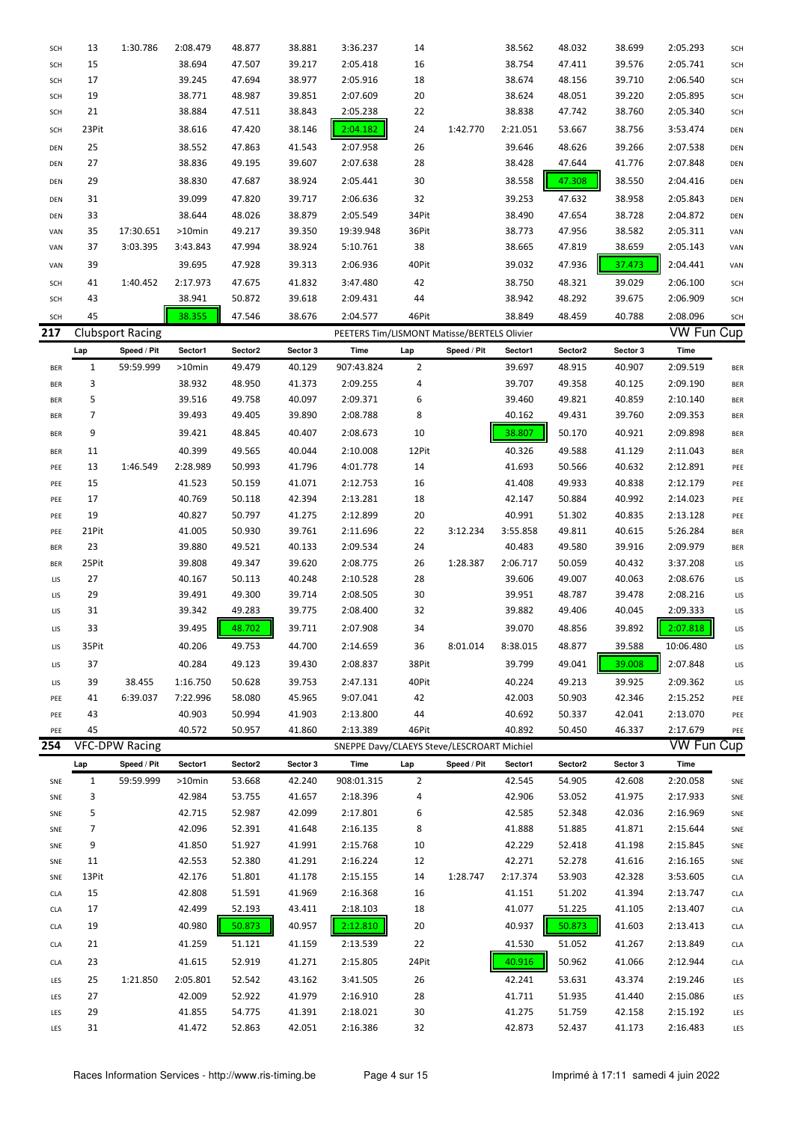| <b>SCH</b> | 13             | 1:30.786                | 2:08.479         | 48.877           | 38.881           | 3:36.237                                    | 14             |             | 38.562           | 48.032           | 38.699           | 2:05.293             | <b>SCH</b> |
|------------|----------------|-------------------------|------------------|------------------|------------------|---------------------------------------------|----------------|-------------|------------------|------------------|------------------|----------------------|------------|
| SCH        | 15             |                         | 38.694           | 47.507           | 39.217           | 2:05.418                                    | 16             |             | 38.754           | 47.411           | 39.576           | 2:05.741             | SCH        |
| <b>SCH</b> | 17             |                         | 39.245           | 47.694           | 38.977           | 2:05.916                                    | 18             |             | 38.674           | 48.156           | 39.710           | 2:06.540             | SCH        |
| <b>SCH</b> | 19             |                         | 38.771           | 48.987           | 39.851           | 2:07.609                                    | 20             |             | 38.624           | 48.051           | 39.220           | 2:05.895             | SCH        |
| SCH        | 21             |                         | 38.884           | 47.511           | 38.843           | 2:05.238                                    | 22             |             | 38.838           | 47.742           | 38.760           | 2:05.340             | SCH        |
| <b>SCH</b> | 23Pit          |                         | 38.616           | 47.420           | 38.146           | 2:04.182                                    | 24             | 1:42.770    | 2:21.051         | 53.667           | 38.756           | 3:53.474             | DEN        |
| DEN        | 25             |                         | 38.552           | 47.863           | 41.543           | 2:07.958                                    | 26             |             | 39.646           | 48.626           | 39.266           | 2:07.538             | DEN        |
| DEN        | 27             |                         | 38.836           | 49.195           | 39.607           | 2:07.638                                    | 28             |             | 38.428           | 47.644           | 41.776           | 2:07.848             | DEN        |
| DEN        | 29             |                         | 38.830           | 47.687           | 38.924           | 2:05.441                                    | 30             |             | 38.558           | 47.308           | 38.550           | 2:04.416             | DEN        |
|            |                |                         |                  |                  |                  |                                             |                |             |                  |                  |                  |                      |            |
| DEN        | 31             |                         | 39.099           | 47.820           | 39.717           | 2:06.636                                    | 32             |             | 39.253           | 47.632           | 38.958           | 2:05.843             | DEN        |
| DEN        | 33             |                         | 38.644           | 48.026           | 38.879           | 2:05.549                                    | 34Pit          |             | 38.490           | 47.654           | 38.728           | 2:04.872             | DEN        |
| VAN        | 35             | 17:30.651               | >10min           | 49.217           | 39.350           | 19:39.948                                   | 36Pit          |             | 38.773           | 47.956           | 38.582           | 2:05.311             | VAN        |
| VAN        | 37             | 3:03.395                | 3:43.843         | 47.994           | 38.924           | 5:10.761                                    | 38             |             | 38.665           | 47.819           | 38.659           | 2:05.143             | VAN        |
| VAN        | 39             |                         | 39.695           | 47.928           | 39.313           | 2:06.936                                    | 40Pit          |             | 39.032           | 47.936           | 37.473           | 2:04.441             | VAN        |
| <b>SCH</b> | 41             | 1:40.452                | 2:17.973         | 47.675           | 41.832           | 3:47.480                                    | 42             |             | 38.750           | 48.321           | 39.029           | 2:06.100             | <b>SCH</b> |
| <b>SCH</b> | 43             |                         | 38.941           | 50.872           | 39.618           | 2:09.431                                    | 44             |             | 38.942           | 48.292           | 39.675           | 2:06.909             | <b>SCH</b> |
| SCH        | 45             |                         | 38.355           | 47.546           | 38.676           | 2:04.577                                    | 46Pit          |             | 38.849           | 48.459           | 40.788           | 2:08.096             | SCH        |
| 217        |                | <b>Clubsport Racing</b> |                  |                  |                  | PEETERS Tim/LISMONT Matisse/BERTELS Olivier |                |             |                  |                  |                  | <b>VW Fun Cup</b>    |            |
|            | Lap            | Speed / Pit             | Sector1          | Sector2          | Sector 3         | Time                                        | Lap            | Speed / Pit | Sector1          | Sector2          | Sector 3         | Time                 |            |
| <b>BER</b> | $\mathbf{1}$   | 59:59.999               | $>10$ min        | 49.479           | 40.129           | 907:43.824                                  | $\overline{2}$ |             | 39.697           | 48.915           | 40.907           | 2:09.519             | <b>BER</b> |
| <b>BER</b> | 3              |                         | 38.932           | 48.950           | 41.373           | 2:09.255                                    | 4              |             | 39.707           | 49.358           | 40.125           | 2:09.190             | <b>BER</b> |
| <b>BER</b> | 5              |                         | 39.516           | 49.758           | 40.097           | 2:09.371                                    | 6              |             | 39.460           | 49.821           | 40.859           | 2:10.140             | <b>BER</b> |
| <b>BER</b> | $\overline{7}$ |                         | 39.493           | 49.405           | 39.890           | 2:08.788                                    | 8              |             | 40.162           | 49.431           | 39.760           | 2:09.353             | <b>BER</b> |
| <b>BER</b> | 9              |                         | 39.421           | 48.845           | 40.407           | 2:08.673                                    | 10             |             | 38.807           | 50.170           | 40.921           | 2:09.898             | <b>BER</b> |
| <b>BER</b> | 11             |                         | 40.399           | 49.565           | 40.044           | 2:10.008                                    | 12Pit          |             | 40.326           | 49.588           | 41.129           | 2:11.043             | <b>BER</b> |
| PEE        | 13             | 1:46.549                | 2:28.989         | 50.993           | 41.796           | 4:01.778                                    | 14             |             | 41.693           | 50.566           | 40.632           | 2:12.891             | PEE        |
| PEE        | 15             |                         | 41.523           | 50.159           | 41.071           | 2:12.753                                    | 16             |             | 41.408           | 49.933           | 40.838           | 2:12.179             | PEE        |
| PEE        | 17             |                         | 40.769           | 50.118           | 42.394           | 2:13.281                                    | 18             |             | 42.147           | 50.884           | 40.992           | 2:14.023             | PEE        |
| PEE        | 19             |                         | 40.827           | 50.797           | 41.275           | 2:12.899                                    | 20             |             | 40.991           | 51.302           | 40.835           | 2:13.128             | PEE        |
| PEE        | 21Pit          |                         | 41.005           | 50.930           | 39.761           | 2:11.696                                    | 22             | 3:12.234    | 3:55.858         | 49.811           | 40.615           | 5:26.284             | <b>BER</b> |
| <b>BER</b> | 23             |                         | 39.880           | 49.521           | 40.133           | 2:09.534                                    | 24             |             | 40.483           | 49.580           | 39.916           | 2:09.979             | <b>BER</b> |
| <b>BER</b> | 25Pit          |                         | 39.808           | 49.347           | 39.620           | 2:08.775                                    | 26             | 1:28.387    | 2:06.717         | 50.059           | 40.432           | 3:37.208             | LIS        |
| LIS        | 27             |                         | 40.167           | 50.113           | 40.248           | 2:10.528                                    | 28             |             | 39.606           | 49.007           | 40.063           | 2:08.676             | LIS        |
| LIS        | 29             |                         | 39.491           | 49.300           | 39.714           | 2:08.505                                    | 30             |             | 39.951           | 48.787           | 39.478           | 2:08.216             | LIS        |
| LIS        | 31             |                         | 39.342           | 49.283           | 39.775           | 2:08.400                                    | 32             |             | 39.882           | 49.406           | 40.045           | 2:09.333             | LIS        |
|            |                |                         | 39.495           |                  |                  |                                             |                |             |                  |                  | 39.892           | 2:07.818             |            |
| LIS        | 33             |                         |                  | 48.702           | 39.711           | 2:07.908                                    | 34             |             | 39.070           | 48.856           |                  |                      | LIS        |
| LIS        | 35Pit          |                         | 40.206           | 49.753           | 44.700           | 2:14.659                                    | 36             | 8:01.014    | 8:38.015         | 48.877           | 39.588           | 10:06.480            | LIS        |
| LIS        | 37             |                         | 40.284           | 49.123           | 39.430           | 2:08.837                                    | 38Pit          |             | 39.799           | 49.041           | 39.008           | 2:07.848             | LIS        |
| LIS        | 39             | 38.455                  | 1:16.750         | 50.628           | 39.753           | 2:47.131                                    | 40Pit          |             | 40.224           | 49.213           | 39.925           | 2:09.362             | LIS        |
| PEE        | 41             | 6:39.037                | 7:22.996         | 58.080           | 45.965           | 9:07.041                                    | 42             |             | 42.003           | 50.903           | 42.346           | 2:15.252             | PEE        |
| PEE        | 43             |                         | 40.903           | 50.994           | 41.903           | 2:13.800                                    | 44             |             | 40.692           | 50.337           | 42.041           | 2:13.070             | PEE        |
| PEE        | 45             |                         | 40.572           | 50.957           | 41.860           | 2:13.389                                    | 46Pit          |             | 40.892           | 50.450           | 46.337           | 2:17.679             | PEE        |
| 254        |                | <b>VFC-DPW Racing</b>   |                  |                  |                  | SNEPPE Davy/CLAEYS Steve/LESCROART Michiel  |                |             |                  |                  |                  | <b>VW Fun Cup</b>    |            |
|            | Lap            | Speed / Pit             | Sector1          | Sector2          | Sector 3         | Time                                        | Lap            | Speed / Pit | Sector1          | Sector2          | Sector 3         | Time                 |            |
| SNE        | $\mathbf{1}$   | 59:59.999               | >10min           | 53.668           | 42.240           | 908:01.315                                  | $\overline{2}$ |             | 42.545           | 54.905           | 42.608           | 2:20.058             | SNE        |
| SNE        | 3              |                         | 42.984           | 53.755           | 41.657           | 2:18.396                                    | 4              |             | 42.906           | 53.052           | 41.975           | 2:17.933             | SNE        |
| SNE        | 5              |                         | 42.715           | 52.987           | 42.099           | 2:17.801                                    | 6              |             | 42.585           | 52.348           | 42.036           | 2:16.969             | SNE        |
| SNE        | 7              |                         | 42.096           | 52.391           | 41.648           | 2:16.135                                    | 8              |             | 41.888           | 51.885           | 41.871           | 2:15.644             | SNE        |
| SNE        | 9              |                         | 41.850           | 51.927           | 41.991           | 2:15.768                                    | 10             |             | 42.229           | 52.418           | 41.198           | 2:15.845             | SNE        |
| SNE        | 11             |                         | 42.553           | 52.380           | 41.291           | 2:16.224                                    | 12             |             | 42.271           | 52.278           | 41.616           | 2:16.165             | SNE        |
| SNE        | 13Pit          |                         | 42.176           | 51.801           | 41.178           | 2:15.155                                    | 14             | 1:28.747    | 2:17.374         | 53.903           | 42.328           | 3:53.605             | <b>CLA</b> |
| <b>CLA</b> | 15             |                         | 42.808           | 51.591           | 41.969           | 2:16.368                                    | 16             |             | 41.151           | 51.202           | 41.394           | 2:13.747             | <b>CLA</b> |
| <b>CLA</b> | 17             |                         | 42.499           | 52.193           | 43.411           | 2:18.103                                    | 18             |             | 41.077           | 51.225           | 41.105           | 2:13.407             | <b>CLA</b> |
| CLA        | 19             |                         | 40.980           | 50.873           | 40.957           | 2:12.810                                    | 20             |             | 40.937           | 50.873           | 41.603           | 2:13.413             | <b>CLA</b> |
| CLA        | 21             |                         | 41.259           | 51.121           | 41.159           | 2:13.539                                    | 22             |             | 41.530           | 51.052           | 41.267           | 2:13.849             | <b>CLA</b> |
|            | 23             |                         |                  |                  | 41.271           |                                             |                |             |                  | 50.962           |                  |                      |            |
| <b>CLA</b> |                |                         | 41.615           | 52.919           |                  | 2:15.805                                    | 24Pit          |             | 40.916           |                  | 41.066           | 2:12.944             | <b>CLA</b> |
|            |                |                         |                  |                  |                  |                                             |                |             |                  |                  |                  |                      |            |
| LES        | 25             | 1:21.850                | 2:05.801         | 52.542           | 43.162           | 3:41.505                                    | 26             |             | 42.241           | 53.631           | 43.374           | 2:19.246             | LES        |
| LES        | 27             |                         | 42.009           | 52.922           | 41.979           | 2:16.910                                    | 28             |             | 41.711           | 51.935           | 41.440           | 2:15.086             | LES        |
| LES<br>LES | 29<br>31       |                         | 41.855<br>41.472 | 54.775<br>52.863 | 41.391<br>42.051 | 2:18.021<br>2:16.386                        | 30<br>32       |             | 41.275<br>42.873 | 51.759<br>52.437 | 42.158<br>41.173 | 2:15.192<br>2:16.483 | LES<br>LES |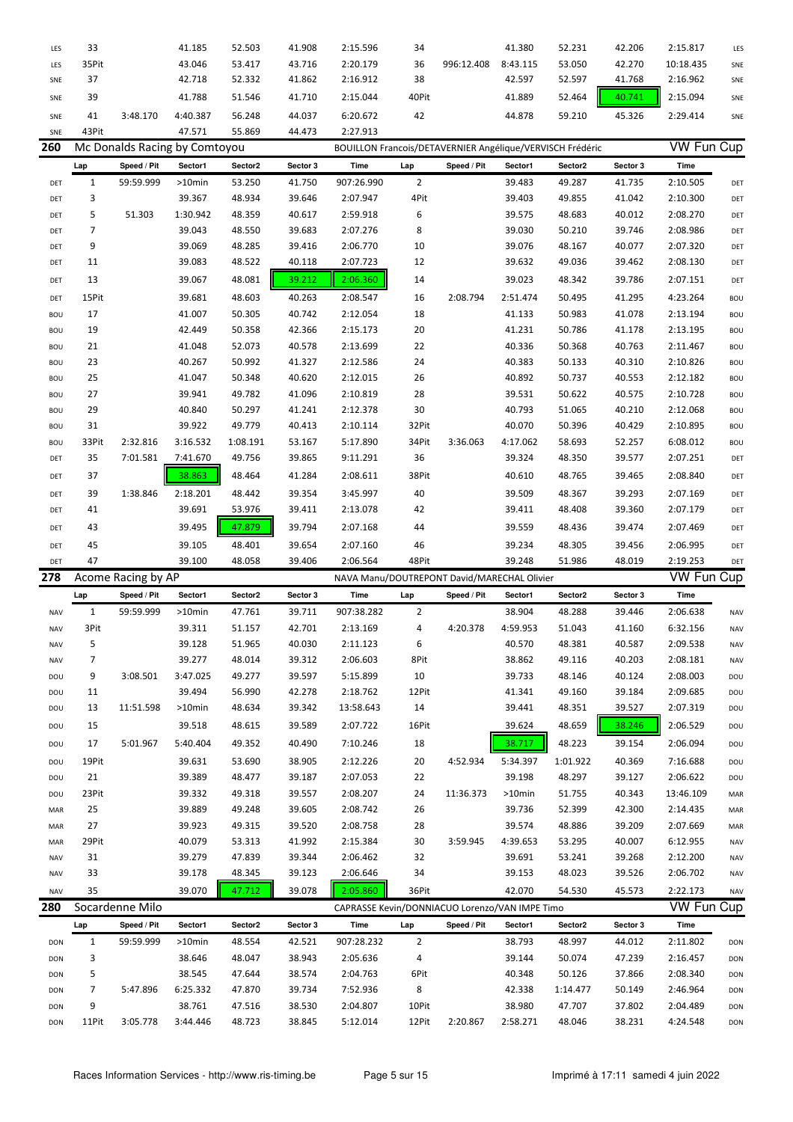| LES        | 33           |                    | 41.185                        | 52.503           | 41.908           | 2:15.596                                                  | 34             |             | 41.380             | 52.231           | 42.206           | 2:15.817             | LES                      |
|------------|--------------|--------------------|-------------------------------|------------------|------------------|-----------------------------------------------------------|----------------|-------------|--------------------|------------------|------------------|----------------------|--------------------------|
| LES        | 35Pit        |                    | 43.046                        | 53.417           | 43.716           | 2:20.179                                                  | 36             | 996:12.408  | 8:43.115           | 53.050           | 42.270           | 10:18.435            | SNE                      |
| SNE        | 37           |                    | 42.718                        | 52.332           | 41.862           | 2:16.912                                                  | 38             |             | 42.597             | 52.597           | 41.768           | 2:16.962             | SNE                      |
| SNE        | 39           |                    | 41.788                        | 51.546           | 41.710           | 2:15.044                                                  | 40Pit          |             | 41.889             | 52.464           | 40.741           | 2:15.094             | SNE                      |
| SNE        | 41           | 3:48.170           | 4:40.387                      | 56.248           | 44.037           | 6:20.672                                                  | 42             |             | 44.878             | 59.210           | 45.326           | 2:29.414             | SNE                      |
| SNE        | 43Pit        |                    | 47.571                        | 55.869           | 44.473           | 2:27.913                                                  |                |             |                    |                  |                  |                      |                          |
| 260        |              |                    | Mc Donalds Racing by Comtoyou |                  |                  | BOUILLON Francois/DETAVERNIER Angélique/VERVISCH Frédéric |                |             |                    |                  |                  | <b>VW Fun Cup</b>    |                          |
|            | Lap          | Speed / Pit        | Sector1                       | Sector2          | Sector 3         | Time                                                      | Lap            | Speed / Pit | Sector1            | Sector2          | Sector 3         | Time                 |                          |
| DET        | $\mathbf{1}$ | 59:59.999          | >10min                        | 53.250           | 41.750           | 907:26.990                                                | $\overline{2}$ |             | 39.483             | 49.287           | 41.735           | 2:10.505             | DET                      |
| DET        | 3            |                    | 39.367                        | 48.934           | 39.646           | 2:07.947                                                  | 4Pit           |             | 39.403             | 49.855           | 41.042           | 2:10.300             | DET                      |
| DET        | 5            | 51.303             | 1:30.942                      | 48.359           | 40.617           | 2:59.918                                                  | 6              |             | 39.575             | 48.683           | 40.012           | 2:08.270             | DET                      |
| DET        | 7            |                    | 39.043                        | 48.550           | 39.683           | 2:07.276                                                  | 8              |             | 39.030             | 50.210           | 39.746           | 2:08.986             | DET                      |
| DET        | 9            |                    | 39.069                        | 48.285           | 39.416           | 2:06.770                                                  | 10             |             | 39.076             | 48.167           | 40.077           | 2:07.320             | DET                      |
| DET        | 11           |                    | 39.083                        | 48.522           | 40.118           | 2:07.723                                                  | 12             |             | 39.632             | 49.036           | 39.462           | 2:08.130             | DET                      |
| DET        | 13           |                    | 39.067                        | 48.081           | 39.212           | 2:06.360                                                  | 14             |             | 39.023             | 48.342           | 39.786           | 2:07.151             | DET                      |
|            | 15Pit        |                    | 39.681                        | 48.603           | 40.263           | 2:08.547                                                  | 16             | 2:08.794    | 2:51.474           | 50.495           | 41.295           | 4:23.264             | <b>BOU</b>               |
| DET<br>BOU | 17           |                    | 41.007                        | 50.305           | 40.742           | 2:12.054                                                  | 18             |             | 41.133             | 50.983           | 41.078           | 2:13.194             |                          |
| BOU        | 19           |                    | 42.449                        | 50.358           | 42.366           | 2:15.173                                                  | 20             |             | 41.231             | 50.786           | 41.178           | 2:13.195             | <b>BOU</b><br><b>BOU</b> |
| BOU        | 21           |                    | 41.048                        | 52.073           | 40.578           | 2:13.699                                                  | 22             |             | 40.336             | 50.368           | 40.763           | 2:11.467             | <b>BOU</b>               |
| BOU        | 23           |                    | 40.267                        | 50.992           | 41.327           | 2:12.586                                                  | 24             |             | 40.383             | 50.133           | 40.310           | 2:10.826             | <b>BOU</b>               |
| BOU        | 25           |                    | 41.047                        | 50.348           | 40.620           | 2:12.015                                                  | 26             |             | 40.892             | 50.737           | 40.553           | 2:12.182             | <b>BOU</b>               |
| BOU        | 27           |                    | 39.941                        | 49.782           | 41.096           | 2:10.819                                                  | 28             |             | 39.531             | 50.622           | 40.575           | 2:10.728             | <b>BOU</b>               |
| BOU        | 29           |                    | 40.840                        | 50.297           | 41.241           | 2:12.378                                                  | 30             |             | 40.793             | 51.065           | 40.210           | 2:12.068             | <b>BOU</b>               |
| BOU        | 31           |                    | 39.922                        | 49.779           | 40.413           | 2:10.114                                                  | 32Pit          |             | 40.070             | 50.396           | 40.429           | 2:10.895             | <b>BOU</b>               |
| BOU        | 33Pit        | 2:32.816           | 3:16.532                      | 1:08.191         | 53.167           | 5:17.890                                                  | 34Pit          | 3:36.063    | 4:17.062           | 58.693           | 52.257           | 6:08.012             | <b>BOU</b>               |
| DET        | 35           | 7:01.581           | 7:41.670                      | 49.756           | 39.865           | 9:11.291                                                  | 36             |             | 39.324             | 48.350           | 39.577           | 2:07.251             | DET                      |
| DET        | 37           |                    | 38.863                        | 48.464           | 41.284           | 2:08.611                                                  | 38Pit          |             | 40.610             | 48.765           | 39.465           | 2:08.840             | DET                      |
|            |              |                    |                               |                  |                  |                                                           |                |             |                    |                  |                  |                      |                          |
| DET        | 39           | 1:38.846           | 2:18.201                      | 48.442           | 39.354           | 3:45.997                                                  | 40             |             | 39.509             | 48.367           | 39.293           | 2:07.169             | DET                      |
| DET        | 41           |                    | 39.691                        | 53.976           | 39.411           | 2:13.078                                                  | 42             |             | 39.411             | 48.408           | 39.360           | 2:07.179             | DET                      |
| DET        | 43           |                    | 39.495                        | 47.879           | 39.794           | 2:07.168                                                  | 44             |             | 39.559             | 48.436           | 39.474           | 2:07.469             | DET                      |
|            |              |                    |                               |                  |                  |                                                           |                |             |                    |                  |                  |                      |                          |
| DET        | 45           |                    | 39.105                        | 48.401           | 39.654           | 2:07.160                                                  | 46             |             | 39.234             | 48.305           | 39.456           | 2:06.995             | DET                      |
| DET        | 47           |                    | 39.100                        | 48.058           | 39.406           | 2:06.564                                                  | 48Pit          |             | 39.248             | 51.986           | 48.019           | 2:19.253             | DET                      |
| 278        |              | Acome Racing by AP |                               |                  |                  | NAVA Manu/DOUTREPONT David/MARECHAL Olivier               |                |             |                    |                  |                  | <b>VW Fun Cup</b>    |                          |
|            | Lap          | Speed / Pit        | Sector1                       | Sector2          | Sector 3         | Time                                                      | Lap            | Speed / Pit | Sector1            | Sector2          | Sector 3         | <b>Time</b>          |                          |
| <b>NAV</b> | $\mathbf{1}$ | 59:59.999          | >10min                        | 47.761           | 39.711           | 907:38.282                                                | 2              |             | 38.904             | 48.288           | 39.446           | 2:06.638             | <b>NAV</b>               |
| <b>NAV</b> | 3Pit         |                    | 39.311                        | 51.157           | 42.701           | 2:13.169                                                  | 4              | 4:20.378    | 4:59.953           | 51.043           | 41.160           | 6:32.156             | <b>NAV</b>               |
| NAV        | 5            |                    | 39.128                        | 51.965           | 40.030           | 2:11.123                                                  | 6              |             | 40.570             | 48.381           | 40.587           | 2:09.538             | <b>NAV</b>               |
| <b>NAV</b> | 7            |                    | 39.277                        | 48.014           | 39.312           | 2:06.603                                                  | 8Pit           |             | 38.862             | 49.116           | 40.203           | 2:08.181             | <b>NAV</b>               |
| DOU        | 9            | 3:08.501           | 3:47.025                      | 49.277           | 39.597           | 5:15.899                                                  | 10             |             | 39.733             | 48.146           | 40.124           | 2:08.003             | DOU                      |
| DOU        | 11           |                    | 39.494                        | 56.990           | 42.278           | 2:18.762                                                  | 12Pit          |             | 41.341             | 49.160           | 39.184           | 2:09.685             | DOU                      |
| DOU        | 13           | 11:51.598          | >10min                        | 48.634           | 39.342           | 13:58.643                                                 | 14             |             | 39.441             | 48.351           | 39.527           | 2:07.319             | DOU                      |
| DOU        | 15           |                    | 39.518                        | 48.615           | 39.589           | 2:07.722                                                  | 16Pit          |             | 39.624             | 48.659           | 38.246           | 2:06.529             | DOU                      |
| DOU        | 17           | 5:01.967           | 5:40.404                      | 49.352           | 40.490           | 7:10.246                                                  | 18             |             | 38.717             | 48.223           | 39.154           | 2:06.094             | DOU                      |
| DOU        | 19Pit        |                    | 39.631                        | 53.690           | 38.905           | 2:12.226                                                  | 20             | 4:52.934    | 5:34.397           | 1:01.922         | 40.369           | 7:16.688             | DOU                      |
| DOU        | 21           |                    | 39.389                        | 48.477           | 39.187           | 2:07.053                                                  | 22             |             | 39.198             | 48.297           | 39.127           | 2:06.622             | DOU                      |
| DOU        | 23Pit        |                    | 39.332                        | 49.318           | 39.557           | 2:08.207                                                  | 24             | 11:36.373   | >10min             | 51.755           | 40.343           | 13:46.109            | MAR                      |
| MAR        | 25           |                    | 39.889                        | 49.248           | 39.605           | 2:08.742                                                  | 26             |             | 39.736             | 52.399           | 42.300           | 2:14.435             | MAR                      |
| MAR        | 27           |                    | 39.923                        | 49.315           | 39.520           | 2:08.758                                                  | 28             |             | 39.574             | 48.886           | 39.209           | 2:07.669             | MAR                      |
| MAR        | 29Pit        |                    | 40.079                        | 53.313           | 41.992           | 2:15.384                                                  | 30             | 3:59.945    | 4:39.653           | 53.295           | 40.007           | 6:12.955             | NAV                      |
| NAV        | 31           |                    | 39.279                        | 47.839           | 39.344           | 2:06.462                                                  | 32             |             | 39.691             | 53.241           | 39.268           | 2:12.200             | <b>NAV</b>               |
| <b>NAV</b> | 33           |                    | 39.178                        | 48.345           | 39.123           | 2:06.646                                                  | 34             |             | 39.153             | 48.023           | 39.526           | 2:06.702             | <b>NAV</b>               |
| <b>NAV</b> | 35           |                    | 39.070                        | 47.712           | 39.078           | 2:05.860                                                  | 36Pit          |             | 42.070             | 54.530           | 45.573           | 2:22.173             | <b>NAV</b>               |
| 280        |              | Socardenne Milo    |                               |                  |                  | CAPRASSE Kevin/DONNIACUO Lorenzo/VAN IMPE Timo            |                |             |                    |                  |                  | <b>VW Fun Cup</b>    |                          |
|            | Lap          | Speed / Pit        | Sector1                       | Sector2          | Sector 3         | Time                                                      | Lap            | Speed / Pit | Sector1            | Sector2          | Sector 3         | Time                 |                          |
| DON        | $\mathbf{1}$ | 59:59.999          | >10min                        | 48.554           | 42.521           | 907:28.232                                                | $\overline{2}$ |             | 38.793             | 48.997           | 44.012           | 2:11.802             | DON                      |
| DON        | 3            |                    | 38.646                        | 48.047           | 38.943           | 2:05.636                                                  | 4              |             | 39.144             | 50.074           | 47.239           | 2:16.457             | DON                      |
| DON        | 5            |                    | 38.545                        | 47.644           | 38.574           | 2:04.763                                                  | 6Pit           |             | 40.348             | 50.126           | 37.866           | 2:08.340             | DON                      |
| DON        | 7            | 5:47.896           | 6:25.332                      | 47.870           | 39.734           | 7:52.936                                                  | 8              |             | 42.338             | 1:14.477         | 50.149           | 2:46.964             | DON                      |
| DON<br>DON | 9<br>11Pit   | 3:05.778           | 38.761<br>3:44.446            | 47.516<br>48.723 | 38.530<br>38.845 | 2:04.807<br>5:12.014                                      | 10Pit<br>12Pit | 2:20.867    | 38.980<br>2:58.271 | 47.707<br>48.046 | 37.802<br>38.231 | 2:04.489<br>4:24.548 | DON<br>DON               |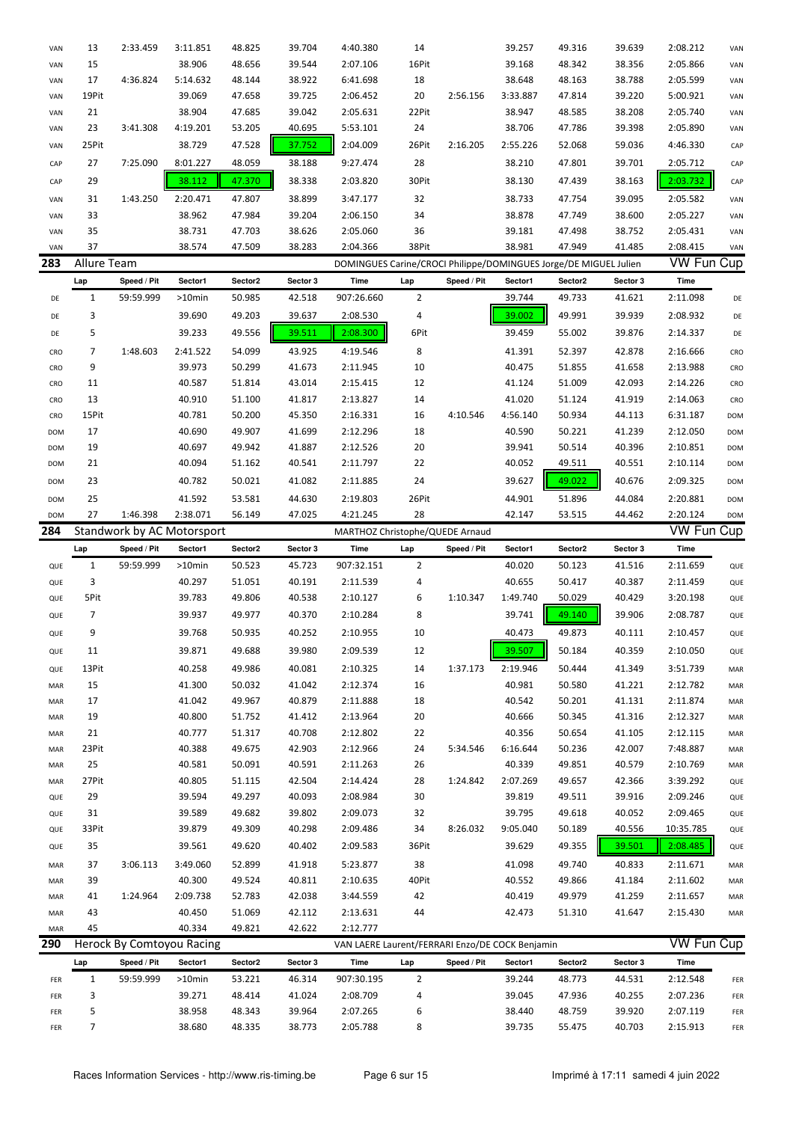| VAN        | 13           | 2:33.459                   | 3:11.851         | 48.825           | 39.704           | 4:40.380                                                         | 14             |             | 39.257           | 49.316           | 39.639           | 2:08.212             | VAN        |
|------------|--------------|----------------------------|------------------|------------------|------------------|------------------------------------------------------------------|----------------|-------------|------------------|------------------|------------------|----------------------|------------|
| VAN        | 15           |                            | 38.906           | 48.656           | 39.544           | 2:07.106                                                         | 16Pit          |             | 39.168           | 48.342           | 38.356           | 2:05.866             | VAN        |
| VAN        | 17           | 4:36.824                   | 5:14.632         | 48.144           | 38.922           | 6:41.698                                                         | 18             |             | 38.648           | 48.163           | 38.788           | 2:05.599             | VAN        |
| VAN        | 19Pit        |                            | 39.069           | 47.658           | 39.725           | 2:06.452                                                         | 20             | 2:56.156    | 3:33.887         | 47.814           | 39.220           | 5:00.921             | VAN        |
| VAN        | 21           |                            | 38.904           | 47.685           | 39.042           | 2:05.631                                                         | 22Pit          |             | 38.947           | 48.585           | 38.208           | 2:05.740             | VAN        |
| VAN        | 23           | 3:41.308                   | 4:19.201         | 53.205           | 40.695           | 5:53.101                                                         | 24             |             | 38.706           | 47.786           | 39.398           | 2:05.890             | VAN        |
| VAN        | 25Pit        |                            | 38.729           | 47.528           | 37.752           | 2:04.009                                                         | 26Pit          | 2:16.205    | 2:55.226         | 52.068           | 59.036           | 4:46.330             | CAP        |
| CAP        | 27           | 7:25.090                   | 8:01.227         | 48.059           | 38.188           | 9:27.474                                                         | 28             |             | 38.210           | 47.801           | 39.701           | 2:05.712             | CAP        |
|            |              |                            |                  |                  |                  |                                                                  |                |             |                  |                  |                  |                      |            |
| CAP        | 29           |                            | 38.112           | 47.370           | 38.338           | 2:03.820                                                         | 30Pit          |             | 38.130           | 47.439           | 38.163           | 2:03.732             | CAP        |
| VAN        | 31           | 1:43.250                   | 2:20.471         | 47.807           | 38.899           | 3:47.177                                                         | 32             |             | 38.733           | 47.754           | 39.095           | 2:05.582             | VAN        |
| VAN        | 33           |                            | 38.962           | 47.984           | 39.204           | 2:06.150                                                         | 34             |             | 38.878           | 47.749           | 38.600           | 2:05.227             | VAN        |
| VAN        | 35           |                            | 38.731           | 47.703           | 38.626           | 2:05.060                                                         | 36             |             | 39.181           | 47.498           | 38.752           | 2:05.431             | VAN        |
| VAN        | 37           |                            | 38.574           | 47.509           | 38.283           | 2:04.366                                                         | 38Pit          |             | 38.981           | 47.949           | 41.485           | 2:08.415             | VAN        |
| 283        | Allure Team  |                            |                  |                  |                  | DOMINGUES Carine/CROCI Philippe/DOMINGUES Jorge/DE MIGUEL Julien |                |             |                  |                  |                  | <b>VW Fun Cup</b>    |            |
|            | Lap          | Speed / Pit                | Sector1          | Sector2          | Sector 3         | Time                                                             | Lap            | Speed / Pit | Sector1          | Sector2          | Sector 3         | <b>Time</b>          |            |
| DE         | 1            | 59:59.999                  | >10min           | 50.985           | 42.518           | 907:26.660                                                       | $\overline{2}$ |             | 39.744           | 49.733           | 41.621           | 2:11.098             | DE         |
| DE         | 3            |                            | 39.690           | 49.203           | 39.637           | 2:08.530                                                         | 4              |             | 39.002           | 49.991           | 39.939           | 2:08.932             | DE         |
| DE         | 5            |                            | 39.233           | 49.556           | 39.511           | 2:08.300                                                         | 6Pit           |             | 39.459           | 55.002           | 39.876           | 2:14.337             | DE         |
| CRO        | 7            | 1:48.603                   | 2:41.522         | 54.099           | 43.925           | 4:19.546                                                         | 8              |             | 41.391           | 52.397           | 42.878           | 2:16.666             | CRO        |
| CRO        | 9            |                            | 39.973           | 50.299           | 41.673           | 2:11.945                                                         | 10             |             | 40.475           | 51.855           | 41.658           | 2:13.988             | CRO        |
| CRO        | 11           |                            | 40.587           | 51.814           | 43.014           | 2:15.415                                                         | 12             |             | 41.124           | 51.009           | 42.093           | 2:14.226             | CRO        |
| CRO        | 13           |                            | 40.910           | 51.100           | 41.817           | 2:13.827                                                         | 14             |             | 41.020           | 51.124           | 41.919           | 2:14.063             | CRO        |
| CRO        | 15Pit        |                            | 40.781           | 50.200           | 45.350           | 2:16.331                                                         | 16             | 4:10.546    | 4:56.140         | 50.934           | 44.113           | 6:31.187             | <b>DOM</b> |
| <b>DOM</b> | 17           |                            | 40.690           | 49.907           | 41.699           | 2:12.296                                                         | 18             |             | 40.590           | 50.221           | 41.239           | 2:12.050             | <b>DOM</b> |
| <b>DOM</b> | 19           |                            | 40.697           | 49.942           | 41.887           | 2:12.526                                                         | 20             |             | 39.941           | 50.514           | 40.396           | 2:10.851             | <b>DOM</b> |
| DOM        | 21           |                            | 40.094           | 51.162           | 40.541           | 2:11.797                                                         | 22             |             | 40.052           | 49.511           | 40.551           | 2:10.114             | <b>DOM</b> |
| <b>DOM</b> | 23           |                            | 40.782           | 50.021           | 41.082           | 2:11.885                                                         | 24             |             | 39.627           | 49.022           | 40.676           | 2:09.325             | <b>DOM</b> |
| <b>DOM</b> | 25           |                            | 41.592           | 53.581           | 44.630           | 2:19.803                                                         | 26Pit          |             | 44.901           | 51.896           | 44.084           | 2:20.881             | <b>DOM</b> |
| <b>DOM</b> | 27           | 1:46.398                   | 2:38.071         | 56.149           | 47.025           | 4:21.245                                                         | 28             |             | 42.147           | 53.515           | 44.462           | 2:20.124             | <b>DOM</b> |
| 284        |              | Standwork by AC Motorsport |                  |                  |                  | MARTHOZ Christophe/QUEDE Arnaud                                  |                |             |                  |                  |                  | <b>VW Fun Cup</b>    |            |
|            |              |                            |                  |                  |                  |                                                                  |                |             |                  |                  |                  |                      |            |
|            |              |                            |                  |                  |                  |                                                                  |                |             |                  |                  |                  |                      |            |
|            | Lap          | Speed / Pit                | Sector1          | Sector2          | Sector 3         | Time                                                             | Lap            | Speed / Pit | Sector1          | Sector2          | Sector 3         | Time                 |            |
| QUE        | $\mathbf{1}$ | 59:59.999                  | $>10$ min        | 50.523           | 45.723           | 907:32.151                                                       | 2              |             | 40.020           | 50.123           | 41.516           | 2:11.659             | QUE        |
| QUE        | 3            |                            | 40.297           | 51.051           | 40.191           | 2:11.539                                                         | 4              |             | 40.655           | 50.417           | 40.387           | 2:11.459             | QUE        |
| QUE        | 5Pit         |                            | 39.783           | 49.806           | 40.538           | 2:10.127                                                         | 6              | 1:10.347    | 1:49.740         | 50.029           | 40.429           | 3:20.198             | QUE        |
| QUE        | 7            |                            | 39.937           | 49.977           | 40.370           | 2:10.284                                                         | 8              |             | 39.741           | 49.140           | 39.906           | 2:08.787             | QUE        |
| QUE        | 9            |                            | 39.768           | 50.935           | 40.252           | 2:10.955                                                         | 10             |             | 40.473           | 49.873           | 40.111           | 2:10.457             | QUE        |
| QUE        | 11           |                            | 39.871           | 49.688           | 39.980           | 2:09.539                                                         | 12             |             | 39.507           | 50.184           | 40.359           | 2:10.050             | QUE        |
| QUE        | 13Pit        |                            | 40.258           | 49.986           | 40.081           | 2:10.325                                                         | 14             | 1:37.173    | 2:19.946         | 50.444           | 41.349           | 3:51.739             | MAR        |
| MAR        | 15           |                            | 41.300           | 50.032           | 41.042           | 2:12.374                                                         | 16             |             | 40.981           | 50.580           | 41.221           | 2:12.782             | MAR        |
| MAR        | 17           |                            | 41.042           | 49.967           | 40.879           | 2:11.888                                                         | 18             |             | 40.542           | 50.201           | 41.131           | 2:11.874             | MAR        |
| MAR        | 19           |                            | 40.800           | 51.752           | 41.412           | 2:13.964                                                         | 20             |             | 40.666           | 50.345           | 41.316           | 2:12.327             | MAR        |
| MAR        | 21           |                            | 40.777           | 51.317           | 40.708           | 2:12.802                                                         | 22             |             | 40.356           | 50.654           | 41.105           | 2:12.115             | MAR        |
| MAR        | 23Pit        |                            | 40.388           | 49.675           | 42.903           | 2:12.966                                                         | 24             | 5:34.546    | 6:16.644         | 50.236           | 42.007           | 7:48.887             | MAR        |
| MAR        | 25           |                            | 40.581           | 50.091           | 40.591           | 2:11.263                                                         | 26             |             | 40.339           | 49.851           | 40.579           | 2:10.769             | MAR        |
| MAR        | 27Pit        |                            | 40.805           | 51.115           | 42.504           | 2:14.424                                                         | 28             | 1:24.842    | 2:07.269         | 49.657           | 42.366           | 3:39.292             | QUE        |
| QUE        | 29           |                            | 39.594           | 49.297           | 40.093           | 2:08.984                                                         | 30             |             | 39.819           | 49.511           | 39.916           | 2:09.246             | QUE        |
| QUE        | 31           |                            | 39.589           | 49.682           | 39.802           | 2:09.073                                                         | 32             |             | 39.795           | 49.618           | 40.052           | 2:09.465             | QUE        |
| QUE        | 33Pit        |                            | 39.879           | 49.309           | 40.298           | 2:09.486                                                         | 34             | 8:26.032    | 9:05.040         | 50.189           | 40.556           | 10:35.785            | QUE        |
| QUE        | 35           |                            | 39.561           | 49.620           | 40.402           | 2:09.583                                                         | 36Pit          |             | 39.629           | 49.355           | 39.501           | 2:08.485             | QUE        |
| MAR        | 37           | 3:06.113                   | 3:49.060         | 52.899           | 41.918           | 5:23.877                                                         | 38             |             | 41.098           | 49.740           | 40.833           | 2:11.671             | MAR        |
| MAR        | 39           |                            | 40.300           | 49.524           | 40.811           | 2:10.635                                                         | 40Pit          |             | 40.552           | 49.866           | 41.184           | 2:11.602             | MAR        |
| MAR        | 41           | 1:24.964                   | 2:09.738         | 52.783           | 42.038           | 3:44.559                                                         | 42             |             | 40.419           | 49.979           | 41.259           | 2:11.657             | MAR        |
| MAR        | 43           |                            | 40.450           | 51.069           | 42.112           | 2:13.631                                                         | 44             |             | 42.473           | 51.310           | 41.647           | 2:15.430             | MAR        |
| MAR        | 45           |                            | 40.334           | 49.821           | 42.622           | 2:12.777                                                         |                |             |                  |                  |                  |                      |            |
| 290        |              | Herock By Comtoyou Racing  |                  |                  |                  | VAN LAERE Laurent/FERRARI Enzo/DE COCK Benjamin                  |                |             |                  |                  |                  | <b>VW Fun Cup</b>    |            |
|            |              | Speed / Pit                | Sector1          | Sector2          | Sector 3         | Time                                                             |                | Speed / Pit | Sector1          | Sector2          | Sector 3         | Time                 |            |
|            | Lap          |                            |                  |                  |                  |                                                                  | Lap            |             |                  |                  |                  |                      |            |
| FER        | $\mathbf{1}$ | 59:59.999                  | >10min           | 53.221           | 46.314           | 907:30.195                                                       | 2              |             | 39.244           | 48.773           | 44.531           | 2:12.548             | FER        |
| FER<br>FER | 3<br>5       |                            | 39.271<br>38.958 | 48.414<br>48.343 | 41.024<br>39.964 | 2:08.709<br>2:07.265                                             | 4<br>6         |             | 39.045<br>38.440 | 47.936<br>48.759 | 40.255<br>39.920 | 2:07.236<br>2:07.119 | FER<br>FER |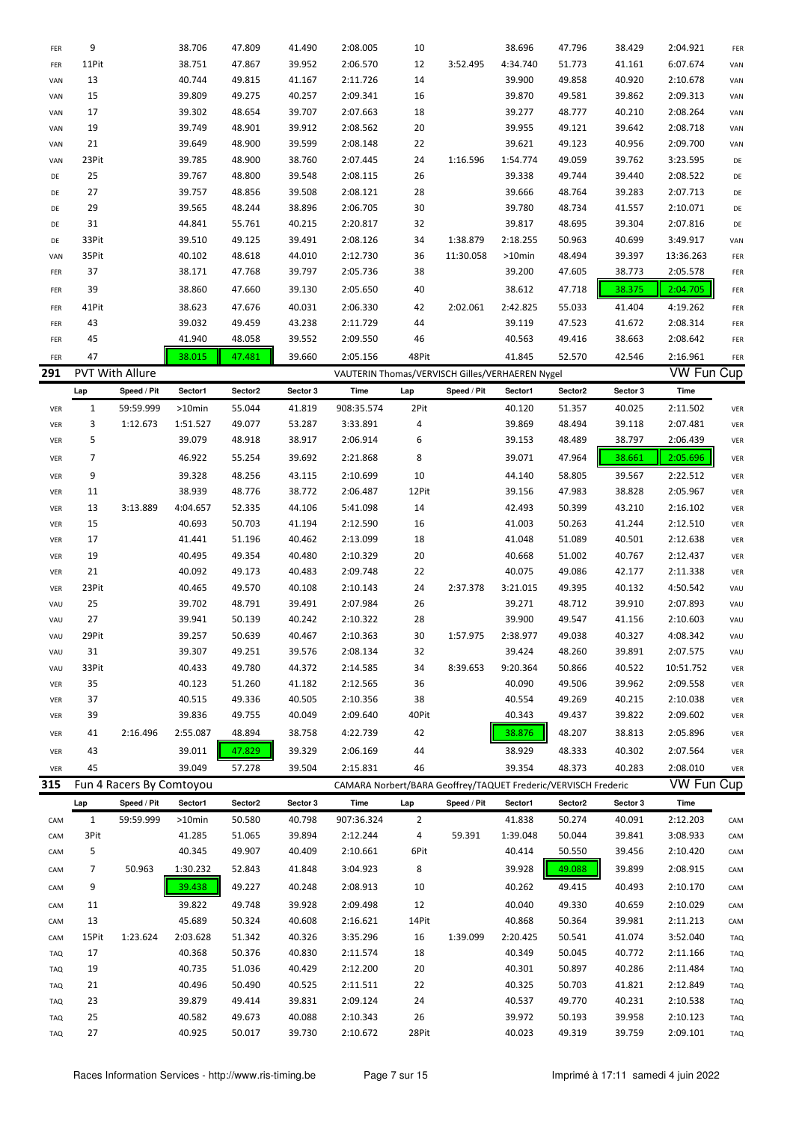| FER | 9            |                          | 38.706    | 47.809  | 41.490   | 2:08.005                                                       | 10             |             | 38.696   | 47.796  | 38.429   | 2:04.921          | FER        |
|-----|--------------|--------------------------|-----------|---------|----------|----------------------------------------------------------------|----------------|-------------|----------|---------|----------|-------------------|------------|
| FER | 11Pit        |                          | 38.751    | 47.867  | 39.952   | 2:06.570                                                       | 12             | 3:52.495    | 4:34.740 | 51.773  | 41.161   | 6:07.674          | VAN        |
| VAN | 13           |                          | 40.744    | 49.815  | 41.167   | 2:11.726                                                       | 14             |             | 39.900   | 49.858  | 40.920   | 2:10.678          | VAN        |
| VAN | 15           |                          | 39.809    | 49.275  | 40.257   | 2:09.341                                                       | 16             |             | 39.870   | 49.581  | 39.862   | 2:09.313          | VAN        |
| VAN | 17           |                          | 39.302    | 48.654  | 39.707   | 2:07.663                                                       | 18             |             | 39.277   | 48.777  | 40.210   | 2:08.264          | VAN        |
| VAN | 19           |                          | 39.749    | 48.901  | 39.912   | 2:08.562                                                       | 20             |             | 39.955   | 49.121  | 39.642   | 2:08.718          | VAN        |
| VAN | 21           |                          | 39.649    | 48.900  | 39.599   | 2:08.148                                                       | 22             |             | 39.621   | 49.123  | 40.956   | 2:09.700          | VAN        |
| VAN | 23Pit        |                          | 39.785    | 48.900  | 38.760   | 2:07.445                                                       | 24             | 1:16.596    | 1:54.774 | 49.059  | 39.762   | 3:23.595          | DE         |
| DE  | 25           |                          | 39.767    | 48.800  | 39.548   | 2:08.115                                                       | 26             |             | 39.338   | 49.744  | 39.440   | 2:08.522          | DE         |
| DE  | 27           |                          | 39.757    | 48.856  | 39.508   | 2:08.121                                                       | 28             |             | 39.666   | 48.764  | 39.283   | 2:07.713          | DE         |
| DE  | 29           |                          | 39.565    | 48.244  | 38.896   | 2:06.705                                                       | 30             |             | 39.780   | 48.734  | 41.557   | 2:10.071          | DE         |
| DE  | 31           |                          | 44.841    | 55.761  | 40.215   | 2:20.817                                                       | 32             |             | 39.817   | 48.695  | 39.304   | 2:07.816          | DE         |
| DE  | 33Pit        |                          | 39.510    | 49.125  | 39.491   | 2:08.126                                                       | 34             | 1:38.879    | 2:18.255 | 50.963  | 40.699   | 3:49.917          | VAN        |
| VAN | 35Pit        |                          | 40.102    | 48.618  | 44.010   | 2:12.730                                                       | 36             | 11:30.058   | >10min   | 48.494  | 39.397   | 13:36.263         | FER        |
| FER | 37           |                          | 38.171    | 47.768  | 39.797   | 2:05.736                                                       | 38             |             | 39.200   | 47.605  | 38.773   | 2:05.578          | FER        |
| FER | 39           |                          | 38.860    | 47.660  | 39.130   | 2:05.650                                                       | 40             |             | 38.612   | 47.718  | 38.375   | 2:04.705          | FER        |
| FER | 41Pit        |                          | 38.623    | 47.676  | 40.031   | 2:06.330                                                       | 42             | 2:02.061    | 2:42.825 | 55.033  | 41.404   | 4:19.262          | FER        |
| FER | 43           |                          | 39.032    | 49.459  | 43.238   | 2:11.729                                                       | 44             |             | 39.119   | 47.523  | 41.672   | 2:08.314          | FER        |
| FER | 45           |                          | 41.940    | 48.058  | 39.552   | 2:09.550                                                       | 46             |             | 40.563   | 49.416  | 38.663   | 2:08.642          | FER        |
| FER | 47           |                          | 38.015    | 47.481  | 39.660   | 2:05.156                                                       | 48Pit          |             | 41.845   | 52.570  | 42.546   | 2:16.961          | FER        |
| 291 |              | PVT With Allure          |           |         |          | VAUTERIN Thomas/VERVISCH Gilles/VERHAEREN Nygel                |                |             |          |         |          | <b>VW Fun Cup</b> |            |
|     |              |                          |           |         |          |                                                                |                |             |          |         | Sector 3 |                   |            |
|     | Lap          | Speed / Pit              | Sector1   | Sector2 | Sector 3 | Time                                                           | Lap            | Speed / Pit | Sector1  | Sector2 |          | Time              |            |
| VER | $\mathbf{1}$ | 59:59.999                | $>10$ min | 55.044  | 41.819   | 908:35.574                                                     | 2Pit           |             | 40.120   | 51.357  | 40.025   | 2:11.502          | VER        |
| VER | 3            | 1:12.673                 | 1:51.527  | 49.077  | 53.287   | 3:33.891                                                       | 4              |             | 39.869   | 48.494  | 39.118   | 2:07.481          | VER        |
| VER | 5            |                          | 39.079    | 48.918  | 38.917   | 2:06.914                                                       | 6              |             | 39.153   | 48.489  | 38.797   | 2:06.439          | VER        |
| VER | 7            |                          | 46.922    | 55.254  | 39.692   | 2:21.868                                                       | 8              |             | 39.071   | 47.964  | 38.661   | 2:05.696          | VER        |
| VER | 9            |                          | 39.328    | 48.256  | 43.115   | 2:10.699                                                       | 10             |             | 44.140   | 58.805  | 39.567   | 2:22.512          | VER        |
| VER | 11           |                          | 38.939    | 48.776  | 38.772   | 2:06.487                                                       | 12Pit          |             | 39.156   | 47.983  | 38.828   | 2:05.967          | VER        |
| VER | 13           | 3:13.889                 | 4:04.657  | 52.335  | 44.106   | 5:41.098                                                       | 14             |             | 42.493   | 50.399  | 43.210   | 2:16.102          | VER        |
| VER | 15           |                          | 40.693    | 50.703  | 41.194   | 2:12.590                                                       | 16             |             | 41.003   | 50.263  | 41.244   | 2:12.510          | VER        |
| VER | 17           |                          | 41.441    | 51.196  | 40.462   | 2:13.099                                                       | 18             |             | 41.048   | 51.089  | 40.501   | 2:12.638          | VER        |
| VER | 19           |                          | 40.495    | 49.354  | 40.480   | 2:10.329                                                       | 20             |             | 40.668   | 51.002  | 40.767   | 2:12.437          | VER        |
| VER | 21           |                          | 40.092    | 49.173  | 40.483   | 2:09.748                                                       | 22             |             | 40.075   | 49.086  | 42.177   | 2:11.338          | VER        |
| VER | 23Pit        |                          | 40.465    | 49.570  | 40.108   | 2:10.143                                                       | 24             | 2:37.378    | 3:21.015 | 49.395  | 40.132   | 4:50.542          | VAU        |
| VAU | 25           |                          | 39.702    | 48.791  | 39.491   | 2:07.984                                                       | 26             |             | 39.271   | 48.712  | 39.910   | 2:07.893          | VAU        |
| VAU | 27           |                          | 39.941    | 50.139  | 40.242   | 2:10.322                                                       | 28             |             | 39.900   | 49.547  | 41.156   | 2:10.603          | VAU        |
| VAU | 29Pit        |                          | 39.257    | 50.639  | 40.467   | 2:10.363                                                       | 30             | 1:57.975    | 2:38.977 | 49.038  | 40.327   | 4:08.342          | VAU        |
| VAU | 31           |                          | 39.307    | 49.251  | 39.576   | 2:08.134                                                       | 32             |             | 39.424   | 48.260  | 39.891   | 2:07.575          | VAU        |
| VAU | 33Pit        |                          | 40.433    | 49.780  | 44.372   | 2:14.585                                                       | 34             | 8:39.653    | 9:20.364 | 50.866  | 40.522   | 10:51.752         | VER        |
| VER | 35           |                          | 40.123    | 51.260  | 41.182   | 2:12.565                                                       | 36             |             | 40.090   | 49.506  | 39.962   | 2:09.558          | VER        |
| VER | 37           |                          | 40.515    | 49.336  | 40.505   | 2:10.356                                                       | 38             |             | 40.554   | 49.269  | 40.215   | 2:10.038          | VER        |
| VER | 39           |                          | 39.836    | 49.755  | 40.049   | 2:09.640                                                       | 40Pit          |             | 40.343   | 49.437  | 39.822   | 2:09.602          | VER        |
| VER | 41           | 2:16.496                 | 2:55.087  | 48.894  | 38.758   | 4:22.739                                                       | 42             |             | 38.876   | 48.207  | 38.813   | 2:05.896          | VER        |
| VER | 43           |                          | 39.011    | 47.829  | 39.329   | 2:06.169                                                       | 44             |             | 38.929   | 48.333  | 40.302   | 2:07.564          | VER        |
| VER | 45           |                          | 39.049    | 57.278  | 39.504   | 2:15.831                                                       | 46             |             | 39.354   | 48.373  | 40.283   | 2:08.010          | VER        |
| 315 |              | Fun 4 Racers By Comtoyou |           |         |          | CAMARA Norbert/BARA Geoffrey/TAQUET Frederic/VERVISCH Frederic |                |             |          |         |          | <b>VW Fun Cup</b> |            |
|     | Lap          | Speed / Pit              | Sector1   | Sector2 | Sector 3 | Time                                                           | Lap            | Speed / Pit | Sector1  | Sector2 | Sector 3 | Time              |            |
| CAM | $\mathbf{1}$ | 59:59.999                | $>10$ min | 50.580  | 40.798   | 907:36.324                                                     | $\overline{2}$ |             | 41.838   | 50.274  | 40.091   | 2:12.203          | CAM        |
| CAM | 3Pit         |                          | 41.285    | 51.065  | 39.894   | 2:12.244                                                       | 4              | 59.391      | 1:39.048 | 50.044  | 39.841   | 3:08.933          | CAM        |
| CAM | 5            |                          | 40.345    | 49.907  | 40.409   | 2:10.661                                                       | 6Pit           |             | 40.414   | 50.550  | 39.456   | 2:10.420          | CAM        |
| CAM | 7            | 50.963                   | 1:30.232  | 52.843  | 41.848   | 3:04.923                                                       | 8              |             | 39.928   | 49.088  | 39.899   | 2:08.915          | CAM        |
| CAM | 9            |                          | 39.438    | 49.227  | 40.248   | 2:08.913                                                       | 10             |             | 40.262   | 49.415  | 40.493   | 2:10.170          | CAM        |
| CAM | 11           |                          | 39.822    | 49.748  | 39.928   | 2:09.498                                                       | 12             |             | 40.040   | 49.330  | 40.659   | 2:10.029          | CAM        |
| CAM | 13           |                          | 45.689    | 50.324  | 40.608   | 2:16.621                                                       | 14Pit          |             | 40.868   | 50.364  | 39.981   | 2:11.213          | CAM        |
| CAM | 15Pit        | 1:23.624                 | 2:03.628  | 51.342  | 40.326   | 3:35.296                                                       | 16             | 1:39.099    | 2:20.425 | 50.541  | 41.074   | 3:52.040          | <b>TAQ</b> |
| TAQ | 17           |                          | 40.368    | 50.376  | 40.830   | 2:11.574                                                       | 18             |             | 40.349   | 50.045  | 40.772   | 2:11.166          | <b>TAQ</b> |
| TAQ | 19           |                          | 40.735    | 51.036  | 40.429   | 2:12.200                                                       | 20             |             | 40.301   | 50.897  | 40.286   | 2:11.484          | <b>TAQ</b> |
| TAQ | 21           |                          | 40.496    | 50.490  | 40.525   | 2:11.511                                                       | 22             |             | 40.325   | 50.703  | 41.821   | 2:12.849          | <b>TAQ</b> |
| TAQ | 23           |                          | 39.879    | 49.414  | 39.831   | 2:09.124                                                       | 24             |             | 40.537   | 49.770  | 40.231   | 2:10.538          | <b>TAQ</b> |
| TAQ | 25           |                          | 40.582    | 49.673  | 40.088   | 2:10.343                                                       | 26             |             | 39.972   | 50.193  | 39.958   | 2:10.123          | TAQ        |
| TAQ | 27           |                          | 40.925    | 50.017  | 39.730   | 2:10.672                                                       | 28Pit          |             | 40.023   | 49.319  | 39.759   | 2:09.101          | TAQ        |
|     |              |                          |           |         |          |                                                                |                |             |          |         |          |                   |            |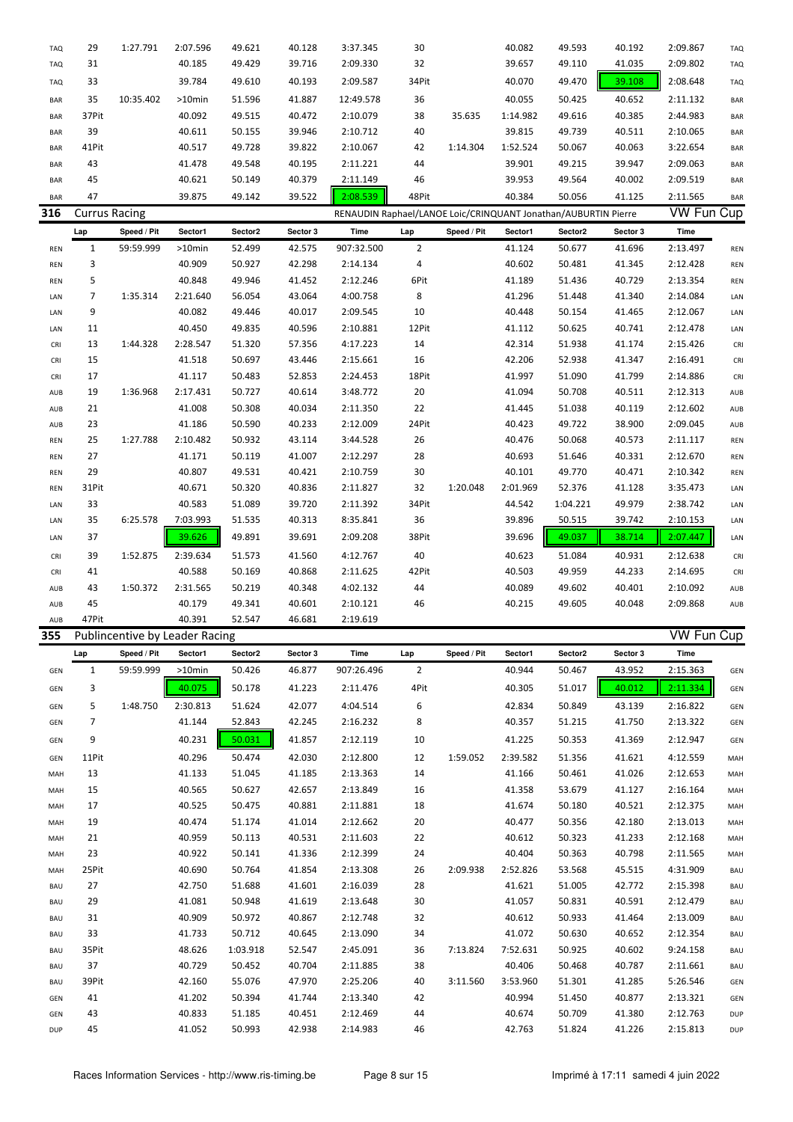| <b>TAQ</b> | 29                   | 1:27.791    | 2:07.596                       | 49.621   | 40.128   | 3:37.345                                                       | 30             |             | 40.082   | 49.593   | 40.192   | 2:09.867          | <b>TAQ</b> |
|------------|----------------------|-------------|--------------------------------|----------|----------|----------------------------------------------------------------|----------------|-------------|----------|----------|----------|-------------------|------------|
| <b>TAQ</b> | 31                   |             | 40.185                         | 49.429   | 39.716   | 2:09.330                                                       | 32             |             | 39.657   | 49.110   | 41.035   | 2:09.802          | <b>TAQ</b> |
| <b>TAQ</b> | 33                   |             | 39.784                         | 49.610   | 40.193   | 2:09.587                                                       | 34Pit          |             | 40.070   | 49.470   | 39.108   | 2:08.648          | <b>TAQ</b> |
| BAR        | 35                   | 10:35.402   | >10min                         | 51.596   | 41.887   | 12:49.578                                                      | 36             |             | 40.055   | 50.425   | 40.652   | 2:11.132          | <b>BAR</b> |
| <b>BAR</b> | 37Pit                |             | 40.092                         | 49.515   | 40.472   | 2:10.079                                                       | 38             | 35.635      | 1:14.982 | 49.616   | 40.385   | 2:44.983          | <b>BAR</b> |
|            |                      |             |                                |          |          |                                                                |                |             |          |          |          |                   |            |
| <b>BAR</b> | 39                   |             | 40.611                         | 50.155   | 39.946   | 2:10.712                                                       | 40             |             | 39.815   | 49.739   | 40.511   | 2:10.065          | <b>BAR</b> |
| <b>BAR</b> | 41Pit                |             | 40.517                         | 49.728   | 39.822   | 2:10.067                                                       | 42             | 1:14.304    | 1:52.524 | 50.067   | 40.063   | 3:22.654          | <b>BAR</b> |
| <b>BAR</b> | 43                   |             | 41.478                         | 49.548   | 40.195   | 2:11.221                                                       | 44             |             | 39.901   | 49.215   | 39.947   | 2:09.063          | <b>BAR</b> |
| <b>BAR</b> | 45                   |             | 40.621                         | 50.149   | 40.379   | 2:11.149                                                       | 46             |             | 39.953   | 49.564   | 40.002   | 2:09.519          | <b>BAR</b> |
| <b>BAR</b> | 47                   |             | 39.875                         | 49.142   | 39.522   | 2:08.539                                                       | 48Pit          |             | 40.384   | 50.056   | 41.125   | 2:11.565          | <b>BAR</b> |
| 316        | <b>Currus Racing</b> |             |                                |          |          | RENAUDIN Raphael/LANOE Loic/CRINQUANT Jonathan/AUBURTIN Pierre |                |             |          |          |          | <b>VW Fun Cup</b> |            |
|            |                      | Speed / Pit | Sector1                        | Sector2  | Sector 3 |                                                                |                | Speed / Pit |          | Sector2  |          | Time              |            |
|            | Lap                  |             |                                |          |          | Time                                                           | Lap            |             | Sector1  |          | Sector 3 |                   |            |
| <b>REN</b> | $\mathbf{1}$         | 59:59.999   | >10min                         | 52.499   | 42.575   | 907:32.500                                                     | $\overline{2}$ |             | 41.124   | 50.677   | 41.696   | 2:13.497          | <b>REN</b> |
| <b>REN</b> | 3                    |             | 40.909                         | 50.927   | 42.298   | 2:14.134                                                       | 4              |             | 40.602   | 50.481   | 41.345   | 2:12.428          | <b>REN</b> |
| <b>REN</b> | 5                    |             | 40.848                         | 49.946   | 41.452   | 2:12.246                                                       | 6Pit           |             | 41.189   | 51.436   | 40.729   | 2:13.354          | <b>REN</b> |
| LAN        | 7                    | 1:35.314    | 2:21.640                       | 56.054   | 43.064   | 4:00.758                                                       | 8              |             | 41.296   | 51.448   | 41.340   | 2:14.084          | LAN        |
| LAN        | 9                    |             | 40.082                         | 49.446   | 40.017   | 2:09.545                                                       | 10             |             | 40.448   | 50.154   | 41.465   | 2:12.067          | LAN        |
| LAN        | 11                   |             | 40.450                         | 49.835   | 40.596   | 2:10.881                                                       | 12Pit          |             | 41.112   | 50.625   | 40.741   | 2:12.478          | LAN        |
| CRI        | 13                   | 1:44.328    | 2:28.547                       | 51.320   | 57.356   | 4:17.223                                                       | 14             |             | 42.314   | 51.938   | 41.174   | 2:15.426          | CRI        |
| CRI        | 15                   |             | 41.518                         | 50.697   | 43.446   | 2:15.661                                                       | 16             |             | 42.206   | 52.938   | 41.347   | 2:16.491          | CRI        |
|            |                      |             |                                |          |          |                                                                |                |             |          |          |          |                   |            |
| CRI        | 17                   |             | 41.117                         | 50.483   | 52.853   | 2:24.453                                                       | 18Pit          |             | 41.997   | 51.090   | 41.799   | 2:14.886          | CRI        |
| AUB        | 19                   | 1:36.968    | 2:17.431                       | 50.727   | 40.614   | 3:48.772                                                       | 20             |             | 41.094   | 50.708   | 40.511   | 2:12.313          | AUB        |
| <b>AUB</b> | 21                   |             | 41.008                         | 50.308   | 40.034   | 2:11.350                                                       | 22             |             | 41.445   | 51.038   | 40.119   | 2:12.602          | AUB        |
| <b>AUB</b> | 23                   |             | 41.186                         | 50.590   | 40.233   | 2:12.009                                                       | 24Pit          |             | 40.423   | 49.722   | 38.900   | 2:09.045          | AUB        |
| <b>REN</b> | 25                   | 1:27.788    | 2:10.482                       | 50.932   | 43.114   | 3:44.528                                                       | 26             |             | 40.476   | 50.068   | 40.573   | 2:11.117          | <b>REN</b> |
| <b>REN</b> | 27                   |             | 41.171                         | 50.119   | 41.007   | 2:12.297                                                       | 28             |             | 40.693   | 51.646   | 40.331   | 2:12.670          | <b>REN</b> |
| <b>REN</b> | 29                   |             | 40.807                         | 49.531   | 40.421   | 2:10.759                                                       | 30             |             | 40.101   | 49.770   | 40.471   | 2:10.342          | <b>REN</b> |
| <b>REN</b> | 31Pit                |             | 40.671                         | 50.320   | 40.836   | 2:11.827                                                       | 32             | 1:20.048    | 2:01.969 | 52.376   | 41.128   | 3:35.473          | LAN        |
| LAN        | 33                   |             | 40.583                         | 51.089   | 39.720   | 2:11.392                                                       | 34Pit          |             | 44.542   | 1:04.221 | 49.979   | 2:38.742          | LAN        |
| LAN        | 35                   | 6:25.578    | 7:03.993                       | 51.535   | 40.313   | 8:35.841                                                       | 36             |             | 39.896   | 50.515   | 39.742   | 2:10.153          | LAN        |
| LAN        | 37                   |             | 39.626                         | 49.891   | 39.691   | 2:09.208                                                       | 38Pit          |             | 39.696   | 49.037   | 38.714   | 2:07.447          | LAN        |
| <b>CRI</b> | 39                   | 1:52.875    | 2:39.634                       | 51.573   | 41.560   | 4:12.767                                                       | 40             |             | 40.623   | 51.084   | 40.931   | 2:12.638          | <b>CRI</b> |
|            | 41                   |             | 40.588                         | 50.169   | 40.868   | 2:11.625                                                       | 42Pit          |             | 40.503   | 49.959   | 44.233   | 2:14.695          |            |
| CRI        |                      |             |                                |          |          |                                                                |                |             |          |          |          |                   | CRI        |
| AUB        | 43                   | 1:50.372    | 2:31.565                       | 50.219   | 40.348   | 4:02.132                                                       | 44             |             | 40.089   | 49.602   | 40.401   | 2:10.092          | AUB        |
| AUB        | 45                   |             | 40.179                         | 49.341   | 40.601   | 2:10.121                                                       | 46             |             | 40.215   | 49.605   | 40.048   | 2:09.868          | <b>AUB</b> |
| AUB        | 47Pit                |             | 40.391                         | 52.547   | 46.681   | 2:19.619                                                       |                |             |          |          |          |                   |            |
| 355        |                      |             | Publincentive by Leader Racing |          |          |                                                                |                |             |          |          |          | <b>VW Fun Cup</b> |            |
|            | Lap                  | Speed / Pit | Sector1                        | Sector2  | Sector 3 | Time                                                           | Lap            | Speed / Pit | Sector1  | Sector2  | Sector 3 | Time              |            |
| GEN        | 1                    | 59:59.999   | >10min                         | 50.426   | 46.877   | 907:26.496                                                     | $\overline{2}$ |             | 40.944   | 50.467   | 43.952   | 2:15.363          | GEN        |
| GEN        | 3                    |             | 40.075                         | 50.178   | 41.223   | 2:11.476                                                       | 4Pit           |             | 40.305   | 51.017   | 40.012   | 2:11.334          | GEN        |
| GEN        | 5                    | 1:48.750    | 2:30.813                       | 51.624   | 42.077   | 4:04.514                                                       | 6              |             | 42.834   | 50.849   | 43.139   | 2:16.822          | GEN        |
| GEN        | 7                    |             | 41.144                         | 52.843   | 42.245   | 2:16.232                                                       | 8              |             | 40.357   | 51.215   | 41.750   | 2:13.322          | GEN        |
|            |                      |             |                                |          |          |                                                                |                |             |          |          |          |                   |            |
| GEN        | 9                    |             | 40.231                         | 50.031   | 41.857   | 2:12.119                                                       | 10             |             | 41.225   | 50.353   | 41.369   | 2:12.947          | GEN        |
| GEN        | 11Pit                |             | 40.296                         | 50.474   | 42.030   | 2:12.800                                                       | 12             | 1:59.052    | 2:39.582 | 51.356   | 41.621   | 4:12.559          | MAH        |
| MAH        | 13                   |             | 41.133                         | 51.045   | 41.185   | 2:13.363                                                       | 14             |             | 41.166   | 50.461   | 41.026   | 2:12.653          | MAH        |
| MAH        | 15                   |             | 40.565                         | 50.627   | 42.657   | 2:13.849                                                       | 16             |             | 41.358   | 53.679   | 41.127   | 2:16.164          | MAH        |
| MAH        | 17                   |             | 40.525                         | 50.475   | 40.881   | 2:11.881                                                       | 18             |             | 41.674   | 50.180   | 40.521   | 2:12.375          | MAH        |
| MAH        | 19                   |             | 40.474                         | 51.174   | 41.014   | 2:12.662                                                       | 20             |             | 40.477   | 50.356   | 42.180   | 2:13.013          | MAH        |
| MAH        | 21                   |             | 40.959                         | 50.113   | 40.531   | 2:11.603                                                       | 22             |             | 40.612   | 50.323   | 41.233   | 2:12.168          | MAH        |
| MAH        | 23                   |             | 40.922                         | 50.141   | 41.336   | 2:12.399                                                       | 24             |             | 40.404   | 50.363   | 40.798   | 2:11.565          | MAH        |
| MAH        | 25Pit                |             | 40.690                         | 50.764   | 41.854   | 2:13.308                                                       | 26             | 2:09.938    | 2:52.826 | 53.568   | 45.515   | 4:31.909          | <b>BAU</b> |
| BAU        | 27                   |             | 42.750                         | 51.688   | 41.601   | 2:16.039                                                       | 28             |             | 41.621   | 51.005   | 42.772   | 2:15.398          | <b>BAU</b> |
|            | 29                   |             |                                |          |          |                                                                |                |             |          |          |          |                   |            |
| BAU        |                      |             | 41.081                         | 50.948   | 41.619   | 2:13.648                                                       | 30             |             | 41.057   | 50.831   | 40.591   | 2:12.479          | <b>BAU</b> |
| BAU        | 31                   |             | 40.909                         | 50.972   | 40.867   | 2:12.748                                                       | 32             |             | 40.612   | 50.933   | 41.464   | 2:13.009          | <b>BAU</b> |
| BAU        | 33                   |             | 41.733                         | 50.712   | 40.645   | 2:13.090                                                       | 34             |             | 41.072   | 50.630   | 40.652   | 2:12.354          | <b>BAU</b> |
| BAU        | 35Pit                |             | 48.626                         | 1:03.918 | 52.547   | 2:45.091                                                       | 36             | 7:13.824    | 7:52.631 | 50.925   | 40.602   | 9:24.158          | BAU        |
| BAU        | 37                   |             | 40.729                         | 50.452   | 40.704   | 2:11.885                                                       | 38             |             | 40.406   | 50.468   | 40.787   | 2:11.661          | <b>BAU</b> |
| BAU        | 39Pit                |             | 42.160                         | 55.076   | 47.970   | 2:25.206                                                       | 40             | 3:11.560    | 3:53.960 | 51.301   | 41.285   | 5:26.546          | GEN        |
| GEN        | 41                   |             | 41.202                         | 50.394   | 41.744   | 2:13.340                                                       | 42             |             | 40.994   | 51.450   | 40.877   | 2:13.321          | GEN        |
| GEN        | 43                   |             | 40.833                         | 51.185   | 40.451   | 2:12.469                                                       | 44             |             | 40.674   | 50.709   | 41.380   | 2:12.763          | <b>DUP</b> |
|            |                      |             |                                |          |          |                                                                |                |             |          |          |          |                   |            |
| DUP        | 45                   |             | 41.052                         | 50.993   | 42.938   | 2:14.983                                                       | 46             |             | 42.763   | 51.824   | 41.226   | 2:15.813          | DUP        |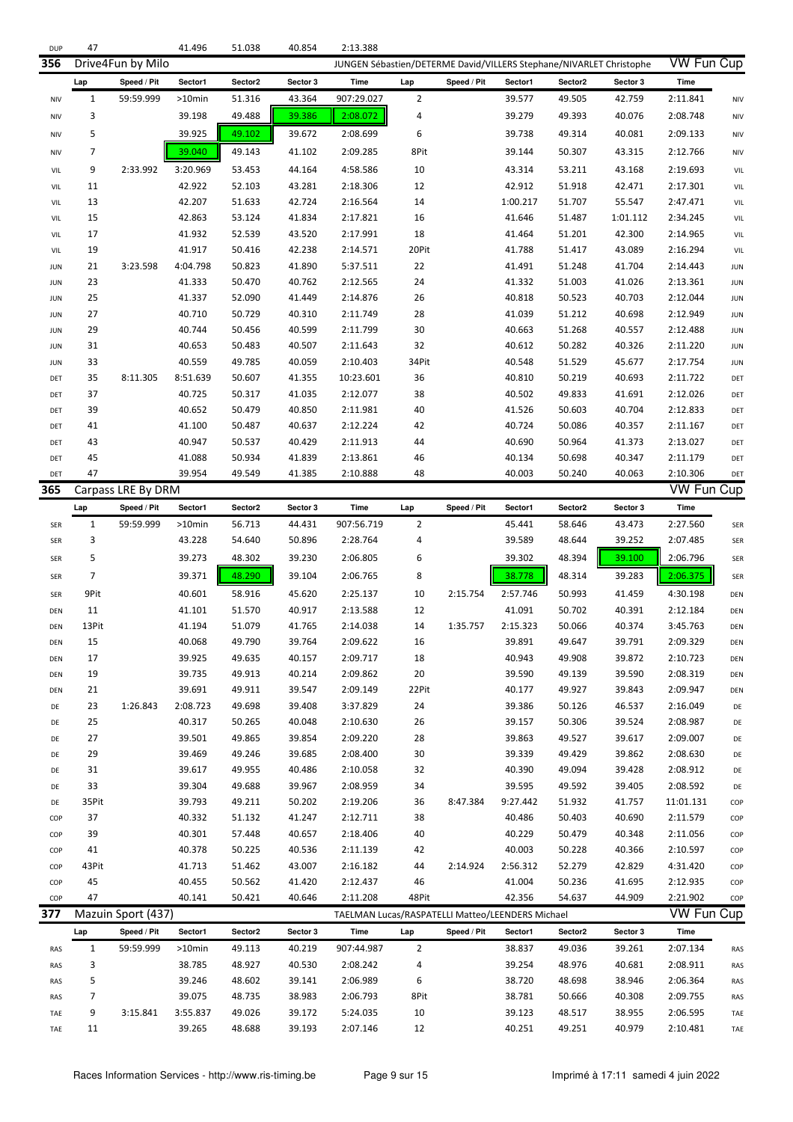| <b>DUP</b> | 47           |                    | 41.496    | 51.038  | 40.854   | 2:13.388                                                            |                |             |                                                  |         |          |                   |            |
|------------|--------------|--------------------|-----------|---------|----------|---------------------------------------------------------------------|----------------|-------------|--------------------------------------------------|---------|----------|-------------------|------------|
| 356        |              | Drive4Fun by Milo  |           |         |          | JUNGEN Sébastien/DETERME David/VILLERS Stephane/NIVARLET Christophe |                |             |                                                  |         |          | <b>VW Fun Cup</b> |            |
|            | Lap          | Speed / Pit        | Sector1   | Sector2 | Sector 3 | Time                                                                | Lap            | Speed / Pit | Sector1                                          | Sector2 | Sector 3 | Time              |            |
| <b>NIV</b> | $\mathbf{1}$ | 59:59.999          | $>10$ min | 51.316  | 43.364   | 907:29.027                                                          | $\overline{2}$ |             | 39.577                                           | 49.505  | 42.759   | 2:11.841          | NIV        |
| <b>NIV</b> | 3            |                    | 39.198    | 49.488  | 39.386   | 2:08.072                                                            | 4              |             | 39.279                                           | 49.393  | 40.076   | 2:08.748          | NIV        |
| <b>NIV</b> | 5            |                    | 39.925    | 49.102  | 39.672   | 2:08.699                                                            | 6              |             | 39.738                                           | 49.314  | 40.081   | 2:09.133          | NIV        |
| <b>NIV</b> | 7            |                    | 39.040    | 49.143  | 41.102   | 2:09.285                                                            | 8Pit           |             | 39.144                                           | 50.307  | 43.315   | 2:12.766          | NIV        |
|            |              |                    |           |         |          |                                                                     |                |             |                                                  |         |          |                   |            |
| VIL        | 9            | 2:33.992           | 3:20.969  | 53.453  | 44.164   | 4:58.586                                                            | 10             |             | 43.314                                           | 53.211  | 43.168   | 2:19.693          | VIL        |
| VIL        | 11           |                    | 42.922    | 52.103  | 43.281   | 2:18.306                                                            | 12             |             | 42.912                                           | 51.918  | 42.471   | 2:17.301          | VIL        |
| VIL        | 13           |                    | 42.207    | 51.633  | 42.724   | 2:16.564                                                            | 14             |             | 1:00.217                                         | 51.707  | 55.547   | 2:47.471          | VIL        |
| VIL        | 15           |                    | 42.863    | 53.124  | 41.834   | 2:17.821                                                            | 16             |             | 41.646                                           | 51.487  | 1:01.112 | 2:34.245          | VIL        |
| VIL        | 17           |                    | 41.932    | 52.539  | 43.520   | 2:17.991                                                            | 18             |             | 41.464                                           | 51.201  | 42.300   | 2:14.965          | VIL        |
| VIL        | 19           |                    | 41.917    | 50.416  | 42.238   | 2:14.571                                                            | 20Pit          |             | 41.788                                           | 51.417  | 43.089   | 2:16.294          | VIL        |
| <b>JUN</b> | 21           | 3:23.598           | 4:04.798  | 50.823  | 41.890   | 5:37.511                                                            | 22             |             | 41.491                                           | 51.248  | 41.704   | 2:14.443          | <b>JUN</b> |
| <b>JUN</b> | 23           |                    | 41.333    | 50.470  | 40.762   | 2:12.565                                                            | 24             |             | 41.332                                           | 51.003  | 41.026   | 2:13.361          | <b>JUN</b> |
| <b>JUN</b> | 25           |                    | 41.337    | 52.090  | 41.449   | 2:14.876                                                            | 26             |             | 40.818                                           | 50.523  | 40.703   | 2:12.044          | <b>JUN</b> |
| <b>JUN</b> | 27           |                    | 40.710    | 50.729  | 40.310   | 2:11.749                                                            | 28             |             | 41.039                                           | 51.212  | 40.698   | 2:12.949          | <b>JUN</b> |
| <b>JUN</b> | 29           |                    | 40.744    | 50.456  | 40.599   | 2:11.799                                                            | 30             |             | 40.663                                           | 51.268  | 40.557   | 2:12.488          | <b>JUN</b> |
| <b>JUN</b> | 31           |                    | 40.653    | 50.483  | 40.507   | 2:11.643                                                            | 32             |             | 40.612                                           | 50.282  | 40.326   | 2:11.220          | <b>JUN</b> |
| <b>JUN</b> | 33           |                    | 40.559    | 49.785  | 40.059   | 2:10.403                                                            | 34Pit          |             | 40.548                                           | 51.529  | 45.677   | 2:17.754          | <b>JUN</b> |
| DET        | 35           | 8:11.305           | 8:51.639  | 50.607  | 41.355   | 10:23.601                                                           | 36             |             | 40.810                                           | 50.219  | 40.693   | 2:11.722          | DET        |
| DET        | 37           |                    | 40.725    | 50.317  | 41.035   | 2:12.077                                                            | 38             |             | 40.502                                           | 49.833  | 41.691   | 2:12.026          | DET        |
| DET        | 39           |                    | 40.652    | 50.479  | 40.850   | 2:11.981                                                            | 40             |             | 41.526                                           | 50.603  | 40.704   | 2:12.833          | DET        |
| DET        | 41           |                    | 41.100    | 50.487  | 40.637   | 2:12.224                                                            | 42             |             | 40.724                                           | 50.086  | 40.357   | 2:11.167          | DET        |
| DET        | 43           |                    | 40.947    | 50.537  | 40.429   | 2:11.913                                                            | 44             |             | 40.690                                           | 50.964  | 41.373   | 2:13.027          | DET        |
| DET        | 45           |                    | 41.088    | 50.934  | 41.839   | 2:13.861                                                            | 46             |             | 40.134                                           | 50.698  | 40.347   | 2:11.179          | DET        |
| DET        | 47           |                    | 39.954    | 49.549  | 41.385   | 2:10.888                                                            | 48             |             | 40.003                                           | 50.240  | 40.063   | 2:10.306          | DET        |
| 365        |              | Carpass LRE By DRM |           |         |          |                                                                     |                |             |                                                  |         |          | <b>VW Fun Cup</b> |            |
|            | Lap          | Speed / Pit        | Sector1   | Sector2 | Sector 3 | Time                                                                | Lap            | Speed / Pit | Sector1                                          | Sector2 | Sector 3 | <b>Time</b>       |            |
| SER        | $\mathbf{1}$ | 59:59.999          | >10min    | 56.713  | 44.431   | 907:56.719                                                          | $\overline{2}$ |             | 45.441                                           | 58.646  | 43.473   | 2:27.560          | <b>SER</b> |
| SER        | 3            |                    | 43.228    | 54.640  | 50.896   | 2:28.764                                                            | 4              |             | 39.589                                           | 48.644  | 39.252   | 2:07.485          | SER        |
| SER        | 5            |                    | 39.273    | 48.302  | 39.230   | 2:06.805                                                            | 6              |             | 39.302                                           | 48.394  | 39.100   | 2:06.796          | SER        |
| SER        | 7            |                    | 39.371    | 48.290  | 39.104   | 2:06.765                                                            | 8              |             | 38.778                                           | 48.314  | 39.283   | 2:06.375          | <b>SER</b> |
| SER        | 9Pit         |                    | 40.601    | 58.916  | 45.620   | 2:25.137                                                            | 10             | 2:15.754    | 2:57.746                                         | 50.993  | 41.459   | 4:30.198          | DEN        |
| DEN        | 11           |                    | 41.101    | 51.570  | 40.917   | 2:13.588                                                            | 12             |             | 41.091                                           | 50.702  | 40.391   | 2:12.184          | DEN        |
| DEN        | 13Pit        |                    | 41.194    | 51.079  | 41.765   | 2:14.038                                                            | 14             | 1:35.757    | 2:15.323                                         | 50.066  | 40.374   | 3:45.763          | DEN        |
| DEN        | 15           |                    | 40.068    | 49.790  | 39.764   | 2:09.622                                                            | 16             |             | 39.891                                           | 49.647  | 39.791   | 2:09.329          | DEN        |
| DEN        | 17           |                    | 39.925    | 49.635  | 40.157   | 2:09.717                                                            | 18             |             | 40.943                                           | 49.908  | 39.872   | 2:10.723          | DEN        |
| DEN        | 19           |                    | 39.735    | 49.913  | 40.214   | 2:09.862                                                            | 20             |             | 39.590                                           | 49.139  | 39.590   | 2:08.319          | DEN        |
| DEN        | 21           |                    | 39.691    | 49.911  | 39.547   | 2:09.149                                                            | 22Pit          |             | 40.177                                           | 49.927  | 39.843   | 2:09.947          | DEN        |
| DE         | 23           | 1:26.843           | 2:08.723  | 49.698  | 39.408   | 3:37.829                                                            | 24             |             | 39.386                                           | 50.126  | 46.537   | 2:16.049          | DE         |
| DE         | 25           |                    | 40.317    | 50.265  | 40.048   | 2:10.630                                                            | 26             |             | 39.157                                           | 50.306  | 39.524   | 2:08.987          | DE         |
| DE         | 27           |                    | 39.501    | 49.865  | 39.854   | 2:09.220                                                            | 28             |             | 39.863                                           | 49.527  | 39.617   | 2:09.007          | DE         |
| DE         | 29           |                    | 39.469    | 49.246  | 39.685   | 2:08.400                                                            | 30             |             | 39.339                                           | 49.429  | 39.862   | 2:08.630          | DE         |
| DE         | 31           |                    | 39.617    | 49.955  | 40.486   | 2:10.058                                                            | 32             |             | 40.390                                           | 49.094  | 39.428   | 2:08.912          | DE         |
| DE         | 33           |                    | 39.304    | 49.688  | 39.967   | 2:08.959                                                            | 34             |             | 39.595                                           | 49.592  | 39.405   | 2:08.592          | DE         |
| DE         | 35Pit        |                    | 39.793    | 49.211  | 50.202   | 2:19.206                                                            | 36             | 8:47.384    | 9:27.442                                         | 51.932  | 41.757   | 11:01.131         | COP        |
| COP        | 37           |                    | 40.332    | 51.132  | 41.247   | 2:12.711                                                            | 38             |             | 40.486                                           | 50.403  | 40.690   | 2:11.579          | COP        |
| COP        | 39           |                    | 40.301    | 57.448  | 40.657   | 2:18.406                                                            | 40             |             | 40.229                                           | 50.479  | 40.348   | 2:11.056          | COP        |
| COP        | 41           |                    | 40.378    | 50.225  | 40.536   | 2:11.139                                                            | 42             |             | 40.003                                           | 50.228  | 40.366   | 2:10.597          | COP        |
| COP        | 43Pit        |                    | 41.713    | 51.462  | 43.007   | 2:16.182                                                            | 44             | 2:14.924    | 2:56.312                                         | 52.279  | 42.829   | 4:31.420          | COP        |
| COP        | 45           |                    | 40.455    | 50.562  | 41.420   | 2:12.437                                                            | 46             |             | 41.004                                           | 50.236  | 41.695   | 2:12.935          | COP        |
| COP        | 47           |                    | 40.141    | 50.421  | 40.646   | 2:11.208                                                            | 48Pit          |             | 42.356                                           | 54.637  | 44.909   | 2:21.902          | COP        |
| 377        |              | Mazuin Sport (437) |           |         |          |                                                                     |                |             | TAELMAN Lucas/RASPATELLI Matteo/LEENDERS Michael |         |          | VW Fun Cup        |            |
|            | Lap          | Speed / Pit        | Sector1   | Sector2 | Sector 3 | Time                                                                | Lap            | Speed / Pit | Sector1                                          | Sector2 | Sector 3 | Time              |            |
| RAS        | $\mathbf{1}$ | 59:59.999          | >10min    | 49.113  | 40.219   | 907:44.987                                                          | $\overline{2}$ |             | 38.837                                           | 49.036  | 39.261   | 2:07.134          | RAS        |
| RAS        | 3            |                    | 38.785    | 48.927  | 40.530   | 2:08.242                                                            | 4              |             | 39.254                                           | 48.976  | 40.681   | 2:08.911          | RAS        |
| RAS        | 5            |                    | 39.246    | 48.602  | 39.141   | 2:06.989                                                            | 6              |             | 38.720                                           | 48.698  | 38.946   | 2:06.364          | RAS        |
| RAS        | 7            |                    | 39.075    | 48.735  | 38.983   | 2:06.793                                                            | 8Pit           |             | 38.781                                           | 50.666  | 40.308   | 2:09.755          | RAS        |
| TAE        | 9            | 3:15.841           | 3:55.837  | 49.026  | 39.172   | 5:24.035                                                            | 10             |             | 39.123                                           | 48.517  | 38.955   | 2:06.595          | TAE        |
| TAE        | 11           |                    | 39.265    | 48.688  | 39.193   | 2:07.146                                                            | 12             |             | 40.251                                           | 49.251  | 40.979   | 2:10.481          | TAE        |
|            |              |                    |           |         |          |                                                                     |                |             |                                                  |         |          |                   |            |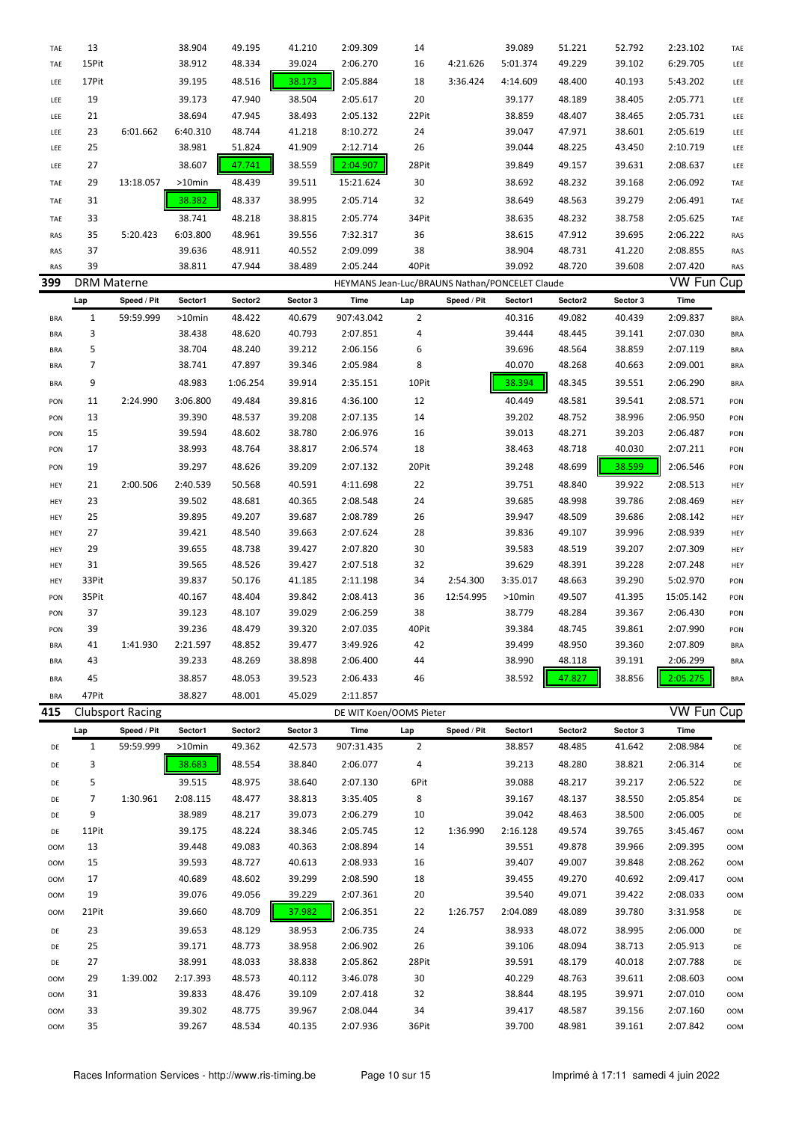| TAE        | 13                 |                         | 38.904    | 49.195   | 41.210   | 2:09.309                                       | 14             |             | 39.089   | 51.221  | 52.792   | 2:23.102          | TAE        |
|------------|--------------------|-------------------------|-----------|----------|----------|------------------------------------------------|----------------|-------------|----------|---------|----------|-------------------|------------|
| TAE        | 15Pit              |                         | 38.912    | 48.334   | 39.024   | 2:06.270                                       | 16             | 4:21.626    | 5:01.374 | 49.229  | 39.102   | 6:29.705          | LEE        |
| LEE        | 17Pit              |                         | 39.195    | 48.516   | 38.173   | 2:05.884                                       | 18             | 3:36.424    | 4:14.609 | 48.400  | 40.193   | 5:43.202          | LEE        |
| LEE        | 19                 |                         | 39.173    | 47.940   | 38.504   | 2:05.617                                       | 20             |             | 39.177   | 48.189  | 38.405   | 2:05.771          | LEE        |
| LEE        | 21                 |                         | 38.694    | 47.945   | 38.493   | 2:05.132                                       | 22Pit          |             | 38.859   | 48.407  | 38.465   | 2:05.731          | LEE        |
| LEE        | 23                 | 6:01.662                | 6:40.310  | 48.744   | 41.218   | 8:10.272                                       | 24             |             | 39.047   | 47.971  | 38.601   | 2:05.619          | LEE        |
| LEE        | 25                 |                         | 38.981    | 51.824   | 41.909   | 2:12.714                                       | 26             |             | 39.044   | 48.225  | 43.450   | 2:10.719          | LEE        |
| LEE        | 27                 |                         | 38.607    | 47.741   | 38.559   | 2:04.907                                       | 28Pit          |             | 39.849   | 49.157  | 39.631   | 2:08.637          | LEE        |
| TAE        | 29                 | 13:18.057               | >10min    | 48.439   | 39.511   | 15:21.624                                      | 30             |             | 38.692   | 48.232  | 39.168   | 2:06.092          | TAE        |
|            |                    |                         |           |          |          |                                                |                |             |          |         |          |                   |            |
| TAE        | 31                 |                         | 38.382    | 48.337   | 38.995   | 2:05.714                                       | 32             |             | 38.649   | 48.563  | 39.279   | 2:06.491          | TAE        |
| TAE        | 33                 |                         | 38.741    | 48.218   | 38.815   | 2:05.774                                       | 34Pit          |             | 38.635   | 48.232  | 38.758   | 2:05.625          | TAE        |
| RAS        | 35                 | 5:20.423                | 6:03.800  | 48.961   | 39.556   | 7:32.317                                       | 36             |             | 38.615   | 47.912  | 39.695   | 2:06.222          | RAS        |
| RAS        | 37                 |                         | 39.636    | 48.911   | 40.552   | 2:09.099                                       | 38             |             | 38.904   | 48.731  | 41.220   | 2:08.855          | RAS        |
| RAS        | 39                 |                         | 38.811    | 47.944   | 38.489   | 2:05.244                                       | 40Pit          |             | 39.092   | 48.720  | 39.608   | 2:07.420          | RAS        |
| 399        | <b>DRM Materne</b> |                         |           |          |          | HEYMANS Jean-Luc/BRAUNS Nathan/PONCELET Claude |                |             |          |         |          | <b>VW Fun Cup</b> |            |
|            | Lap                | Speed / Pit             | Sector1   | Sector2  | Sector 3 | Time                                           | Lap            | Speed / Pit | Sector1  | Sector2 | Sector 3 | Time              |            |
| <b>BRA</b> | $\mathbf{1}$       | 59:59.999               | $>10$ min | 48.422   | 40.679   | 907:43.042                                     | $\overline{2}$ |             | 40.316   | 49.082  | 40.439   | 2:09.837          | <b>BRA</b> |
| <b>BRA</b> | 3                  |                         | 38.438    | 48.620   | 40.793   | 2:07.851                                       | 4              |             | 39.444   | 48.445  | 39.141   | 2:07.030          | <b>BRA</b> |
| <b>BRA</b> | 5                  |                         | 38.704    | 48.240   | 39.212   | 2:06.156                                       | 6              |             | 39.696   | 48.564  | 38.859   | 2:07.119          | <b>BRA</b> |
| <b>BRA</b> | 7                  |                         | 38.741    | 47.897   | 39.346   | 2:05.984                                       | 8              |             | 40.070   | 48.268  | 40.663   | 2:09.001          | <b>BRA</b> |
| <b>BRA</b> | 9                  |                         | 48.983    | 1:06.254 | 39.914   | 2:35.151                                       | 10Pit          |             | 38.394   | 48.345  | 39.551   | 2:06.290          | <b>BRA</b> |
| PON        | 11                 | 2:24.990                | 3:06.800  | 49.484   | 39.816   | 4:36.100                                       | 12             |             | 40.449   | 48.581  | 39.541   | 2:08.571          | PON        |
| PON        | 13                 |                         | 39.390    | 48.537   | 39.208   | 2:07.135                                       | 14             |             | 39.202   | 48.752  | 38.996   | 2:06.950          | PON        |
| PON        | 15                 |                         | 39.594    | 48.602   | 38.780   | 2:06.976                                       | 16             |             | 39.013   | 48.271  | 39.203   | 2:06.487          | PON        |
| PON        | 17                 |                         | 38.993    | 48.764   | 38.817   | 2:06.574                                       | 18             |             | 38.463   | 48.718  | 40.030   | 2:07.211          | PON        |
| PON        | 19                 |                         | 39.297    | 48.626   | 39.209   | 2:07.132                                       | 20Pit          |             | 39.248   | 48.699  | 38.599   | 2:06.546          | PON        |
| HEY        | 21                 | 2:00.506                | 2:40.539  | 50.568   | 40.591   | 4:11.698                                       | 22             |             | 39.751   | 48.840  | 39.922   | 2:08.513          | HEY        |
| HEY        | 23                 |                         | 39.502    | 48.681   | 40.365   | 2:08.548                                       | 24             |             | 39.685   | 48.998  | 39.786   | 2:08.469          | HEY        |
| HEY        | 25                 |                         | 39.895    | 49.207   | 39.687   | 2:08.789                                       | 26             |             | 39.947   | 48.509  | 39.686   | 2:08.142          | HEY        |
| HEY        | 27                 |                         | 39.421    | 48.540   | 39.663   | 2:07.624                                       | 28             |             | 39.836   | 49.107  | 39.996   | 2:08.939          | HEY        |
| HEY        | 29                 |                         | 39.655    | 48.738   | 39.427   | 2:07.820                                       | 30             |             | 39.583   | 48.519  | 39.207   | 2:07.309          | HEY        |
| HEY        | 31                 |                         | 39.565    | 48.526   | 39.427   | 2:07.518                                       | 32             |             | 39.629   | 48.391  | 39.228   | 2:07.248          | HEY        |
| HEY        | 33Pit              |                         | 39.837    | 50.176   | 41.185   | 2:11.198                                       | 34             | 2:54.300    | 3:35.017 | 48.663  | 39.290   | 5:02.970          | PON        |
| PON        | 35Pit              |                         | 40.167    | 48.404   | 39.842   | 2:08.413                                       | 36             | 12:54.995   | >10min   | 49.507  | 41.395   | 15:05.142         | PON        |
| PON        | 37                 |                         | 39.123    | 48.107   | 39.029   | 2:06.259                                       | 38             |             | 38.779   | 48.284  | 39.367   | 2:06.430          | PON        |
| PON        | 39                 |                         | 39.236    | 48.479   | 39.320   | 2:07.035                                       | 40Pit          |             | 39.384   | 48.745  | 39.861   | 2:07.990          | PON        |
| <b>BRA</b> | 41                 | 1:41.930                | 2:21.597  | 48.852   | 39.477   | 3:49.926                                       | 42             |             | 39.499   | 48.950  | 39.360   | 2:07.809          | <b>BRA</b> |
| <b>BRA</b> | 43                 |                         | 39.233    | 48.269   | 38.898   | 2:06.400                                       | 44             |             | 38.990   | 48.118  | 39.191   | 2:06.299          | <b>BRA</b> |
| <b>BRA</b> | 45                 |                         | 38.857    | 48.053   | 39.523   | 2:06.433                                       | 46             |             | 38.592   | 47.827  | 38.856   | 2:05.275          | <b>BRA</b> |
| <b>BRA</b> | 47Pit              |                         | 38.827    | 48.001   | 45.029   | 2:11.857                                       |                |             |          |         |          |                   |            |
| 415        |                    | <b>Clubsport Racing</b> |           |          |          | DE WIT Koen/OOMS Pieter                        |                |             |          |         |          | <b>VW Fun Cup</b> |            |
|            | Lap                | Speed / Pit             | Sector1   | Sector2  | Sector 3 | Time                                           | Lap            | Speed / Pit | Sector1  | Sector2 | Sector 3 | Time              |            |
| DE         | $\mathbf{1}$       | 59:59.999               | >10min    | 49.362   | 42.573   | 907:31.435                                     | $\overline{2}$ |             | 38.857   | 48.485  | 41.642   | 2:08.984          | DE         |
| DE         | 3                  |                         | 38.683    | 48.554   | 38.840   | 2:06.077                                       | 4              |             | 39.213   | 48.280  | 38.821   | 2:06.314          | DE         |
| DE         | 5                  |                         | 39.515    | 48.975   | 38.640   | 2:07.130                                       | 6Pit           |             | 39.088   | 48.217  | 39.217   | 2:06.522          | DE         |
| DE         | 7                  | 1:30.961                | 2:08.115  | 48.477   | 38.813   | 3:35.405                                       | 8              |             | 39.167   | 48.137  | 38.550   | 2:05.854          | DE         |
| DE         | 9                  |                         | 38.989    | 48.217   | 39.073   | 2:06.279                                       | 10             |             | 39.042   | 48.463  | 38.500   | 2:06.005          | DE         |
| DE         | 11Pit              |                         | 39.175    | 48.224   | 38.346   | 2:05.745                                       | 12             | 1:36.990    | 2:16.128 | 49.574  | 39.765   | 3:45.467          | OOM        |
| <b>OOM</b> | 13                 |                         | 39.448    | 49.083   | 40.363   | 2:08.894                                       | 14             |             | 39.551   | 49.878  | 39.966   | 2:09.395          | <b>OOM</b> |
| <b>OOM</b> | 15                 |                         | 39.593    | 48.727   | 40.613   | 2:08.933                                       | 16             |             | 39.407   | 49.007  | 39.848   | 2:08.262          | <b>OOM</b> |
| <b>OOM</b> | 17                 |                         | 40.689    | 48.602   | 39.299   | 2:08.590                                       | 18             |             | 39.455   | 49.270  | 40.692   | 2:09.417          | <b>OOM</b> |
| <b>OOM</b> | 19                 |                         | 39.076    | 49.056   | 39.229   | 2:07.361                                       | 20             |             | 39.540   | 49.071  | 39.422   | 2:08.033          | OOM        |
| <b>OOM</b> | 21Pit              |                         | 39.660    | 48.709   | 37.982   | 2:06.351                                       | 22             | 1:26.757    | 2:04.089 | 48.089  | 39.780   | 3:31.958          | DE         |
| DE         | 23                 |                         | 39.653    | 48.129   | 38.953   | 2:06.735                                       | 24             |             | 38.933   | 48.072  | 38.995   | 2:06.000          | DE         |
| DE         | 25                 |                         | 39.171    | 48.773   | 38.958   | 2:06.902                                       | 26             |             | 39.106   | 48.094  | 38.713   | 2:05.913          | DE         |
| DE         | 27                 |                         | 38.991    | 48.033   | 38.838   | 2:05.862                                       | 28Pit          |             | 39.591   | 48.179  | 40.018   | 2:07.788          | DE         |
| <b>OOM</b> | 29                 | 1:39.002                | 2:17.393  | 48.573   | 40.112   | 3:46.078                                       | 30             |             | 40.229   | 48.763  | 39.611   | 2:08.603          | OOM        |
| <b>OOM</b> | 31                 |                         | 39.833    | 48.476   | 39.109   | 2:07.418                                       | 32             |             | 38.844   | 48.195  | 39.971   | 2:07.010          | OOM        |
| <b>OOM</b> | 33                 |                         | 39.302    | 48.775   | 39.967   | 2:08.044                                       | 34             |             | 39.417   | 48.587  | 39.156   | 2:07.160          | OOM        |
| <b>OOM</b> | 35                 |                         | 39.267    | 48.534   | 40.135   | 2:07.936                                       | 36Pit          |             | 39.700   | 48.981  | 39.161   | 2:07.842          | OOM        |
|            |                    |                         |           |          |          |                                                |                |             |          |         |          |                   |            |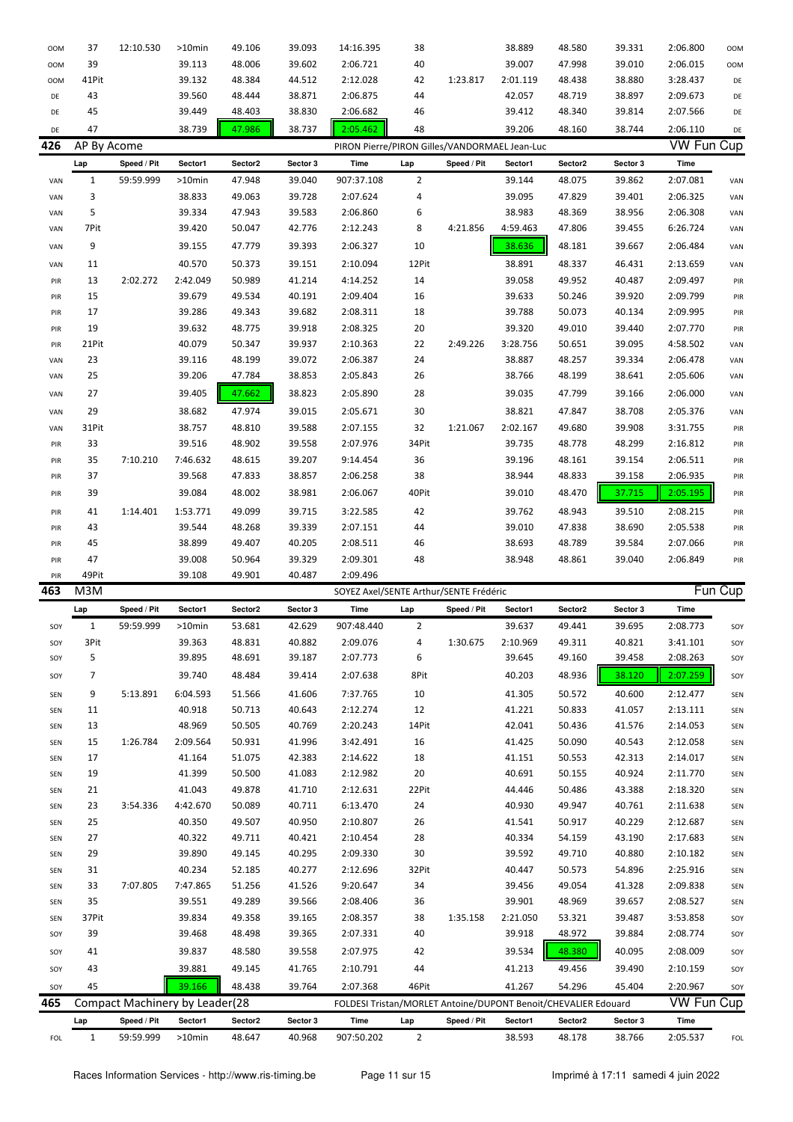| <b>OOM</b> | 37                  | 12:10.530                      | >10min            | 49.106            | 39.093             | 14:16.395                                                      | 38                    |             | 38.889            | 48.580            | 39.331             | 2:06.800          | <b>OOM</b> |
|------------|---------------------|--------------------------------|-------------------|-------------------|--------------------|----------------------------------------------------------------|-----------------------|-------------|-------------------|-------------------|--------------------|-------------------|------------|
| OOM        | 39                  |                                | 39.113            | 48.006            | 39.602             | 2:06.721                                                       | 40                    |             | 39.007            | 47.998            | 39.010             | 2:06.015          | <b>OOM</b> |
| <b>OOM</b> | 41Pit               |                                | 39.132            | 48.384            | 44.512             | 2:12.028                                                       | 42                    | 1:23.817    | 2:01.119          | 48.438            | 38.880             | 3:28.437          | DE         |
| DE         | 43                  |                                | 39.560            | 48.444            | 38.871             | 2:06.875                                                       | 44                    |             | 42.057            | 48.719            | 38.897             | 2:09.673          | DE         |
| DE         | 45                  |                                | 39.449            | 48.403            | 38.830             | 2:06.682                                                       | 46                    |             | 39.412            | 48.340            | 39.814             | 2:07.566          | DE         |
|            |                     |                                |                   |                   |                    |                                                                |                       |             |                   |                   |                    |                   |            |
| DE         | 47                  |                                | 38.739            | 47.986            | 38.737             | 2:05.462                                                       | 48                    |             | 39.206            | 48.160            | 38.744             | 2:06.110          | DE         |
| 426        | AP By Acome         |                                |                   |                   |                    | PIRON Pierre/PIRON Gilles/VANDORMAEL Jean-Luc                  |                       |             |                   |                   |                    | <b>VW Fun Cup</b> |            |
|            | Lap                 | Speed / Pit                    | Sector1           | Sector2           | Sector 3           | Time                                                           | Lap                   | Speed / Pit | Sector1           | Sector2           | Sector 3           | Time              |            |
| VAN        | $\mathbf{1}$        | 59:59.999                      | $>10$ min         | 47.948            | 39.040             | 907:37.108                                                     | $\overline{2}$        |             | 39.144            | 48.075            | 39.862             | 2:07.081          | VAN        |
| VAN        | 3                   |                                | 38.833            | 49.063            | 39.728             | 2:07.624                                                       | 4                     |             | 39.095            | 47.829            | 39.401             | 2:06.325          | VAN        |
| VAN        | 5                   |                                | 39.334            | 47.943            | 39.583             | 2:06.860                                                       | 6                     |             | 38.983            | 48.369            | 38.956             | 2:06.308          | VAN        |
| VAN        | 7Pit                |                                | 39.420            | 50.047            | 42.776             | 2:12.243                                                       | 8                     | 4:21.856    | 4:59.463          | 47.806            | 39.455             | 6:26.724          | VAN        |
| VAN        | 9                   |                                | 39.155            | 47.779            | 39.393             | 2:06.327                                                       | 10                    |             | 38.636            | 48.181            | 39.667             | 2:06.484          | VAN        |
| VAN        | 11                  |                                | 40.570            | 50.373            | 39.151             | 2:10.094                                                       | 12Pit                 |             | 38.891            | 48.337            | 46.431             | 2:13.659          | VAN        |
| PIR        | 13                  | 2:02.272                       | 2:42.049          | 50.989            | 41.214             | 4:14.252                                                       | 14                    |             | 39.058            | 49.952            | 40.487             | 2:09.497          | PIR        |
| PIR        | 15                  |                                | 39.679            | 49.534            | 40.191             | 2:09.404                                                       | 16                    |             | 39.633            | 50.246            | 39.920             | 2:09.799          | PIR        |
| PIR        | 17                  |                                | 39.286            | 49.343            | 39.682             | 2:08.311                                                       | 18                    |             | 39.788            | 50.073            | 40.134             | 2:09.995          | PIR        |
| PIR        | 19                  |                                | 39.632            | 48.775            | 39.918             | 2:08.325                                                       | 20                    |             | 39.320            | 49.010            | 39.440             | 2:07.770          | PIR        |
| PIR        | 21Pit               |                                | 40.079            | 50.347            | 39.937             | 2:10.363                                                       | 22                    | 2:49.226    | 3:28.756          | 50.651            | 39.095             | 4:58.502          | VAN        |
| VAN        | 23                  |                                | 39.116            | 48.199            | 39.072             | 2:06.387                                                       | 24                    |             | 38.887            | 48.257            | 39.334             | 2:06.478          | VAN        |
| VAN        | 25                  |                                | 39.206            | 47.784            | 38.853             | 2:05.843                                                       | 26                    |             | 38.766            | 48.199            | 38.641             | 2:05.606          | VAN        |
|            |                     |                                |                   |                   |                    |                                                                |                       |             |                   |                   |                    |                   |            |
| VAN        | 27                  |                                | 39.405            | 47.662            | 38.823             | 2:05.890                                                       | 28                    |             | 39.035            | 47.799            | 39.166             | 2:06.000          | VAN        |
| VAN        | 29                  |                                | 38.682            | 47.974            | 39.015             | 2:05.671                                                       | 30                    |             | 38.821            | 47.847            | 38.708             | 2:05.376          | VAN        |
| VAN        | 31Pit               |                                | 38.757            | 48.810            | 39.588             | 2:07.155                                                       | 32                    | 1:21.067    | 2:02.167          | 49.680            | 39.908             | 3:31.755          | PIR        |
| PIR        | 33                  |                                | 39.516            | 48.902            | 39.558             | 2:07.976                                                       | 34Pit                 |             | 39.735            | 48.778            | 48.299             | 2:16.812          | PIR        |
| PIR        | 35                  | 7:10.210                       | 7:46.632          | 48.615            | 39.207             | 9:14.454                                                       | 36                    |             | 39.196            | 48.161            | 39.154             | 2:06.511          | PIR        |
| PIR        | 37                  |                                | 39.568            | 47.833            | 38.857             | 2:06.258                                                       | 38                    |             | 38.944            | 48.833            | 39.158             | 2:06.935          | PIR        |
| PIR        | 39                  |                                | 39.084            | 48.002            | 38.981             | 2:06.067                                                       | 40Pit                 |             | 39.010            | 48.470            | 37.715             | 2:05.195          | PIR        |
| PIR        | 41                  | 1:14.401                       | 1:53.771          | 49.099            | 39.715             | 3:22.585                                                       | 42                    |             | 39.762            | 48.943            | 39.510             | 2:08.215          | PIR        |
| PIR        | 43                  |                                | 39.544            | 48.268            | 39.339             | 2:07.151                                                       | 44                    |             | 39.010            | 47.838            | 38.690             | 2:05.538          | PIR        |
| PIR        | 45                  |                                | 38.899            | 49.407            | 40.205             | 2:08.511                                                       | 46                    |             | 38.693            | 48.789            | 39.584             | 2:07.066          | PIR        |
|            |                     |                                |                   |                   |                    |                                                                |                       |             |                   |                   |                    |                   |            |
|            | 47                  |                                |                   |                   |                    |                                                                |                       |             |                   |                   |                    |                   |            |
| PIR<br>PIR | 49Pit               |                                | 39.008<br>39.108  | 50.964<br>49.901  | 39.329<br>40.487   | 2:09.301<br>2:09.496                                           | 48                    |             | 38.948            | 48.861            | 39.040             | 2:06.849          | PIR        |
|            |                     |                                |                   |                   |                    |                                                                |                       |             |                   |                   |                    |                   |            |
| 463        | M3M                 |                                |                   |                   |                    | SOYEZ Axel/SENTE Arthur/SENTE Frédéric                         |                       |             |                   |                   |                    |                   | Fun Cup    |
|            | Lap                 | Speed / Pit                    | Sector1           | Sector2           | Sector 3           | <b>Time</b>                                                    | Lap                   | Speed / Pit | Sector1           | Sector2           | Sector 3           | Time              |            |
| SOY        | $\mathbf{1}$        | 59:59.999                      | $>10$ min         | 53.681            | 42.629             | 907:48.440                                                     | 2                     |             | 39.637            | 49.441            | 39.695             | 2:08.773          | SOY        |
| SOY        | 3Pit                |                                | 39.363            | 48.831            | 40.882             | 2:09.076                                                       | 4                     | 1:30.675    | 2:10.969          | 49.311            | 40.821             | 3:41.101          | SOY        |
| SOY        | 5                   |                                | 39.895            | 48.691            | 39.187             | 2:07.773                                                       | 6                     |             | 39.645            | 49.160            | 39.458             | 2:08.263          | SOY        |
| SOY        | 7                   |                                | 39.740            | 48.484            | 39.414             | 2:07.638                                                       | 8Pit                  |             | 40.203            | 48.936            | 38.120             | 2:07.259          | SOY        |
| SEN        | 9                   | 5:13.891                       | 6:04.593          | 51.566            | 41.606             | 7:37.765                                                       | 10                    |             | 41.305            | 50.572            | 40.600             | 2:12.477          | SEN        |
| SEN        | 11                  |                                | 40.918            | 50.713            | 40.643             | 2:12.274                                                       | 12                    |             | 41.221            | 50.833            | 41.057             | 2:13.111          | SEN        |
| SEN        | 13                  |                                | 48.969            | 50.505            | 40.769             | 2:20.243                                                       | 14Pit                 |             | 42.041            | 50.436            | 41.576             | 2:14.053          | SEN        |
| SEN        | 15                  | 1:26.784                       | 2:09.564          | 50.931            | 41.996             | 3:42.491                                                       | 16                    |             | 41.425            | 50.090            | 40.543             | 2:12.058          | SEN        |
| SEN        | 17                  |                                | 41.164            | 51.075            | 42.383             | 2:14.622                                                       | 18                    |             | 41.151            | 50.553            | 42.313             | 2:14.017          | SEN        |
| SEN        | 19                  |                                | 41.399            | 50.500            | 41.083             | 2:12.982                                                       | 20                    |             | 40.691            | 50.155            | 40.924             | 2:11.770          | SEN        |
| SEN        | 21                  |                                | 41.043            | 49.878            | 41.710             | 2:12.631                                                       | 22Pit                 |             | 44.446            | 50.486            | 43.388             | 2:18.320          | SEN        |
| SEN        | 23                  | 3:54.336                       | 4:42.670          | 50.089            | 40.711             | 6:13.470                                                       | 24                    |             | 40.930            | 49.947            | 40.761             | 2:11.638          | SEN        |
| SEN        | 25                  |                                | 40.350            | 49.507            | 40.950             | 2:10.807                                                       | 26                    |             | 41.541            | 50.917            | 40.229             | 2:12.687          | SEN        |
| SEN        | 27                  |                                | 40.322            | 49.711            | 40.421             | 2:10.454                                                       | 28                    |             | 40.334            | 54.159            | 43.190             | 2:17.683          | SEN        |
| SEN        | 29                  |                                | 39.890            | 49.145            | 40.295             | 2:09.330                                                       | 30                    |             | 39.592            | 49.710            | 40.880             | 2:10.182          | SEN        |
| SEN        | 31                  |                                | 40.234            | 52.185            | 40.277             | 2:12.696                                                       | 32Pit                 |             | 40.447            | 50.573            | 54.896             | 2:25.916          | SEN        |
| SEN        | 33                  | 7:07.805                       | 7:47.865          | 51.256            | 41.526             | 9:20.647                                                       | 34                    |             | 39.456            | 49.054            | 41.328             | 2:09.838          | SEN        |
| SEN        | 35                  |                                | 39.551            | 49.289            | 39.566             | 2:08.406                                                       | 36                    |             | 39.901            | 48.969            | 39.657             | 2:08.527          | SEN        |
| SEN        | 37Pit               |                                | 39.834            | 49.358            | 39.165             | 2:08.357                                                       | 38                    | 1:35.158    | 2:21.050          | 53.321            | 39.487             | 3:53.858          | SOY        |
| SOY        | 39                  |                                | 39.468            | 48.498            | 39.365             | 2:07.331                                                       | 40                    |             | 39.918            | 48.972            | 39.884             | 2:08.774          | SOY        |
| SOY        | 41                  |                                |                   |                   |                    |                                                                |                       |             |                   |                   | 40.095             |                   |            |
|            |                     |                                | 39.837            | 48.580            | 39.558             | 2:07.975                                                       | 42                    |             | 39.534            | 48.380            |                    | 2:08.009          | SOY        |
| SOY        | 43                  |                                | 39.881            | 49.145            | 41.765             | 2:10.791                                                       | 44                    |             | 41.213            | 49.456            | 39.490             | 2:10.159          | SOY        |
| SOY        | 45                  |                                | 39.166            | 48.438            | 39.764             | 2:07.368                                                       | 46Pit                 |             | 41.267            | 54.296            | 45.404             | 2:20.967          | SOY        |
| 465        |                     | Compact Machinery by Leader(28 |                   |                   |                    | FOLDESI Tristan/MORLET Antoine/DUPONT Benoit/CHEVALIER Edouard |                       |             |                   |                   |                    | <b>VW Fun Cup</b> |            |
|            | Lap<br>$\mathbf{1}$ | Speed / Pit<br>59:59.999       | Sector1<br>>10min | Sector2<br>48.647 | Sector 3<br>40.968 | Time<br>907:50.202                                             | Lap<br>$\overline{2}$ | Speed / Pit | Sector1<br>38.593 | Sector2<br>48.178 | Sector 3<br>38.766 | Time<br>2:05.537  |            |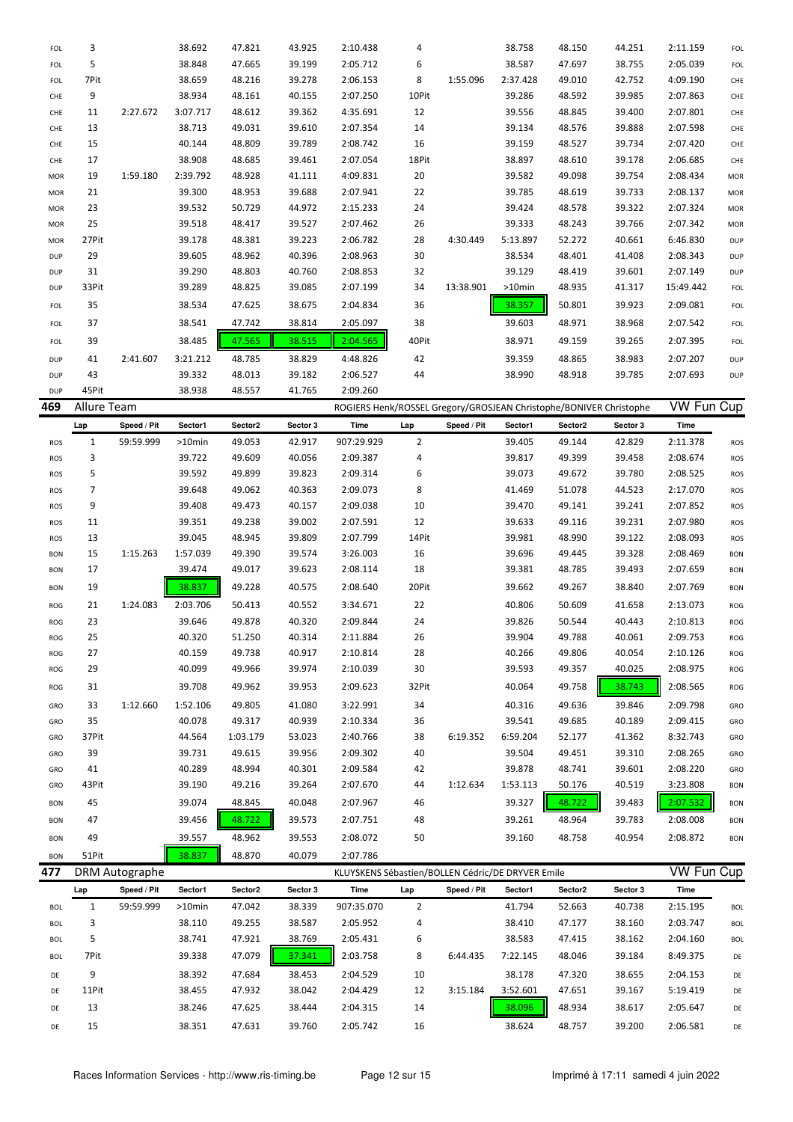| FOL        | 3     |          | 38.692   | 47.821 | 43.925 | 2:10.438 | 4     |           | 38.758    | 48.150 | 44.251 | 2:11.159  | FOL        |
|------------|-------|----------|----------|--------|--------|----------|-------|-----------|-----------|--------|--------|-----------|------------|
| <b>FOL</b> | 5     |          | 38.848   | 47.665 | 39.199 | 2:05.712 | 6     |           | 38.587    | 47.697 | 38.755 | 2:05.039  | <b>FOL</b> |
| <b>FOL</b> | 7Pit  |          | 38.659   | 48.216 | 39.278 | 2:06.153 | 8     | 1:55.096  | 2:37.428  | 49.010 | 42.752 | 4:09.190  | CHE        |
| CHE        | 9     |          | 38.934   | 48.161 | 40.155 | 2:07.250 | 10Pit |           | 39.286    | 48.592 | 39.985 | 2:07.863  | CHE        |
| CHE        | 11    | 2:27.672 | 3:07.717 | 48.612 | 39.362 | 4:35.691 | 12    |           | 39.556    | 48.845 | 39.400 | 2:07.801  | CHE        |
| CHE        | 13    |          | 38.713   | 49.031 | 39.610 | 2:07.354 | 14    |           | 39.134    | 48.576 | 39.888 | 2:07.598  | CHE        |
| CHE        | 15    |          | 40.144   | 48.809 | 39.789 | 2:08.742 | 16    |           | 39.159    | 48.527 | 39.734 | 2:07.420  | CHE        |
| CHE        | 17    |          | 38.908   | 48.685 | 39.461 | 2:07.054 | 18Pit |           | 38.897    | 48.610 | 39.178 | 2:06.685  | CHE        |
| MOR        | 19    | 1:59.180 | 2:39.792 | 48.928 | 41.111 | 4:09.831 | 20    |           | 39.582    | 49.098 | 39.754 | 2:08.434  | <b>MOR</b> |
| MOR        | 21    |          | 39.300   | 48.953 | 39.688 | 2:07.941 | 22    |           | 39.785    | 48.619 | 39.733 | 2:08.137  | <b>MOR</b> |
| MOR        | 23    |          | 39.532   | 50.729 | 44.972 | 2:15.233 | 24    |           | 39.424    | 48.578 | 39.322 | 2:07.324  | <b>MOR</b> |
| MOR        | 25    |          | 39.518   | 48.417 | 39.527 | 2:07.462 | 26    |           | 39.333    | 48.243 | 39.766 | 2:07.342  | <b>MOR</b> |
| MOR        | 27Pit |          | 39.178   | 48.381 | 39.223 | 2:06.782 | 28    | 4:30.449  | 5:13.897  | 52.272 | 40.661 | 6:46.830  | <b>DUP</b> |
| <b>DUP</b> | 29    |          | 39.605   | 48.962 | 40.396 | 2:08.963 | 30    |           | 38.534    | 48.401 | 41.408 | 2:08.343  | <b>DUP</b> |
| <b>DUP</b> | 31    |          | 39.290   | 48.803 | 40.760 | 2:08.853 | 32    |           | 39.129    | 48.419 | 39.601 | 2:07.149  | <b>DUP</b> |
| <b>DUP</b> | 33Pit |          | 39.289   | 48.825 | 39.085 | 2:07.199 | 34    | 13:38.901 | $>10$ min | 48.935 | 41.317 | 15:49.442 | FOL        |
| FOL        | 35    |          | 38.534   | 47.625 | 38.675 | 2:04.834 | 36    |           | 38.357    | 50.801 | 39.923 | 2:09.081  | FOL        |
| <b>FOL</b> | 37    |          | 38.541   | 47.742 | 38.814 | 2:05.097 | 38    |           | 39.603    | 48.971 | 38.968 | 2:07.542  | <b>FOL</b> |
| <b>FOL</b> | 39    |          | 38.485   | 47.565 | 38.515 | 2:04.565 | 40Pit |           | 38.971    | 49.159 | 39.265 | 2:07.395  | <b>FOL</b> |
| <b>DUP</b> | 41    | 2:41.607 | 3:21.212 | 48.785 | 38.829 | 4:48.826 | 42    |           | 39.359    | 48.865 | 38.983 | 2:07.207  | <b>DUP</b> |
| <b>DUP</b> | 43    |          | 39.332   | 48.013 | 39.182 | 2:06.527 | 44    |           | 38.990    | 48.918 | 39.785 | 2:07.693  | <b>DUP</b> |
| <b>DUP</b> | 45Pit |          | 38.938   | 48.557 | 41.765 | 2:09.260 |       |           |           |        |        |           |            |

| 469        | <b>Allure Team</b> |             |           |          |          | ROGIERS Henk/ROSSEL Gregory/GROSJEAN Christophe/BONIVER Christophe |                |             |          | <b>VW Fun Cup</b> |          |          |            |
|------------|--------------------|-------------|-----------|----------|----------|--------------------------------------------------------------------|----------------|-------------|----------|-------------------|----------|----------|------------|
|            | Lap                | Speed / Pit | Sector1   | Sector2  | Sector 3 | Time                                                               | Lap            | Speed / Pit | Sector1  | Sector2           | Sector 3 | Time     |            |
| ROS        | 1                  | 59:59.999   | $>10$ min | 49.053   | 42.917   | 907:29.929                                                         | $\overline{2}$ |             | 39.405   | 49.144            | 42.829   | 2:11.378 | <b>ROS</b> |
| ROS        | 3                  |             | 39.722    | 49.609   | 40.056   | 2:09.387                                                           | 4              |             | 39.817   | 49.399            | 39.458   | 2:08.674 | ROS        |
| ROS        | 5                  |             | 39.592    | 49.899   | 39.823   | 2:09.314                                                           | 6              |             | 39.073   | 49.672            | 39.780   | 2:08.525 | ROS        |
| ROS        | 7                  |             | 39.648    | 49.062   | 40.363   | 2:09.073                                                           | 8              |             | 41.469   | 51.078            | 44.523   | 2:17.070 | ROS        |
| ROS        | 9                  |             | 39.408    | 49.473   | 40.157   | 2:09.038                                                           | 10             |             | 39.470   | 49.141            | 39.241   | 2:07.852 | ROS        |
| ROS        | 11                 |             | 39.351    | 49.238   | 39.002   | 2:07.591                                                           | 12             |             | 39.633   | 49.116            | 39.231   | 2:07.980 | ROS        |
| <b>ROS</b> | 13                 |             | 39.045    | 48.945   | 39.809   | 2:07.799                                                           | 14Pit          |             | 39.981   | 48.990            | 39.122   | 2:08.093 | <b>ROS</b> |
| <b>BON</b> | 15                 | 1:15.263    | 1:57.039  | 49.390   | 39.574   | 3:26.003                                                           | 16             |             | 39.696   | 49.445            | 39.328   | 2:08.469 | <b>BON</b> |
| <b>BON</b> | 17                 |             | 39.474    | 49.017   | 39.623   | 2:08.114                                                           | 18             |             | 39.381   | 48.785            | 39.493   | 2:07.659 | <b>BON</b> |
| <b>BON</b> | 19                 |             | 38.837    | 49.228   | 40.575   | 2:08.640                                                           | 20Pit          |             | 39.662   | 49.267            | 38.840   | 2:07.769 | <b>BON</b> |
| ROG        | 21                 | 1:24.083    | 2:03.706  | 50.413   | 40.552   | 3:34.671                                                           | 22             |             | 40.806   | 50.609            | 41.658   | 2:13.073 | ROG        |
| ROG        | 23                 |             | 39.646    | 49.878   | 40.320   | 2:09.844                                                           | 24             |             | 39.826   | 50.544            | 40.443   | 2:10.813 | ROG        |
| ROG        | 25                 |             | 40.320    | 51.250   | 40.314   | 2:11.884                                                           | 26             |             | 39.904   | 49.788            | 40.061   | 2:09.753 | ROG        |
| ROG        | 27                 |             | 40.159    | 49.738   | 40.917   | 2:10.814                                                           | 28             |             | 40.266   | 49.806            | 40.054   | 2:10.126 | ROG        |
| ROG        | 29                 |             | 40.099    | 49.966   | 39.974   | 2:10.039                                                           | 30             |             | 39.593   | 49.357            | 40.025   | 2:08.975 | ROG        |
| ROG        | 31                 |             | 39.708    | 49.962   | 39.953   | 2:09.623                                                           | 32Pit          |             | 40.064   | 49.758            | 38.743   | 2:08.565 | ROG        |
| GRO        | 33                 | 1:12.660    | 1:52.106  | 49.805   | 41.080   | 3:22.991                                                           | 34             |             | 40.316   | 49.636            | 39.846   | 2:09.798 | GRO        |
| GRO        | 35                 |             | 40.078    | 49.317   | 40.939   | 2:10.334                                                           | 36             |             | 39.541   | 49.685            | 40.189   | 2:09.415 | GRO        |
| GRO        | 37Pit              |             | 44.564    | 1:03.179 | 53.023   | 2:40.766                                                           | 38             | 6:19.352    | 6:59.204 | 52.177            | 41.362   | 8:32.743 | GRO        |
| GRO        | 39                 |             | 39.731    | 49.615   | 39.956   | 2:09.302                                                           | 40             |             | 39.504   | 49.451            | 39.310   | 2:08.265 | GRO        |
| GRO        | 41                 |             | 40.289    | 48.994   | 40.301   | 2:09.584                                                           | 42             |             | 39.878   | 48.741            | 39.601   | 2:08.220 | GRO        |
| GRO        | 43Pit              |             | 39.190    | 49.216   | 39.264   | 2:07.670                                                           | 44             | 1:12.634    | 1:53.113 | 50.176            | 40.519   | 3:23.808 | <b>BON</b> |
| <b>BON</b> | 45                 |             | 39.074    | 48.845   | 40.048   | 2:07.967                                                           | 46             |             | 39.327   | 48.722            | 39.483   | 2:07.532 | <b>BON</b> |
| <b>BON</b> | 47                 |             | 39.456    | 48.722   | 39.573   | 2:07.751                                                           | 48             |             | 39.261   | 48.964            | 39.783   | 2:08.008 | <b>BON</b> |
| <b>BON</b> | 49                 |             | 39.557    | 48.962   | 39.553   | 2:08.072                                                           | 50             |             | 39.160   | 48.758            | 40.954   | 2:08.872 | <b>BON</b> |
| <b>BON</b> | 51Pit              |             | 38.837    | 48.870   | 40.079   | 2:07.786                                                           |                |             |          |                   |          |          |            |

|       |             |           |                | KLUYSKENS Sébastien/BOLLEN Cédric/DE DRYVER Emile |            |     |             |          |         |          |          | VW Fun Cup |  |
|-------|-------------|-----------|----------------|---------------------------------------------------|------------|-----|-------------|----------|---------|----------|----------|------------|--|
| Lap   | Speed / Pit | Sector1   | Sector2        | Sector 3                                          | Time       | Lap | Speed / Pit | Sector1  | Sector2 | Sector 3 | Time     |            |  |
|       | 59:59.999   | $>10$ min | 47.042         | 38.339                                            | 907:35.070 | 2   |             | 41.794   | 52.663  | 40.738   | 2:15.195 | <b>BOL</b> |  |
| 3     |             | 38.110    | 49.255         | 38.587                                            | 2:05.952   | 4   |             | 38.410   | 47.177  | 38.160   | 2:03.747 | <b>BOL</b> |  |
| 5     |             | 38.741    | 47.921         | 38.769                                            | 2:05.431   | 6   |             | 38.583   | 47.415  | 38.162   | 2:04.160 | <b>BOL</b> |  |
| 7Pit  |             | 39.338    | 47.079         | 37.341                                            | 2:03.758   | 8   | 6:44.435    | 7:22.145 | 48.046  | 39.184   | 8:49.375 | DE         |  |
| 9     |             | 38.392    | 47.684         | 38.453                                            | 2:04.529   | 10  |             | 38.178   | 47.320  | 38.655   | 2:04.153 | DE         |  |
| 11Pit |             | 38.455    | 47.932         | 38.042                                            | 2:04.429   | 12  | 3:15.184    | 3:52.601 | 47.651  | 39.167   | 5:19.419 | DE         |  |
| 13    |             | 38.246    | 47.625         | 38.444                                            | 2:04.315   | 14  |             | 38.096   | 48.934  | 38.617   | 2:05.647 | DE         |  |
| 15    |             | 38.351    | 47.631         | 39.760                                            | 2:05.742   | 16  |             | 38.624   | 48.757  | 39.200   | 2:06.581 | DE         |  |
|       |             |           | DRM Autographe |                                                   |            |     |             |          |         |          |          |            |  |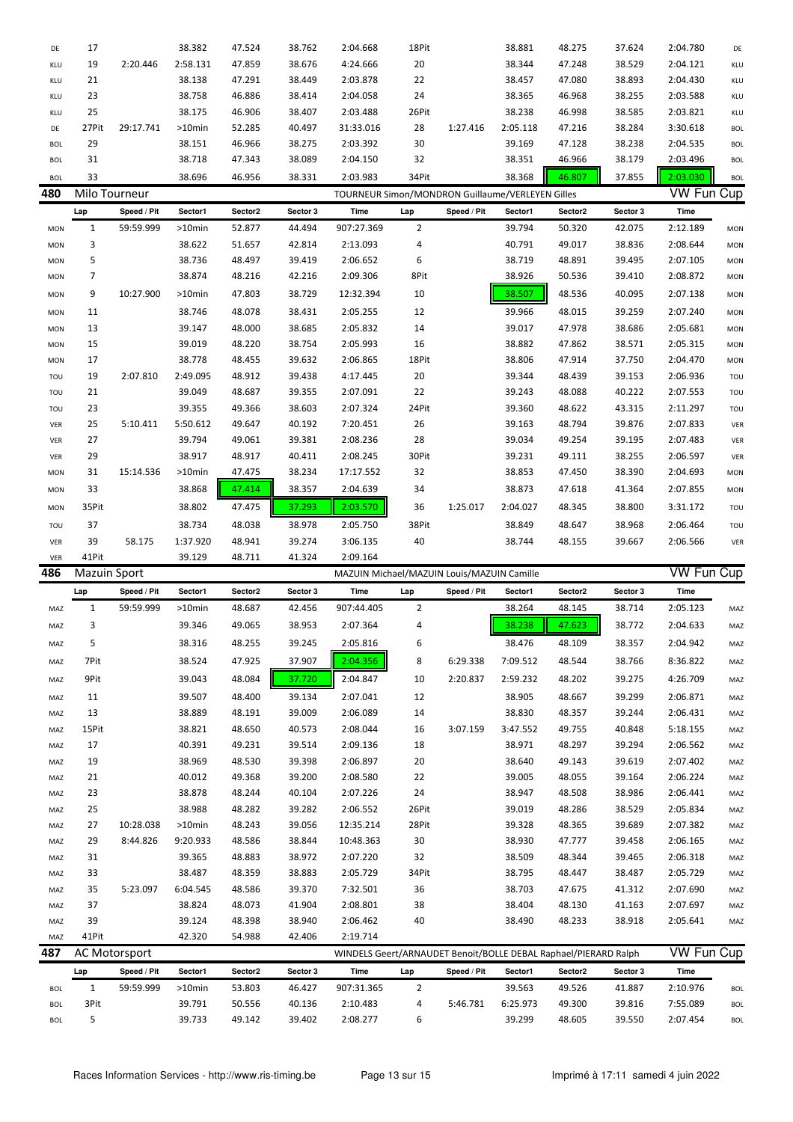| DE                | 17                  |                      | 38.382           | 47.524           | 38.762           | 2:04.668                                                        | 18Pit          |             | 38.881             | 48.275           | 37.624           | 2:04.780             | DE                |
|-------------------|---------------------|----------------------|------------------|------------------|------------------|-----------------------------------------------------------------|----------------|-------------|--------------------|------------------|------------------|----------------------|-------------------|
| KLU               | 19                  | 2:20.446             | 2:58.131         | 47.859           | 38.676           | 4:24.666                                                        | 20             |             | 38.344             | 47.248           | 38.529           | 2:04.121             | KLU               |
| KLU               | 21                  |                      | 38.138           | 47.291           | 38.449           | 2:03.878                                                        | 22             |             | 38.457             | 47.080           | 38.893           | 2:04.430             | KLU               |
| KLU               | 23                  |                      | 38.758           | 46.886           | 38.414           | 2:04.058                                                        | 24             |             | 38.365             | 46.968           | 38.255           | 2:03.588             | KLU               |
| KLU               | 25                  |                      | 38.175           | 46.906           | 38.407           | 2:03.488                                                        | 26Pit          |             | 38.238             | 46.998           | 38.585           | 2:03.821             | KLU               |
| DE                | 27Pit               | 29:17.741            | >10min           | 52.285           | 40.497           | 31:33.016                                                       | 28             | 1:27.416    | 2:05.118           | 47.216           | 38.284           | 3:30.618             | <b>BOL</b>        |
| <b>BOL</b>        | 29                  |                      | 38.151           | 46.966           | 38.275           | 2:03.392                                                        | 30             |             | 39.169             | 47.128           | 38.238           | 2:04.535             | <b>BOL</b>        |
| <b>BOL</b>        | 31                  |                      | 38.718           | 47.343           | 38.089           | 2:04.150                                                        | 32             |             | 38.351             | 46.966           | 38.179           | 2:03.496             | <b>BOL</b>        |
| <b>BOL</b>        | 33                  |                      | 38.696           | 46.956           | 38.331           | 2:03.983                                                        | 34Pit          |             | 38.368             | 46.807           | 37.855           | 2:03.030             | <b>BOL</b>        |
| 480               | Milo Tourneur       |                      |                  |                  |                  | TOURNEUR Simon/MONDRON Guillaume/VERLEYEN Gilles                |                |             |                    |                  |                  | <b>VW Fun Cup</b>    |                   |
|                   | Lap                 | Speed / Pit          | Sector1          | Sector2          | Sector 3         | Time                                                            | Lap            | Speed / Pit | Sector1            | Sector2          | Sector 3         | Time                 |                   |
| <b>MON</b>        | 1                   | 59:59.999            | >10min           | 52.877           | 44.494           | 907:27.369                                                      | 2              |             | 39.794             | 50.320           | 42.075           | 2:12.189             | <b>MON</b>        |
| MON               | 3                   |                      | 38.622           | 51.657           | 42.814           | 2:13.093                                                        | 4              |             | 40.791             | 49.017           | 38.836           | 2:08.644             | <b>MON</b>        |
| MON               | 5                   |                      | 38.736           | 48.497           | 39.419           | 2:06.652                                                        | 6              |             | 38.719             | 48.891           | 39.495           | 2:07.105             | <b>MON</b>        |
| MON               | 7                   |                      | 38.874           | 48.216           | 42.216           | 2:09.306                                                        | 8Pit           |             | 38.926             | 50.536           | 39.410           | 2:08.872             | <b>MON</b>        |
| <b>MON</b>        | 9                   | 10:27.900            | >10min           | 47.803           | 38.729           | 12:32.394                                                       | 10             |             | 38.507             | 48.536           | 40.095           | 2:07.138             | <b>MON</b>        |
| <b>MON</b>        | 11                  |                      | 38.746           | 48.078           | 38.431           | 2:05.255                                                        | 12             |             | 39.966             | 48.015           | 39.259           | 2:07.240             | <b>MON</b>        |
| MON               | 13                  |                      | 39.147           | 48.000           | 38.685           | 2:05.832                                                        | 14             |             | 39.017             | 47.978           | 38.686           | 2:05.681             | <b>MON</b>        |
| <b>MON</b>        | 15                  |                      | 39.019           | 48.220           | 38.754           | 2:05.993                                                        | 16             |             | 38.882             | 47.862           | 38.571           | 2:05.315             | <b>MON</b>        |
| <b>MON</b>        | 17                  |                      | 38.778           | 48.455           | 39.632           | 2:06.865                                                        | 18Pit          |             | 38.806             | 47.914           | 37.750           | 2:04.470             | <b>MON</b>        |
| TOU               | 19                  | 2:07.810             | 2:49.095         | 48.912           | 39.438           | 4:17.445                                                        | 20             |             | 39.344             | 48.439           | 39.153           | 2:06.936             | TOU               |
| TOU               | 21                  |                      | 39.049           | 48.687           | 39.355           | 2:07.091                                                        | 22             |             | 39.243             | 48.088           | 40.222           | 2:07.553             | TOU               |
| TOU               | 23                  |                      | 39.355           | 49.366           | 38.603           | 2:07.324                                                        | 24Pit          |             | 39.360             | 48.622           | 43.315           | 2:11.297             | TOU               |
| VER               | 25                  | 5:10.411             | 5:50.612         | 49.647           | 40.192           | 7:20.451                                                        | 26             |             | 39.163             | 48.794           | 39.876           | 2:07.833             | VER               |
| VER               | 27                  |                      | 39.794           | 49.061           | 39.381           | 2:08.236                                                        | 28             |             | 39.034             | 49.254           | 39.195           | 2:07.483             | VER               |
| VER               | 29                  |                      | 38.917           | 48.917           | 40.411           | 2:08.245                                                        | 30Pit          |             | 39.231             | 49.111           | 38.255           | 2:06.597             | VER               |
| <b>MON</b>        | 31                  | 15:14.536            | >10min           | 47.475           | 38.234           | 17:17.552                                                       | 32             |             | 38.853             | 47.450           | 38.390           | 2:04.693             | <b>MON</b>        |
| <b>MON</b>        | 33                  |                      | 38.868           | 47.414           | 38.357           | 2:04.639                                                        | 34             |             | 38.873             | 47.618           | 41.364           | 2:07.855             | <b>MON</b>        |
| <b>MON</b>        | 35Pit               |                      | 38.802           | 47.475           | 37.293           | 2:03.570                                                        | 36             | 1:25.017    | 2:04.027           | 48.345           | 38.800           | 3:31.172             | TOU               |
|                   |                     |                      |                  |                  |                  |                                                                 |                |             |                    |                  |                  |                      |                   |
| TOU               | 37                  |                      | 38.734           | 48.038           | 38.978           | 2:05.750                                                        | 38Pit          |             | 38.849             | 48.647           | 38.968           | 2:06.464             | TOU               |
|                   |                     |                      |                  |                  |                  |                                                                 |                |             |                    |                  |                  |                      |                   |
| VER               | 39                  | 58.175               | 1:37.920         | 48.941           | 39.274           | 3:06.135                                                        | 40             |             | 38.744             | 48.155           | 39.667           | 2:06.566             | VER               |
| VER               | 41Pit               |                      | 39.129           | 48.711           | 41.324           | 2:09.164                                                        |                |             |                    |                  |                  |                      |                   |
| 486               | <b>Mazuin Sport</b> |                      |                  |                  |                  | MAZUIN Michael/MAZUIN Louis/MAZUIN Camille                      |                |             |                    |                  |                  | <b>VW Fun Cup</b>    |                   |
|                   | Lap                 | Speed / Pit          | Sector1          | Sector2          | Sector 3         | <b>Time</b>                                                     | Lap            | Speed / Pit | Sector1            | Sector2          | Sector 3         | Time                 |                   |
| MAZ               | 1                   | 59:59.999            | $>10$ min        | 48.687           | 42.456           | 907:44.405                                                      | 2              |             | 38.264             | 48.145           | 38.714           | 2:05.123             | MAZ               |
| MAZ               | 3                   |                      | 39.346           | 49.065           | 38.953           | 2:07.364                                                        | 4              |             | 38.238             | 47.623           | 38.772           | 2:04.633             | MAZ               |
| MAZ               | 5                   |                      | 38.316           | 48.255           | 39.245           | 2:05.816                                                        | 6              |             | 38.476             | 48.109           | 38.357           | 2:04.942             | MAZ               |
| MAZ               | 7Pit                |                      | 38.524           | 47.925           | 37.907           | 2:04.356                                                        | 8              | 6:29.338    | 7:09.512           | 48.544           | 38.766           | 8:36.822             | MAZ               |
| MAZ               | 9Pit                |                      | 39.043           | 48.084           | 37.720           | 2:04.847                                                        | 10             | 2:20.837    | 2:59.232           | 48.202           | 39.275           | 4:26.709             | MAZ               |
| MAZ               | 11                  |                      | 39.507           | 48.400           | 39.134           | 2:07.041                                                        | 12             |             | 38.905             | 48.667           | 39.299           | 2:06.871             | MAZ               |
| MAZ               | 13                  |                      | 38.889           | 48.191           | 39.009           | 2:06.089                                                        | 14             |             | 38.830             | 48.357           | 39.244           | 2:06.431             | MAZ               |
| MAZ               | 15Pit               |                      | 38.821           | 48.650           | 40.573           | 2:08.044                                                        | 16             | 3:07.159    | 3:47.552           | 49.755           | 40.848           | 5:18.155             | MAZ               |
| MAZ               | 17                  |                      | 40.391           | 49.231           | 39.514           | 2:09.136                                                        | 18             |             | 38.971             | 48.297           | 39.294           | 2:06.562             | MAZ               |
| MAZ               | 19                  |                      | 38.969           | 48.530           | 39.398           | 2:06.897                                                        | 20             |             | 38.640             | 49.143           | 39.619           | 2:07.402             | MAZ               |
| MAZ               | 21                  |                      | 40.012           | 49.368           | 39.200           | 2:08.580                                                        | 22             |             | 39.005             | 48.055           | 39.164           | 2:06.224             | MAZ               |
| MAZ               | 23                  |                      | 38.878           | 48.244           | 40.104           | 2:07.226                                                        | 24             |             | 38.947             | 48.508           | 38.986           | 2:06.441             | MAZ               |
| MAZ               | 25                  |                      | 38.988           | 48.282           | 39.282           | 2:06.552                                                        | 26Pit          |             | 39.019             | 48.286           | 38.529           | 2:05.834             | MAZ               |
| MAZ               | 27                  | 10:28.038            | >10min           | 48.243           | 39.056           | 12:35.214                                                       | 28Pit          |             | 39.328             | 48.365           | 39.689           | 2:07.382             | MAZ               |
| MAZ               | 29                  | 8:44.826             | 9:20.933         | 48.586           | 38.844           | 10:48.363                                                       | 30             |             | 38.930             | 47.777           | 39.458           | 2:06.165             | MAZ               |
| MAZ               | 31                  |                      | 39.365           | 48.883           | 38.972           | 2:07.220                                                        | 32             |             | 38.509             | 48.344           | 39.465           | 2:06.318             | MAZ               |
| MAZ               | 33                  |                      | 38.487           | 48.359           | 38.883           | 2:05.729                                                        | 34Pit          |             | 38.795             | 48.447           | 38.487           | 2:05.729             | MAZ               |
| MAZ               | 35                  | 5:23.097             | 6:04.545         | 48.586           | 39.370           | 7:32.501                                                        | 36             |             | 38.703             | 47.675           | 41.312           | 2:07.690             | MAZ               |
| MAZ               | 37                  |                      | 38.824           | 48.073           | 41.904           | 2:08.801                                                        | 38             |             | 38.404             | 48.130           | 41.163           | 2:07.697             | MAZ               |
| MAZ               | 39                  |                      | 39.124           | 48.398           | 38.940           | 2:06.462                                                        | 40             |             | 38.490             | 48.233           | 38.918           | 2:05.641             | MAZ               |
| MAZ               | 41Pit               |                      | 42.320           | 54.988           | 42.406           | 2:19.714                                                        |                |             |                    |                  |                  |                      |                   |
| 487               |                     | <b>AC Motorsport</b> |                  |                  |                  | WINDELS Geert/ARNAUDET Benoit/BOLLE DEBAL Raphael/PIERARD Ralph |                |             |                    |                  |                  | <b>VW Fun Cup</b>    |                   |
|                   | Lap                 | Speed / Pit          | Sector1          | Sector2          | Sector 3         | Time                                                            | Lap            | Speed / Pit | Sector1            | Sector2          | Sector 3         | Time                 |                   |
| <b>BOL</b>        | 1                   | 59:59.999            | >10min           | 53.803           | 46.427           | 907:31.365                                                      | $\overline{2}$ |             | 39.563             | 49.526           | 41.887           | 2:10.976             | <b>BOL</b>        |
| <b>BOL</b><br>BOL | 3Pit<br>5           |                      | 39.791<br>39.733 | 50.556<br>49.142 | 40.136<br>39.402 | 2:10.483<br>2:08.277                                            | 4<br>6         | 5:46.781    | 6:25.973<br>39.299 | 49.300<br>48.605 | 39.816<br>39.550 | 7:55.089<br>2:07.454 | <b>BOL</b><br>BOL |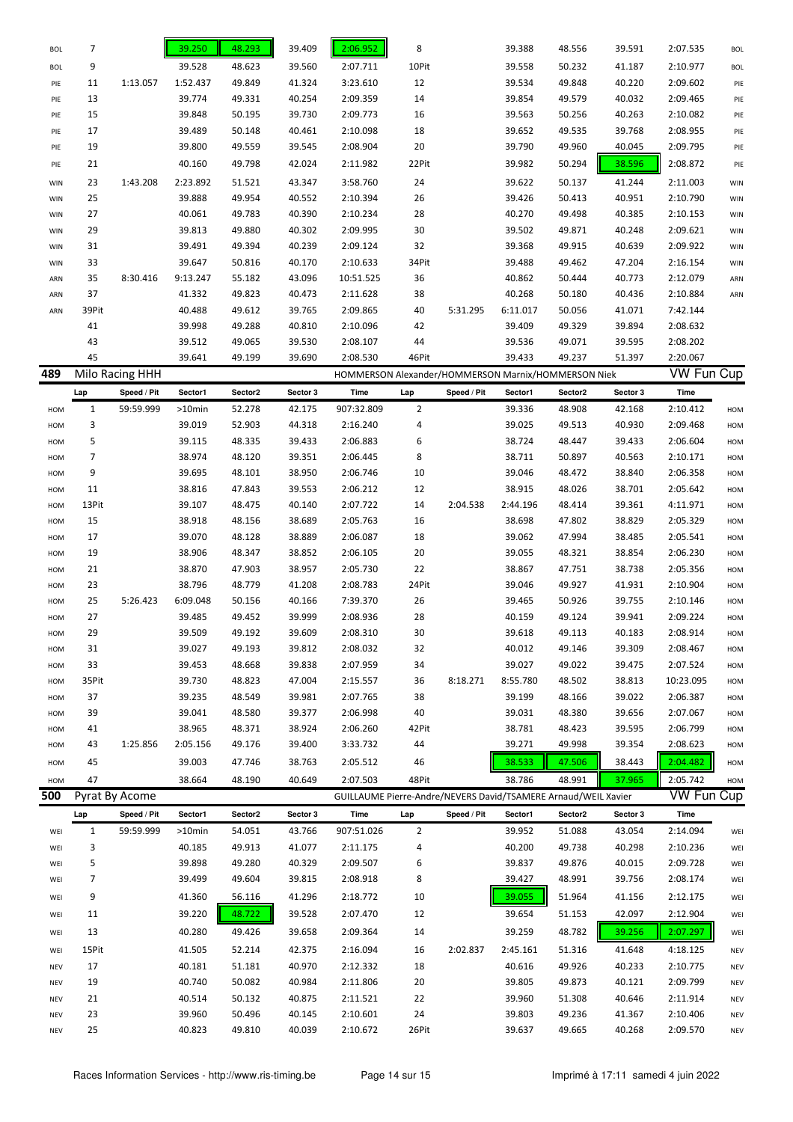| <b>BOL</b> | 7            |                 | 39.250   | 48.293  | 39.409   | 2:06.952   | 8              |             | 39.388                                                         | 48.556  | 39.591   | 2:07.535          | <b>BOL</b> |
|------------|--------------|-----------------|----------|---------|----------|------------|----------------|-------------|----------------------------------------------------------------|---------|----------|-------------------|------------|
| <b>BOL</b> | 9            |                 | 39.528   | 48.623  | 39.560   | 2:07.711   | 10Pit          |             | 39.558                                                         | 50.232  | 41.187   | 2:10.977          | <b>BOL</b> |
| PIE        | 11           | 1:13.057        | 1:52.437 | 49.849  | 41.324   | 3:23.610   | 12             |             | 39.534                                                         | 49.848  | 40.220   | 2:09.602          | PIE        |
| PIE        | 13           |                 | 39.774   | 49.331  | 40.254   | 2:09.359   | 14             |             | 39.854                                                         | 49.579  | 40.032   | 2:09.465          | PIE        |
| PIE        | 15           |                 | 39.848   | 50.195  | 39.730   | 2:09.773   | 16             |             | 39.563                                                         | 50.256  | 40.263   | 2:10.082          | PIE        |
| PIE        | 17           |                 | 39.489   | 50.148  | 40.461   | 2:10.098   | 18             |             | 39.652                                                         | 49.535  | 39.768   | 2:08.955          | PIE        |
| PIE        | 19           |                 | 39.800   | 49.559  | 39.545   | 2:08.904   | 20             |             | 39.790                                                         | 49.960  | 40.045   | 2:09.795          | PIE        |
| PIE        | 21           |                 | 40.160   | 49.798  | 42.024   | 2:11.982   | 22Pit          |             | 39.982                                                         | 50.294  | 38.596   | 2:08.872          | PIE        |
|            | 23           | 1:43.208        | 2:23.892 | 51.521  | 43.347   | 3:58.760   | 24             |             | 39.622                                                         | 50.137  | 41.244   | 2:11.003          |            |
| WIN        |              |                 |          |         |          |            |                |             |                                                                |         |          |                   | WIN        |
| <b>WIN</b> | 25           |                 | 39.888   | 49.954  | 40.552   | 2:10.394   | 26             |             | 39.426                                                         | 50.413  | 40.951   | 2:10.790          | WIN        |
| <b>WIN</b> | 27           |                 | 40.061   | 49.783  | 40.390   | 2:10.234   | 28             |             | 40.270                                                         | 49.498  | 40.385   | 2:10.153          | WIN        |
| <b>WIN</b> | 29           |                 | 39.813   | 49.880  | 40.302   | 2:09.995   | 30             |             | 39.502                                                         | 49.871  | 40.248   | 2:09.621          | WIN        |
| <b>WIN</b> | 31           |                 | 39.491   | 49.394  | 40.239   | 2:09.124   | 32             |             | 39.368                                                         | 49.915  | 40.639   | 2:09.922          | WIN        |
| <b>WIN</b> | 33           |                 | 39.647   | 50.816  | 40.170   | 2:10.633   | 34Pit          |             | 39.488                                                         | 49.462  | 47.204   | 2:16.154          | WIN        |
| ARN        | 35           | 8:30.416        | 9:13.247 | 55.182  | 43.096   | 10:51.525  | 36             |             | 40.862                                                         | 50.444  | 40.773   | 2:12.079          | ARN        |
| ARN        | 37           |                 | 41.332   | 49.823  | 40.473   | 2:11.628   | 38             |             | 40.268                                                         | 50.180  | 40.436   | 2:10.884          | ARN        |
| ARN        | 39Pit        |                 | 40.488   | 49.612  | 39.765   | 2:09.865   | 40             | 5:31.295    | 6:11.017                                                       | 50.056  | 41.071   | 7:42.144          |            |
|            | 41           |                 | 39.998   | 49.288  | 40.810   | 2:10.096   | 42             |             | 39.409                                                         | 49.329  | 39.894   | 2:08.632          |            |
|            | 43           |                 | 39.512   | 49.065  | 39.530   | 2:08.107   | 44             |             | 39.536                                                         | 49.071  | 39.595   | 2:08.202          |            |
|            | 45           |                 | 39.641   | 49.199  | 39.690   | 2:08.530   | 46Pit          |             | 39.433                                                         | 49.237  | 51.397   | 2:20.067          |            |
| 489        |              | Milo Racing HHH |          |         |          |            |                |             | HOMMERSON Alexander/HOMMERSON Marnix/HOMMERSON Niek            |         |          | VW Fun Cup        |            |
|            | Lap          | Speed / Pit     | Sector1  | Sector2 | Sector 3 | Time       | Lap            | Speed / Pit | Sector1                                                        | Sector2 | Sector 3 | Time              |            |
| HOM        | $\mathbf{1}$ | 59:59.999       | >10min   | 52.278  | 42.175   | 907:32.809 | $\overline{2}$ |             | 39.336                                                         | 48.908  | 42.168   | 2:10.412          | <b>HOM</b> |
| HOM        | 3            |                 | 39.019   | 52.903  | 44.318   | 2:16.240   | 4              |             | 39.025                                                         | 49.513  | 40.930   | 2:09.468          | <b>HOM</b> |
| HOM        | 5            |                 | 39.115   | 48.335  | 39.433   | 2:06.883   | 6              |             | 38.724                                                         | 48.447  | 39.433   | 2:06.604          | <b>HOM</b> |
| HOM        | 7            |                 | 38.974   | 48.120  | 39.351   | 2:06.445   | 8              |             | 38.711                                                         | 50.897  | 40.563   | 2:10.171          | <b>HOM</b> |
| HOM        | 9            |                 | 39.695   | 48.101  | 38.950   | 2:06.746   | 10             |             | 39.046                                                         | 48.472  | 38.840   | 2:06.358          | <b>HOM</b> |
| HOM        | 11           |                 | 38.816   | 47.843  | 39.553   | 2:06.212   | 12             |             | 38.915                                                         | 48.026  | 38.701   | 2:05.642          | <b>HOM</b> |
| HOM        | 13Pit        |                 | 39.107   | 48.475  | 40.140   | 2:07.722   | 14             | 2:04.538    | 2:44.196                                                       | 48.414  | 39.361   | 4:11.971          | <b>HOM</b> |
| HOM        | 15           |                 | 38.918   | 48.156  | 38.689   | 2:05.763   | 16             |             | 38.698                                                         | 47.802  | 38.829   | 2:05.329          | <b>HOM</b> |
| HOM        | 17           |                 | 39.070   | 48.128  | 38.889   | 2:06.087   | 18             |             | 39.062                                                         | 47.994  | 38.485   | 2:05.541          | <b>HOM</b> |
| HOM        | 19           |                 | 38.906   | 48.347  | 38.852   | 2:06.105   | 20             |             | 39.055                                                         | 48.321  | 38.854   | 2:06.230          | <b>HOM</b> |
| HOM        | 21           |                 | 38.870   | 47.903  | 38.957   | 2:05.730   | 22             |             | 38.867                                                         | 47.751  | 38.738   | 2:05.356          | <b>HOM</b> |
| HOM        | 23           |                 | 38.796   | 48.779  | 41.208   | 2:08.783   | 24Pit          |             | 39.046                                                         | 49.927  | 41.931   | 2:10.904          | <b>HOM</b> |
| HOM        | 25           | 5:26.423        | 6:09.048 | 50.156  | 40.166   | 7:39.370   | 26             |             | 39.465                                                         | 50.926  | 39.755   | 2:10.146          | <b>HOM</b> |
| HOM        | 27           |                 | 39.485   | 49.452  | 39.999   | 2:08.936   | 28             |             | 40.159                                                         | 49.124  | 39.941   | 2:09.224          | <b>HOM</b> |
|            | 29           |                 | 39.509   | 49.192  | 39.609   | 2:08.310   | 30             |             | 39.618                                                         | 49.113  | 40.183   | 2:08.914          | HOM        |
| HOM        |              |                 | 39.027   | 49.193  | 39.812   | 2:08.032   | 32             |             | 40.012                                                         | 49.146  | 39.309   | 2:08.467          |            |
| HOM        | 31<br>33     |                 | 39.453   | 48.668  | 39.838   | 2:07.959   |                |             | 39.027                                                         | 49.022  |          |                   | HOM        |
| HOM        |              |                 |          |         |          |            | 34             |             |                                                                |         | 39.475   | 2:07.524          | HOM        |
| HOM        | 35Pit        |                 | 39.730   | 48.823  | 47.004   | 2:15.557   | 36             | 8:18.271    | 8:55.780                                                       | 48.502  | 38.813   | 10:23.095         | HOM        |
| HOM        | 37           |                 | 39.235   | 48.549  | 39.981   | 2:07.765   | 38             |             | 39.199                                                         | 48.166  | 39.022   | 2:06.387          | HOM        |
| HOM        | 39           |                 | 39.041   | 48.580  | 39.377   | 2:06.998   | 40             |             | 39.031                                                         | 48.380  | 39.656   | 2:07.067          | HOM        |
| HOM        | 41           |                 | 38.965   | 48.371  | 38.924   | 2:06.260   | 42Pit          |             | 38.781                                                         | 48.423  | 39.595   | 2:06.799          | HOM        |
| HOM        | 43           | 1:25.856        | 2:05.156 | 49.176  | 39.400   | 3:33.732   | 44             |             | 39.271                                                         | 49.998  | 39.354   | 2:08.623          | HOM        |
| HOM        | 45           |                 | 39.003   | 47.746  | 38.763   | 2:05.512   | 46             |             | 38.533                                                         | 47.506  | 38.443   | 2:04.482          | HOM        |
| HOM        | 47           |                 | 38.664   | 48.190  | 40.649   | 2:07.503   | 48Pit          |             | 38.786                                                         | 48.991  | 37.965   | 2:05.742          | HOM        |
| 500        |              | Pyrat By Acome  |          |         |          |            |                |             | GUILLAUME Pierre-Andre/NEVERS David/TSAMERE Arnaud/WEIL Xavier |         |          | <b>VW Fun Cup</b> |            |
|            | Lap          | Speed / Pit     | Sector1  | Sector2 | Sector 3 | Time       | Lap            | Speed / Pit | Sector1                                                        | Sector2 | Sector 3 | Time              |            |
| WEI        | $\mathbf{1}$ | 59:59.999       | >10min   | 54.051  | 43.766   | 907:51.026 | $\overline{2}$ |             | 39.952                                                         | 51.088  | 43.054   | 2:14.094          | WEI        |
| WEI        | 3            |                 | 40.185   | 49.913  | 41.077   | 2:11.175   | 4              |             | 40.200                                                         | 49.738  | 40.298   | 2:10.236          | WEI        |
| WEI        | 5            |                 | 39.898   | 49.280  | 40.329   | 2:09.507   | 6              |             | 39.837                                                         | 49.876  | 40.015   | 2:09.728          | WEI        |
| WEI        | 7            |                 | 39.499   | 49.604  | 39.815   | 2:08.918   | 8              |             | 39.427                                                         | 48.991  | 39.756   | 2:08.174          | WEI        |
| WEI        | 9            |                 | 41.360   | 56.116  | 41.296   | 2:18.772   | 10             |             | 39.055                                                         | 51.964  | 41.156   | 2:12.175          | WEI        |
| WEI        | 11           |                 | 39.220   | 48.722  | 39.528   | 2:07.470   | 12             |             | 39.654                                                         | 51.153  | 42.097   | 2:12.904          | WEI        |
|            |              |                 |          |         |          |            |                |             |                                                                |         |          |                   |            |
| WEI        | 13           |                 | 40.280   | 49.426  | 39.658   | 2:09.364   | 14             |             | 39.259                                                         | 48.782  | 39.256   | 2:07.297          | WEI        |
| WEI        | 15Pit        |                 | 41.505   | 52.214  | 42.375   | 2:16.094   | 16             | 2:02.837    | 2:45.161                                                       | 51.316  | 41.648   | 4:18.125          | <b>NEV</b> |
| <b>NEV</b> | 17           |                 | 40.181   | 51.181  | 40.970   | 2:12.332   | 18             |             | 40.616                                                         | 49.926  | 40.233   | 2:10.775          | <b>NEV</b> |
| <b>NEV</b> | 19           |                 | 40.740   | 50.082  | 40.984   | 2:11.806   | 20             |             | 39.805                                                         | 49.873  | 40.121   | 2:09.799          | <b>NEV</b> |
| <b>NEV</b> | 21           |                 | 40.514   | 50.132  | 40.875   | 2:11.521   | 22             |             | 39.960                                                         | 51.308  | 40.646   | 2:11.914          | <b>NEV</b> |
| <b>NEV</b> | 23           |                 | 39.960   | 50.496  | 40.145   | 2:10.601   | 24             |             | 39.803                                                         | 49.236  | 41.367   | 2:10.406          | <b>NEV</b> |
| <b>NEV</b> | 25           |                 | 40.823   | 49.810  | 40.039   | 2:10.672   | 26Pit          |             | 39.637                                                         | 49.665  | 40.268   | 2:09.570          | <b>NEV</b> |
|            |              |                 |          |         |          |            |                |             |                                                                |         |          |                   |            |